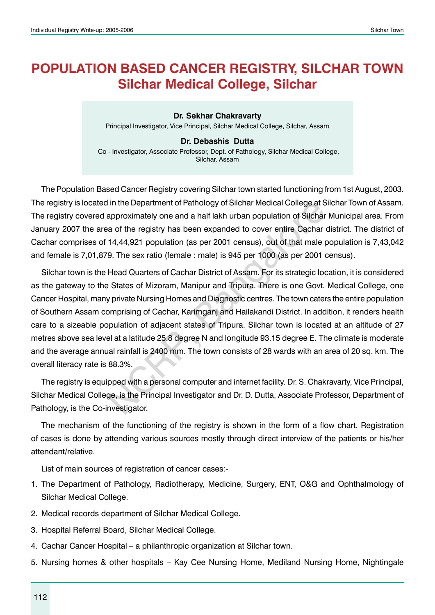# **POPULATION BASED CANCER REGISTRY, Silchar town Silchar Medical College, Silchar**

**Dr. Sekhar Chakravarty** Principal Investigator, Vice Principal, Silchar Medical College, Silchar, Assam

#### **Dr. Debashis Dutta**

Co - Investigator, Associate Professor, Dept. of Pathology, Silchar Medical College, Silchar, Assam

The Population Based Cancer Registry covering Silchar town started functioning from 1st August, 2003. The registry is located in the Department of Pathology of Silchar Medical College at Silchar Town of Assam. The registry covered approximately one and a half lakh urban population of Silchar Municipal area. From January 2007 the area of the registry has been expanded to cover entire Cachar district. The district of Cachar comprises of 14,44,921 population (as per 2001 census), out of that male population is 7,43,042 and female is 7,01,879. The sex ratio (female : male) is 945 per 1000 (as per 2001 census).

Silchar town is the Head Quarters of Cachar District of Assam. For its strategic location, it is considered as the gateway to the States of Mizoram, Manipur and Tripura. There is one Govt. Medical College, one Cancer Hospital, many private Nursing Homes and Diagnostic centres. The town caters the entire population of Southern Assam comprising of Cachar, Karimganj and Hailakandi District. In addition, it renders health care to a sizeable population of adjacent states of Tripura. Silchar town is located at an altitude of 27 metres above sea level at a latitude 25.8 degree N and longitude 93.15 degree E. The climate is moderate and the average annual rainfall is 2400 mm. The town consists of 28 wards with an area of 20 sq. km. The overall literacy rate is 88.3%. I in the Department of Pathology of Silchar Medical College at Supproximately one and a half lakh urban population of Silchar<br>a of the registry has been expanded to cover entire Cachar<br>14,44,921 population (as per 2001 cen

The registry is equipped with a personal computer and internet facility. Dr. S. Chakravarty, Vice Principal, Silchar Medical College, is the Principal Investigator and Dr. D. Dutta, Associate Professor, Department of Pathology, is the Co-investigator.

The mechanism of the functioning of the registry is shown in the form of a flow chart. Registration of cases is done by attending various sources mostly through direct interview of the patients or his/her attendant/relative.

List of main sources of registration of cancer cases:-

- 1. The Department of Pathology, Radiotherapy, Medicine, Surgery, ENT, O&G and Ophthalmology of Silchar Medical College.
- 2. Medical records department of Silchar Medical College.
- 3. Hospital Referral Board, Silchar Medical College.
- 4. Cachar Cancer Hospital a philanthropic organization at Silchar town.
- 5. Nursing homes & other hospitals Kay Cee Nursing Home, Mediland Nursing Home, Nightingale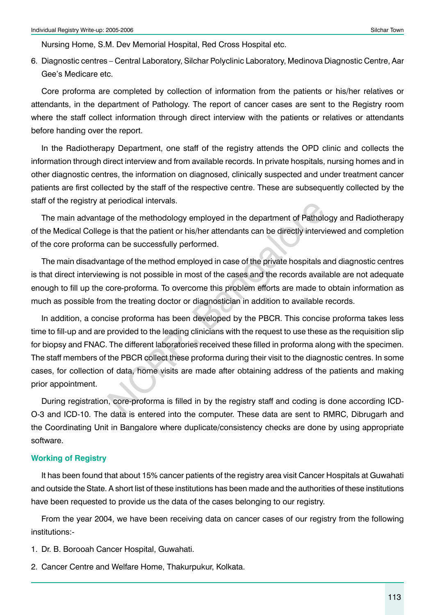Nursing Home, S.M. Dev Memorial Hospital, Red Cross Hospital etc.

6. Diagnostic centres – Central Laboratory, Silchar Polyclinic Laboratory, Medinova Diagnostic Centre, Aar Gee's Medicare etc.

Core proforma are completed by collection of information from the patients or his/her relatives or attendants, in the department of Pathology. The report of cancer cases are sent to the Registry room where the staff collect information through direct interview with the patients or relatives or attendants before handing over the report.

In the Radiotherapy Department, one staff of the registry attends the OPD clinic and collects the information through direct interview and from available records. In private hospitals, nursing homes and in other diagnostic centres, the information on diagnosed, clinically suspected and under treatment cancer patients are first collected by the staff of the respective centre. These are subsequently collected by the staff of the registry at periodical intervals.

The main advantage of the methodology employed in the department of Pathology and Radiotherapy of the Medical College is that the patient or his/her attendants can be directly interviewed and completion of the core proforma can be successfully performed.

The main disadvantage of the method employed in case of the private hospitals and diagnostic centres is that direct interviewing is not possible in most of the cases and the records available are not adequate enough to fill up the core-proforma. To overcome this problem efforts are made to obtain information as much as possible from the treating doctor or diagnostician in addition to available records.

In addition, a concise proforma has been developed by the PBCR. This concise proforma takes less time to fill-up and are provided to the leading clinicians with the request to use these as the requisition slip for biopsy and FNAC. The different laboratories received these filled in proforma along with the specimen. The staff members of the PBCR collect these proforma during their visit to the diagnostic centres. In some cases, for collection of data, home visits are made after obtaining address of the patients and making prior appointment. beholded intervals.<br>
The of the methodology employed in the department of Patholo<br>
e is that the patient or his/her attendants can be directly intervi<br>
can be successfully performed.<br>
Intage of the method employed in case

During registration, core-proforma is filled in by the registry staff and coding is done according ICD-O-3 and ICD-10. The data is entered into the computer. These data are sent to RMRC, Dibrugarh and the Coordinating Unit in Bangalore where duplicate/consistency checks are done by using appropriate software.

#### **Working of Registry**

It has been found that about 15% cancer patients of the registry area visit Cancer Hospitals at Guwahati and outside the State. A short list of these institutions has been made and the authorities of these institutions have been requested to provide us the data of the cases belonging to our registry.

From the year 2004, we have been receiving data on cancer cases of our registry from the following institutions:-

- 1. Dr. B. Borooah Cancer Hospital, Guwahati.
- 2. Cancer Centre and Welfare Home, Thakurpukur, Kolkata.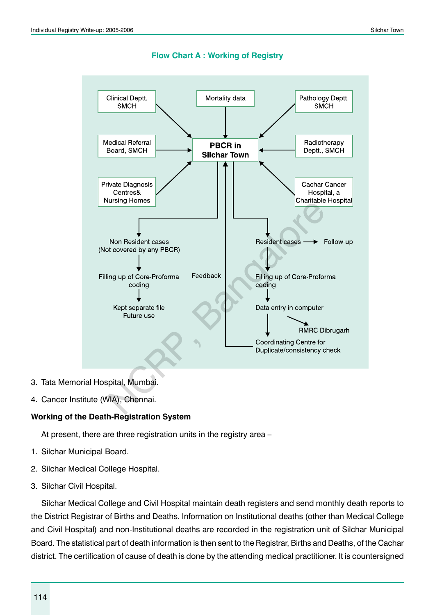

**Flow Chart A : Working of Registry**

- 3. Tata Memorial Hospital, Mumbai.
- 4. Cancer Institute (WIA), Chennai.

#### **Working of the Death-Registration System**

At present, there are three registration units in the registry area –

- 1. Silchar Municipal Board.
- 2. Silchar Medical College Hospital.
- 3. Silchar Civil Hospital.

Silchar Medical College and Civil Hospital maintain death registers and send monthly death reports to the District Registrar of Births and Deaths. Information on Institutional deaths (other than Medical College and Civil Hospital) and non-Institutional deaths are recorded in the registration unit of Silchar Municipal Board. The statistical part of death information is then sent to the Registrar, Births and Deaths, of the Cachar district. The certification of cause of death is done by the attending medical practitioner. It is countersigned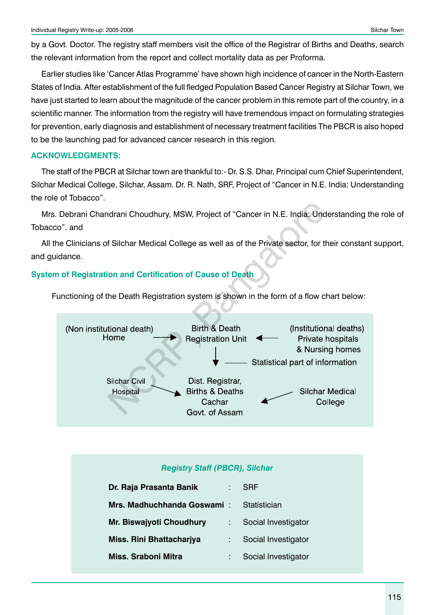by a Govt. Doctor. The registry staff members visit the office of the Registrar of Births and Deaths, search the relevant information from the report and collect mortality data as per Proforma.

Earlier studies like 'Cancer Atlas Programme' have shown high incidence of cancer in the North-Eastern States of India. After establishment of the full fledged Population Based Cancer Registry at Silchar Town, we have just started to learn about the magnitude of the cancer problem in this remote part of the country, in a scientific manner. The information from the registry will have tremendous impact on formulating strategies for prevention, early diagnosis and establishment of necessary treatment facilities The PBCR is also hoped to be the launching pad for advanced cancer research in this region.

#### **ACKNOWLEDGMENTS:**

The staff of the PBCR at Silchar town are thankful to:- Dr. S.S. Dhar, Principal cum Chief Superintendent, Silchar Medical College, Silchar, Assam. Dr. R. Nath, SRF, Project of "Cancer in N.E. India: Understanding the role of Tobacco".

Mrs. Debrani Chandrani Choudhury, MSW, Project of "Cancer in N.E. India: Understanding the role of Tobacco". and

All the Clinicians of Silchar Medical College as well as of the Private sector, for their constant support, and guidance.

#### **System of Registration and Certification of Cause of Death**

Functioning of the Death Registration system is shown in the form of a flow chart below:



#### *Registry Staff (PBCR), Silchar*

| Dr. Raja Prasanta Banik         | <b>SRF</b>          |
|---------------------------------|---------------------|
| Mrs. Madhuchhanda Goswami:      | Statistician        |
| <b>Mr. Biswajyoti Choudhury</b> | Social Investigator |
| Miss. Rini Bhattacharjya        | Social Investigator |
| Miss, Sraboni Mitra             | Social Investigator |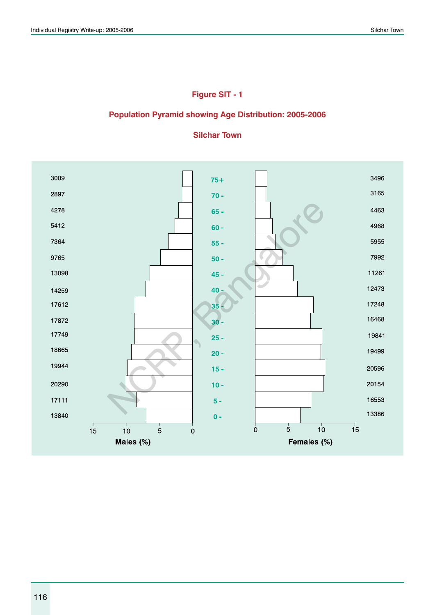# **Figure SIT - 1**

#### **Population Pyramid showing Age Distribution: 2005-2006**



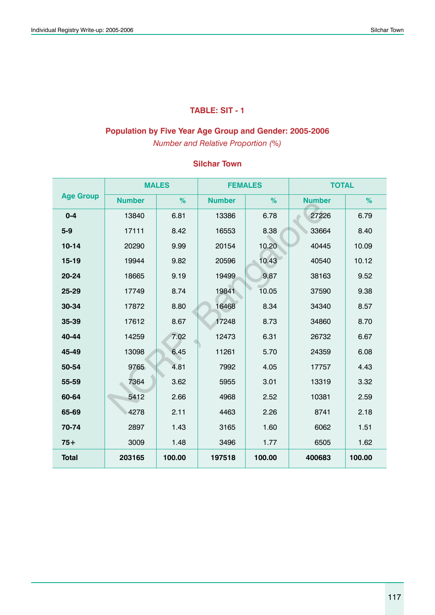# **TABLE: SIT - 1**

### **Population by Five Year Age Group and Gender: 2005-2006**

*Number and Relative Proportion (%)*

|                  |               | <b>MALES</b> | <b>FEMALES</b> |        | <b>TOTAL</b>  |        |
|------------------|---------------|--------------|----------------|--------|---------------|--------|
| <b>Age Group</b> | <b>Number</b> | %            | <b>Number</b>  | %      | <b>Number</b> | %      |
| $0 - 4$          | 13840         | 6.81         | 13386          | 6.78   | 27226         | 6.79   |
| $5-9$            | 17111         | 8.42         | 16553          | 8.38   | 33664         | 8.40   |
| $10 - 14$        | 20290         | 9.99         | 20154          | 10.20  | 40445         | 10.09  |
| $15 - 19$        | 19944         | 9.82         | 20596          | 10.43  | 40540         | 10.12  |
| 20-24            | 18665         | 9.19         | 19499          | 9.87   | 38163         | 9.52   |
| 25-29            | 17749         | 8.74         | 19841          | 10.05  | 37590         | 9.38   |
| 30-34            | 17872         | 8.80         | 16468          | 8.34   | 34340         | 8.57   |
| 35-39            | 17612         | 8.67         | 17248          | 8.73   | 34860         | 8.70   |
| 40-44            | 14259         | 7.02         | 12473          | 6.31   | 26732         | 6.67   |
| 45-49            | 13098         | 6.45         | 11261          | 5.70   | 24359         | 6.08   |
| 50-54            | 9765          | 4.81         | 7992           | 4.05   | 17757         | 4.43   |
| 55-59            | 7364          | 3.62         | 5955           | 3.01   | 13319         | 3.32   |
| 60-64            | 5412          | 2.66         | 4968           | 2.52   | 10381         | 2.59   |
| 65-69            | 4278          | 2.11         | 4463           | 2.26   | 8741          | 2.18   |
| 70-74            | 2897          | 1.43         | 3165           | 1.60   | 6062          | 1.51   |
| $75+$            | 3009          | 1.48         | 3496           | 1.77   | 6505          | 1.62   |
| <b>Total</b>     | 203165        | 100.00       | 197518         | 100.00 | 400683        | 100.00 |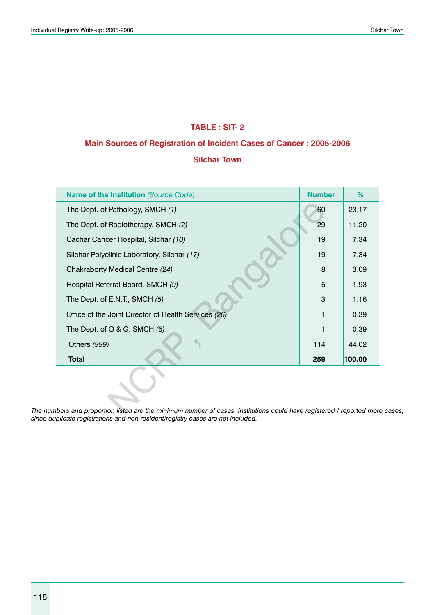### **TABLE : SIT- 2**

### **Main Sources of Registration of Incident Cases of Cancer : 2005-2006**

### **Silchar Town**

| Name of the Institution (Source Code)                                                                          | <b>Number</b> | $\%$   |
|----------------------------------------------------------------------------------------------------------------|---------------|--------|
| The Dept. of Pathology, SMCH (1)                                                                               | 60            | 23.17  |
| The Dept. of Radiotherapy, SMCH (2)                                                                            | 29            | 11.20  |
| Cachar Cancer Hospital, Silchar (10)                                                                           | 19            | 7.34   |
| Silchar Polyclinic Laboratory, Silchar (17)                                                                    | 19            | 7.34   |
| Chakraborty Medical Centre (24)                                                                                | 8             | 3.09   |
| Hospital Referral Board, SMCH (9)                                                                              | 5             | 1.93   |
| The Dept. of E.N.T., SMCH (5)                                                                                  | 3             | 1.16   |
| Office of the Joint Director of Health Services (26)                                                           | 1             | 0.39   |
| The Dept. of O & G, SMCH $(6)$                                                                                 |               | 0.39   |
| Others (999)                                                                                                   | 114           | 44.02  |
| <b>Total</b>                                                                                                   | 259           | 100.00 |
| bers and proportion listed are the minimum number of cases. Institutions could have registered / reported more |               |        |

*The numbers and proportion listed are the minimum number of cases. Institutions could have registered / reported more cases, since duplicate registrations and non-resident/registry cases are not included.*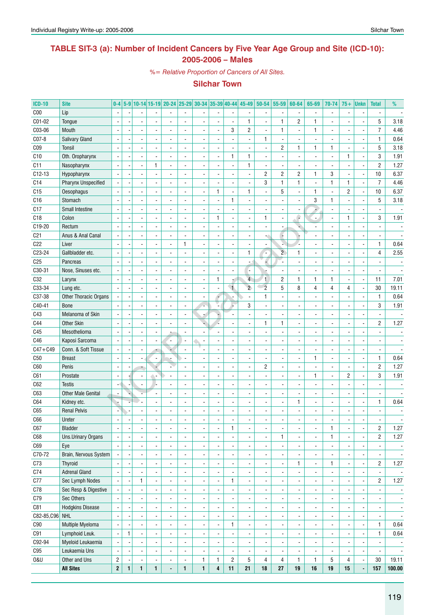### **TABLE SIT-3 (a): Number of Incident Cancers by Five Year Age Group and Site (ICD-10): 2005-2006 – Males**

*%= Relative Proportion of Cancers of All Sites.*

| <b>ICD-10</b>   | <b>Site</b>                | $0-4$                    |                          |                          |                          | 5-9 10-14 15-19 20-24 25-29 30-34 35-39 40-44 45-49 |                          |                          |                          |                          |                          | $50 - 54$                | 55-59                    | 60-64                    | 65-69                        | 70-74                    | $75+$                    | <b>Unkn</b>              | <b>Total</b>             | %                        |
|-----------------|----------------------------|--------------------------|--------------------------|--------------------------|--------------------------|-----------------------------------------------------|--------------------------|--------------------------|--------------------------|--------------------------|--------------------------|--------------------------|--------------------------|--------------------------|------------------------------|--------------------------|--------------------------|--------------------------|--------------------------|--------------------------|
| C <sub>00</sub> | Lip                        |                          |                          |                          |                          |                                                     |                          |                          |                          |                          |                          |                          |                          |                          |                              | $\overline{\phantom{a}}$ |                          |                          |                          |                          |
| C01-02          | Tongue                     |                          |                          |                          |                          |                                                     |                          |                          |                          | $\overline{a}$           | 1                        |                          | $\mathbf{1}$             | $\overline{c}$           |                              |                          |                          |                          | 5                        | 3.18                     |
| C03-06          | Mouth                      |                          |                          |                          |                          |                                                     |                          |                          |                          | 3                        | $\overline{c}$           |                          | 1                        |                          | 1                            |                          |                          |                          | $\overline{7}$           | 4.46                     |
| $CO7-8$         | <b>Salivary Gland</b>      |                          |                          |                          |                          |                                                     |                          |                          |                          |                          |                          | 1                        | $\blacksquare$           |                          |                              |                          |                          |                          | $\mathbf{1}$             | 0.64                     |
| C <sub>09</sub> | Tonsil                     |                          |                          |                          |                          |                                                     |                          |                          |                          |                          |                          |                          | 2                        | 1                        | 1                            | $\mathbf{1}$             |                          |                          | 5                        | 3.18                     |
| C10             | Oth. Oropharynx            |                          |                          |                          |                          |                                                     |                          |                          |                          | $\mathbf{1}$             | $\mathbf{1}$             |                          | $\overline{\phantom{a}}$ |                          |                              | $\blacksquare$           | $\mathbf{1}$             |                          | 3                        | 1.91                     |
| C11             | Nasopharynx                |                          |                          |                          |                          |                                                     |                          |                          |                          | $\overline{a}$           | $\mathbf{1}$             |                          |                          |                          |                              |                          |                          |                          | $\overline{2}$           | 1.27                     |
| $C12-13$        | Hypopharynx                |                          |                          |                          |                          |                                                     |                          |                          |                          |                          |                          | $\overline{c}$           | $\overline{c}$           | $\overline{c}$           | 1                            | 3                        |                          |                          | 10                       | 6.37                     |
| C14             | <b>Pharynx Unspecified</b> |                          |                          |                          |                          |                                                     |                          |                          |                          |                          |                          | 3                        | $\mathbf{1}$             | $\mathbf{1}$             |                              | $\mathbf{1}$             | 1                        |                          | $\overline{7}$           | 4.46                     |
| C15             | Oesophagus                 |                          |                          |                          |                          |                                                     |                          |                          | 1                        |                          | 1                        |                          | $\sqrt{5}$               |                          | 1                            | $\overline{a}$           | $\overline{2}$           | Ĭ.                       | 10                       | 6.37                     |
| C16             | Stomach                    |                          |                          |                          |                          |                                                     |                          |                          |                          | $\mathbf{1}$             |                          |                          |                          |                          | 3                            | $\mathbf{1}$             |                          |                          | 5                        |                          |
|                 |                            |                          |                          |                          |                          |                                                     |                          |                          |                          |                          |                          |                          |                          |                          |                              |                          |                          | Ĭ.                       |                          | 3.18                     |
| C17             | Small Intestine            |                          |                          |                          |                          |                                                     |                          |                          |                          |                          |                          |                          |                          |                          |                              | $\overline{a}$           |                          |                          | $\blacksquare$           |                          |
| C18             | Colon                      |                          |                          |                          |                          |                                                     |                          |                          | 1                        |                          |                          | 1                        |                          |                          | ÷,                           |                          | 1                        |                          | 3                        | 1.91                     |
| C19-20          | Rectum                     |                          |                          |                          |                          |                                                     |                          |                          |                          |                          |                          |                          |                          |                          |                              |                          |                          |                          |                          |                          |
| C <sub>21</sub> | Anus & Anal Canal          |                          |                          |                          |                          |                                                     |                          |                          |                          |                          |                          |                          | F                        |                          |                              |                          |                          |                          |                          |                          |
| C <sub>22</sub> | Liver                      |                          |                          |                          |                          |                                                     | 1                        |                          |                          |                          |                          |                          |                          |                          |                              |                          |                          |                          | $\mathbf{1}$             | 0.64                     |
| C23-24          | Gallbladder etc.           |                          |                          |                          |                          |                                                     |                          |                          |                          | $\overline{a}$           | 1                        |                          | $\overline{2}$           | $\mathbf{1}$             |                              |                          |                          |                          | 4                        | 2.55                     |
| C <sub>25</sub> | Pancreas                   |                          |                          |                          |                          |                                                     |                          |                          |                          | $\overline{\phantom{a}}$ |                          |                          | ÷,                       |                          |                              |                          |                          |                          |                          |                          |
| C30-31          | Nose, Sinuses etc.         |                          |                          |                          |                          |                                                     |                          |                          |                          |                          | ٠                        |                          |                          |                          |                              |                          |                          |                          |                          |                          |
| C32             | Larynx                     |                          |                          |                          |                          |                                                     |                          | $\overline{a}$           | 1                        | z                        | $\overline{4}$           | $\mathbf{1}$             | $\overline{2}$           | $\mathbf{1}$             | 1                            | $\mathbf{1}$             |                          |                          | 11                       | 7.01                     |
| C33-34          | Lung etc.                  |                          |                          |                          |                          |                                                     |                          |                          |                          | $\overline{1}$           | $\overline{2}$           | $\overline{2}$           | 5                        | 8                        | 4                            | 4                        | 4                        | Ĭ.                       | 30                       | 19.11                    |
| C37-38          | Other Thoracic Organs      |                          |                          |                          |                          |                                                     |                          | $\overline{a}$           |                          |                          | $\blacksquare$           | 1                        | $\blacksquare$           |                          |                              |                          |                          |                          | $\mathbf{1}$             | 0.64                     |
| C40-41          | <b>Bone</b>                |                          |                          |                          |                          |                                                     |                          |                          |                          |                          | 3                        |                          |                          |                          |                              |                          |                          |                          | 3                        | 1.91                     |
| C43             | Melanoma of Skin           |                          |                          |                          |                          |                                                     |                          |                          |                          |                          |                          |                          |                          |                          |                              |                          |                          |                          | $\blacksquare$           |                          |
| C44             | <b>Other Skin</b>          |                          |                          |                          |                          |                                                     |                          |                          |                          |                          |                          | 1                        | 1                        |                          |                              |                          |                          |                          | $\overline{2}$           | 1.27                     |
| C45             | Mesothelioma               |                          |                          |                          |                          |                                                     |                          |                          |                          |                          |                          |                          |                          |                          |                              |                          |                          |                          |                          |                          |
| C46             | Kaposi Sarcoma             |                          |                          |                          |                          | $\frac{1}{2}$                                       |                          | $\overline{\phantom{a}}$ |                          |                          |                          |                          |                          |                          |                              |                          |                          |                          |                          |                          |
| $C47 + C49$     | Conn. & Soft Tissue        |                          |                          |                          |                          |                                                     |                          |                          |                          |                          |                          |                          |                          |                          |                              |                          |                          |                          |                          |                          |
| C50             | <b>Breast</b>              |                          |                          |                          |                          |                                                     |                          |                          |                          |                          |                          |                          |                          |                          |                              |                          |                          | Ĭ,                       | $\mathbf{1}$             | 0.64                     |
| C60             | Penis                      |                          |                          |                          |                          |                                                     |                          |                          |                          | $\overline{a}$           |                          | $\overline{c}$           |                          |                          |                              |                          |                          | Ĭ.                       | $\overline{2}$           | 1.27                     |
| C61             | Prostate                   |                          |                          |                          |                          |                                                     |                          |                          |                          |                          |                          |                          |                          |                          |                              |                          | $\overline{2}$           |                          | 3                        | 1.91                     |
| C62             | <b>Testis</b>              |                          |                          |                          |                          |                                                     |                          |                          |                          |                          |                          |                          |                          |                          |                              |                          |                          |                          |                          |                          |
| C63             | <b>Other Male Genital</b>  |                          |                          |                          |                          |                                                     |                          |                          |                          |                          |                          |                          |                          |                          |                              |                          |                          |                          | $\overline{\phantom{a}}$ |                          |
| C64             | Kidney etc.                |                          |                          |                          |                          |                                                     |                          |                          |                          |                          |                          |                          | $\blacksquare$           | 1                        |                              |                          |                          |                          | 1                        | 0.64                     |
| C65             | <b>Renal Pelvis</b>        |                          |                          |                          |                          |                                                     |                          |                          |                          |                          |                          |                          |                          |                          |                              |                          |                          |                          |                          |                          |
|                 |                            |                          |                          |                          |                          |                                                     |                          |                          |                          | $\overline{\phantom{a}}$ |                          |                          |                          |                          |                              |                          |                          |                          |                          |                          |
| C66             | Ureter                     |                          |                          |                          |                          |                                                     |                          |                          |                          |                          |                          |                          |                          |                          |                              |                          |                          |                          |                          |                          |
| C67             | <b>Bladder</b>             | $\overline{\phantom{a}}$ | $\overline{\phantom{a}}$ | $\overline{\phantom{a}}$ | $\overline{\phantom{a}}$ | $\overline{\phantom{a}}$                            | $\overline{\phantom{a}}$ | $\overline{\phantom{a}}$ | $\overline{\phantom{a}}$ | 1                        | $\overline{\phantom{a}}$ | $\overline{\phantom{a}}$ | ۰.                       | $\overline{\phantom{a}}$ | ۰                            | 1                        | $\overline{\phantom{a}}$ | $\overline{\phantom{a}}$ | 2                        | 1.27                     |
| C68             | Uns.Urinary Organs         | $\overline{\phantom{a}}$ |                          | $\blacksquare$           | $\overline{\phantom{a}}$ | $\frac{1}{2}$                                       | $\overline{\phantom{a}}$ | $\overline{\phantom{a}}$ |                          | $\overline{\phantom{a}}$ | $\overline{\phantom{a}}$ | $\frac{1}{2}$            | $\mathbf{1}$             | $\overline{\phantom{a}}$ | $\overline{\phantom{0}}$     | 1                        | $\blacksquare$           | $\overline{\phantom{a}}$ | $\overline{c}$           | 1.27                     |
| C69             | Eye                        | $\blacksquare$           |                          | $\overline{a}$           | $\overline{\phantom{a}}$ | $\frac{1}{2}$                                       | $\overline{\phantom{a}}$ | $\overline{\phantom{a}}$ |                          | $\overline{\phantom{a}}$ | $\overline{\phantom{a}}$ | $\frac{1}{2}$            | $\blacksquare$           | $\blacksquare$           | $\overline{\phantom{a}}$     | $\blacksquare$           | ä,                       | Ĭ.                       | $\blacksquare$           | $\overline{\phantom{a}}$ |
| C70-72          | Brain, Nervous System      |                          |                          |                          |                          | $\frac{1}{2}$                                       | $\overline{\phantom{a}}$ | $\overline{\phantom{a}}$ | -                        | $\overline{\phantom{a}}$ | $\overline{\phantom{a}}$ | $\frac{1}{2}$            | $\blacksquare$           | $\blacksquare$           | $\frac{1}{2}$                | $\overline{\phantom{a}}$ | ä,                       | Ĭ.                       | $\blacksquare$           | $\overline{\phantom{a}}$ |
| C73             | <b>Thyroid</b>             |                          |                          | $\overline{a}$           |                          | $\frac{1}{2}$                                       | $\overline{\phantom{a}}$ | $\overline{\phantom{a}}$ | -                        | $\overline{\phantom{a}}$ | $\overline{\phantom{a}}$ | $\frac{1}{2}$            | $\blacksquare$           | 1                        | $\frac{1}{2}$                | 1                        | $\blacksquare$           | $\blacksquare$           | $\overline{2}$           | 1.27                     |
| C74             | <b>Adrenal Gland</b>       | $\blacksquare$           |                          |                          |                          | $\frac{1}{2}$                                       | $\overline{\phantom{a}}$ | $\overline{\phantom{a}}$ | -                        | $\overline{\phantom{a}}$ | $\overline{\phantom{a}}$ | -                        | $\blacksquare$           | $\blacksquare$           | $\qquad \qquad \blacksquare$ | $\overline{\phantom{a}}$ | $\blacksquare$           | Ĭ.                       | $\overline{\phantom{a}}$ | $\overline{\phantom{a}}$ |
| C77             | Sec Lymph Nodes            |                          |                          | $\mathbf{1}$             |                          | -                                                   | $\overline{\phantom{a}}$ | $\overline{\phantom{a}}$ | -                        | $\mathbf{1}$             | $\overline{\phantom{a}}$ | -                        | $\blacksquare$           | $\overline{\phantom{a}}$ | $\qquad \qquad \blacksquare$ | $\overline{\phantom{a}}$ | $\blacksquare$           | Ĭ.                       | $\overline{c}$           | 1.27                     |
| C78             | Sec Resp & Digestive       |                          |                          |                          |                          | -                                                   | $\overline{\phantom{a}}$ | $\overline{\phantom{a}}$ | -                        | $\overline{\phantom{a}}$ | $\overline{\phantom{a}}$ | -                        | $\overline{\phantom{a}}$ | $\overline{\phantom{a}}$ | $\qquad \qquad \blacksquare$ | $\overline{\phantom{a}}$ | $\blacksquare$           | $\overline{a}$           | $\blacksquare$           | $\overline{\phantom{a}}$ |
| C79             | Sec Others                 |                          |                          |                          |                          | -                                                   | $\overline{\phantom{a}}$ | $\overline{\phantom{a}}$ | -                        | $\overline{\phantom{a}}$ | $\overline{\phantom{a}}$ | -                        | $\overline{\phantom{a}}$ | $\overline{\phantom{a}}$ | $\qquad \qquad \blacksquare$ | $\overline{\phantom{a}}$ | $\blacksquare$           | $\overline{a}$           | $\overline{\phantom{a}}$ | $\overline{\phantom{a}}$ |
| C81             | <b>Hodgkins Disease</b>    |                          |                          |                          |                          | -                                                   |                          | $\overline{\phantom{a}}$ | -                        | $\overline{\phantom{a}}$ | $\overline{\phantom{a}}$ | -                        | $\overline{\phantom{a}}$ | $\overline{\phantom{a}}$ | $\qquad \qquad \blacksquare$ | $\overline{\phantom{a}}$ |                          | $\overline{a}$           | ٠                        | $\overline{\phantom{a}}$ |
| C82-85, C96 NHL |                            | $\blacksquare$           |                          | $\blacksquare$           |                          | -                                                   | $\overline{\phantom{a}}$ | $\overline{\phantom{a}}$ | -                        | $\overline{\phantom{a}}$ | $\overline{\phantom{a}}$ | -                        | $\blacksquare$           | $\overline{\phantom{a}}$ | $\qquad \qquad \blacksquare$ | $\overline{\phantom{a}}$ |                          | $\overline{a}$           | $\overline{\phantom{a}}$ | $\overline{\phantom{a}}$ |
| C90             | Multiple Myeloma           | $\blacksquare$           |                          | $\overline{\phantom{a}}$ |                          | $\frac{1}{2}$                                       | $\overline{\phantom{a}}$ | $\overline{\phantom{a}}$ |                          | 1                        | $\overline{\phantom{a}}$ | -                        | $\blacksquare$           | $\overline{\phantom{a}}$ | $\qquad \qquad \blacksquare$ | $\overline{\phantom{a}}$ | $\blacksquare$           | Ĭ.                       | $\mathbf{1}$             | 0.64                     |
| C91             | Lymphoid Leuk.             | $\blacksquare$           | 1                        | $\blacksquare$           | $\overline{\phantom{a}}$ | $\frac{1}{2}$                                       | $\overline{\phantom{a}}$ | $\overline{\phantom{a}}$ | -                        | $\overline{\phantom{a}}$ | $\overline{\phantom{a}}$ | $\frac{1}{2}$            | $\blacksquare$           | $\overline{\phantom{a}}$ | $\overline{\phantom{a}}$     | $\overline{\phantom{a}}$ | $\blacksquare$           | $\overline{a}$           | $\mathbf{1}$             | 0.64                     |
| C92-94          | Myeloid Leukaemia          | $\overline{\phantom{a}}$ |                          | $\blacksquare$           | $\overline{\phantom{a}}$ | $\frac{1}{2}$                                       | $\overline{\phantom{a}}$ | $\overline{\phantom{a}}$ | $\frac{1}{2}$            | $\overline{\phantom{a}}$ | $\overline{\phantom{a}}$ | $\frac{1}{2}$            | $\blacksquare$           | $\overline{\phantom{a}}$ | $\overline{\phantom{a}}$     | $\overline{\phantom{a}}$ | $\overline{\phantom{a}}$ | Ĭ.                       | $\overline{\phantom{a}}$ | $\overline{\phantom{a}}$ |
| C95             | Leukaemia Uns              | $\blacksquare$           |                          | $\overline{\phantom{a}}$ | $\overline{\phantom{a}}$ | $\frac{1}{2}$                                       | $\overline{\phantom{a}}$ | $\overline{\phantom{a}}$ |                          | $\overline{\phantom{a}}$ | $\overline{\phantom{a}}$ | $\frac{1}{2}$            | $\blacksquare$           | $\overline{\phantom{a}}$ | $\overline{\phantom{a}}$     | $\overline{\phantom{a}}$ | $\blacksquare$           | $\blacksquare$           | $\overline{\phantom{a}}$ | $\overline{\phantom{a}}$ |
| <b>0&amp;U</b>  | Other and Uns              | $\sqrt{2}$               |                          | $\overline{\phantom{a}}$ | $\overline{\phantom{a}}$ | $\overline{\phantom{a}}$                            | $\overline{\phantom{a}}$ | 1                        | 1                        | $\overline{c}$           | 5                        | 4                        | $\overline{4}$           | $\mathbf{1}$             | 1                            | 5                        | 4                        | $\overline{\phantom{a}}$ | 30                       | 19.11                    |
|                 | <b>All Sites</b>           | $\boldsymbol{2}$         | 1                        | $\mathbf{1}$             | $\mathbf{1}$             | $\blacksquare$                                      | $\mathbf{1}$             | $\mathbf{1}$             | 4                        | 11                       | 21                       | 18                       | 27                       | 19                       | 16                           | 19                       | 15                       | $\blacksquare$           | 157                      | 100.00                   |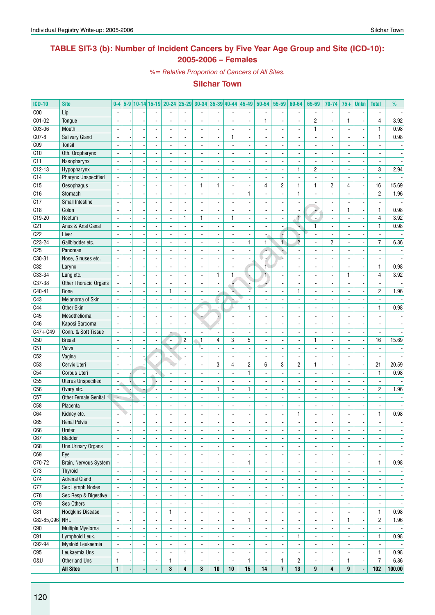## **TABLE SIT-3 (b): Number of Incident Cancers by Five Year Age Group and Site (ICD-10): 2005-2006 – Females**

*%= Relative Proportion of Cancers of All Sites.*

| <b>ICD-10</b>   | <b>Site</b>                 | $0-4$                    |                |                          |                          |                          | 5-9 10-14 15-19 20-24 25-29 30-34 35-39 40-44 45-49 |                          |                          |                          | $50 - 54$                | 55-59                    | 60-64                    | 65-69                        | 70-74                    | $75+$                    | <b>Unkn</b>              | <b>Total</b>             | %                        |
|-----------------|-----------------------------|--------------------------|----------------|--------------------------|--------------------------|--------------------------|-----------------------------------------------------|--------------------------|--------------------------|--------------------------|--------------------------|--------------------------|--------------------------|------------------------------|--------------------------|--------------------------|--------------------------|--------------------------|--------------------------|
| C <sub>00</sub> | Lip                         |                          |                |                          |                          |                          |                                                     |                          |                          |                          |                          | $\overline{\phantom{a}}$ |                          |                              | $\frac{1}{2}$            |                          | ÷,                       |                          |                          |
| C01-02          | Tongue                      |                          |                |                          |                          |                          | $\overline{a}$                                      |                          | ä,                       |                          | 1                        | $\blacksquare$           |                          | $\overline{c}$               | $\overline{a}$           | 1                        | Ĭ.                       | 4                        | 3.92                     |
| C03-06          | Mouth                       |                          |                |                          | $\overline{\phantom{a}}$ | $\blacksquare$           | $\overline{\phantom{a}}$                            | $\blacksquare$           | $\overline{\phantom{a}}$ |                          |                          | $\blacksquare$           | $\blacksquare$           | 1                            | ÷.                       | $\blacksquare$           |                          | $\mathbf{1}$             | 0.98                     |
| $C07-8$         | Salivary Gland              |                          |                |                          |                          |                          |                                                     |                          | 1                        |                          |                          | $\blacksquare$           |                          |                              |                          |                          |                          | $\mathbf{1}$             | 0.98                     |
| C <sub>09</sub> | Tonsil                      |                          |                |                          |                          |                          | ÷,                                                  |                          | $\overline{\phantom{a}}$ |                          |                          | $\blacksquare$           |                          |                              | $\overline{a}$           |                          |                          |                          |                          |
| C10             | Oth. Oropharynx             | $\overline{a}$           |                | $\blacksquare$           | $\blacksquare$           | $\blacksquare$           | $\blacksquare$                                      | $\overline{a}$           | $\blacksquare$           | $\blacksquare$           | $\blacksquare$           | $\overline{\phantom{a}}$ | $\blacksquare$           | $\blacksquare$               | $\overline{\phantom{a}}$ | $\blacksquare$           | ä,                       | $\blacksquare$           |                          |
| C11             | Nasopharynx                 | $\blacksquare$           |                |                          | ÷.                       |                          | ÷,                                                  | $\overline{a}$           | $\overline{\phantom{a}}$ | $\overline{\phantom{a}}$ |                          | $\blacksquare$           | $\overline{a}$           | ÷,                           | $\overline{a}$           |                          | $\tilde{\phantom{a}}$    | $\overline{\phantom{a}}$ |                          |
| $C12-13$        | Hypopharynx                 |                          |                |                          |                          |                          |                                                     | $\overline{a}$           | $\blacksquare$           |                          |                          | $\overline{\phantom{a}}$ | 1                        | $\overline{c}$               | $\overline{\phantom{a}}$ |                          | ٠                        | 3                        | 2.94                     |
| C14             | <b>Pharynx Unspecified</b>  |                          |                |                          | ۰.                       |                          | $\overline{\phantom{a}}$                            | $\overline{a}$           | $\blacksquare$           | $\blacksquare$           |                          | $\blacksquare$           | $\overline{\phantom{a}}$ | $\overline{\phantom{a}}$     | $\overline{\phantom{a}}$ | $\blacksquare$           | ä,                       | $\overline{\phantom{a}}$ |                          |
| C15             | Oesophagus                  |                          |                | ÷,                       | $\overline{\phantom{a}}$ | ä,                       | 1                                                   | $\mathbf{1}$             | $\overline{\phantom{a}}$ | $\blacksquare$           | $\overline{4}$           | $\overline{c}$           | $\mathbf{1}$             | 1                            | $\overline{c}$           | 4                        | $\overline{\phantom{a}}$ | 16                       | 15.69                    |
| C16             | Stomach                     |                          |                |                          | $\overline{\phantom{a}}$ | $\overline{\phantom{a}}$ | $\overline{\phantom{a}}$                            |                          | $\overline{\phantom{a}}$ | $\mathbf{1}$             |                          | $\overline{\phantom{a}}$ | $\mathbf{1}$             |                              | $\frac{1}{2}$            |                          | $\overline{\phantom{a}}$ | $\overline{c}$           | 1.96                     |
| C17             | <b>Small Intestine</b>      | $\overline{a}$           |                | ÷,                       | $\blacksquare$           | $\overline{\phantom{a}}$ | $\blacksquare$                                      | $\overline{a}$           | $\blacksquare$           | $\blacksquare$           | ÷,                       | $\blacksquare$           | ÷.                       |                              | $\overline{a}$           | $\blacksquare$           | ÷,                       | $\blacksquare$           |                          |
| C18             | Colon                       | ÷,                       |                | $\overline{\phantom{a}}$ | ÷.                       | $\overline{\phantom{a}}$ | $\blacksquare$                                      | $\overline{a}$           | $\blacksquare$           | $\blacksquare$           | $\blacksquare$           | $\overline{\phantom{a}}$ | $\overline{\phantom{a}}$ | Ψ,                           | $\overline{\phantom{a}}$ | $\mathbf{1}$             | ä,                       | $\mathbf{1}$             | 0.98                     |
| $C$ 19-20       | Rectum                      |                          |                |                          | $\overline{\phantom{0}}$ | $\mathbf{1}$             | 1                                                   | $\frac{1}{2}$            | 1                        | $\blacksquare$           |                          | $\overline{\phantom{a}}$ | Ŧ                        | $\blacksquare$               | ٠                        | $\blacksquare$           | ÷,                       | 4                        | 3.92                     |
| C <sub>21</sub> | Anus & Anal Canal           |                          |                |                          |                          |                          | ÷,                                                  |                          | $\blacksquare$           |                          |                          |                          |                          |                              |                          |                          |                          | $\mathbf{1}$             | 0.98                     |
| C22             | Liver                       |                          |                |                          | $\blacksquare$           |                          | $\blacksquare$                                      | $\overline{a}$           | $\overline{\phantom{a}}$ | $\blacksquare$           |                          | F                        |                          | $\blacksquare$               | $\overline{\phantom{a}}$ | $\overline{\phantom{a}}$ | Ĭ.                       | $\overline{\phantom{a}}$ |                          |
| C23-24          | Gallbladder etc.            |                          |                |                          |                          |                          | $\overline{a}$                                      | ÷,                       | $\overline{\phantom{a}}$ | $\mathbf{1}$             | $\mathbf{1}$             | $\overline{1}$           | $\overline{c}$           |                              | $\overline{c}$           |                          | Ĭ.                       | $\overline{7}$           | 6.86                     |
| C <sub>25</sub> | Pancreas                    |                          |                |                          |                          |                          | $\overline{a}$                                      |                          | $\overline{\phantom{a}}$ |                          | c                        | ٠                        |                          |                              | $\frac{1}{2}$            |                          |                          |                          |                          |
| $C30-31$        | Nose, Sinuses etc.          | $\overline{\phantom{a}}$ |                | $\overline{a}$           | $\blacksquare$           |                          | $\blacksquare$                                      | $\overline{a}$           | $\blacksquare$           | $\blacksquare$           |                          | ù.                       | $\overline{a}$           | $\blacksquare$               | $\overline{\phantom{a}}$ |                          | ä,                       | $\overline{\phantom{a}}$ |                          |
| C32             | Larynx                      | $\overline{\phantom{a}}$ |                | $\overline{a}$           | $\blacksquare$           | ä,                       | $\blacksquare$                                      | ÷,                       | $\blacksquare$           | ÷                        | 1.                       | $\blacksquare$           | ÷,                       | ÷,                           | ÷,                       | ä,                       | ÷,                       | $\mathbf{1}$             | 0.98                     |
| $C33 - 34$      | Lung etc.                   |                          |                |                          | -                        |                          | $\blacksquare$                                      | 1                        | $\mathbf{1}$             |                          | $\blacksquare$           | $\overline{\phantom{a}}$ |                          |                              |                          | 1                        | $\blacksquare$           | $\overline{4}$           | 3.92                     |
| C37-38          | Other Thoracic Organs       |                          |                |                          |                          |                          | $\overline{a}$                                      | ÷,                       | F                        |                          |                          | $\blacksquare$           | $\overline{a}$           |                              | ÷.                       | $\overline{a}$           |                          |                          |                          |
| C40-41          | <b>Bone</b>                 |                          |                | $\overline{a}$           | $\mathbf{1}$             | $\blacksquare$           | $\overline{\phantom{a}}$                            | $\blacksquare$           | v.                       |                          | $\blacksquare$           | $\blacksquare$           | $\mathbf{1}$             | $\overline{a}$               | ÷.                       | $\overline{a}$           | ä,                       | $\overline{2}$           | 1.96                     |
| C43             | Melanoma of Skin            |                          |                |                          |                          |                          | $\overline{a}$                                      | ٠.                       |                          |                          |                          | $\blacksquare$           |                          |                              | ÷.                       |                          | ÷,                       |                          |                          |
| C44             | <b>Other Skin</b>           |                          |                |                          |                          |                          | ٠                                                   |                          | ÷                        | $\mathbf{1}$             |                          | $\overline{\phantom{a}}$ |                          |                              | $\frac{1}{2}$            |                          | $\overline{\phantom{a}}$ | $\mathbf{1}$             | 0.98                     |
| C45             | Mesothelioma                | $\overline{a}$           |                | ÷,                       | ÷.                       |                          |                                                     | $\bullet$                | $\blacksquare$           |                          |                          | $\blacksquare$           | $\overline{a}$           |                              | $\overline{a}$           |                          | ÷,                       |                          |                          |
| C46             | Kaposi Sarcoma              | $\blacksquare$           |                | $\overline{a}$           | $\overline{\phantom{0}}$ | $\blacksquare$           | A.                                                  | z,                       | $\blacksquare$           | $\blacksquare$           |                          | $\blacksquare$           | $\overline{\phantom{a}}$ |                              | $\frac{1}{2}$            |                          | ÷,                       | $\blacksquare$           | $\overline{\phantom{a}}$ |
| $C47 + C49$     | Conn. & Soft Tissue         |                          |                |                          |                          | $\overline{\phantom{a}}$ | $\overline{a}$                                      | $\overline{\phantom{a}}$ | $\overline{\phantom{a}}$ | $\blacksquare$           |                          | $\overline{\phantom{a}}$ | $\overline{\phantom{a}}$ |                              | $\frac{1}{2}$            |                          | ÷,                       | $\overline{\phantom{a}}$ |                          |
| C50             | <b>Breast</b>               |                          |                |                          | $\overline{\phantom{0}}$ | $\overline{2}$           | $\mathbf{1}$                                        | 4                        | 3                        | 5                        |                          | $\blacksquare$           |                          | 1                            | $\overline{\phantom{a}}$ |                          | $\blacksquare$           | 16                       | 15.69                    |
| C51             | Vulva                       |                          |                |                          |                          | $\overline{\phantom{a}}$ | ۱.                                                  | $\overline{a}$           | $\blacksquare$           | $\blacksquare$           |                          | $\blacksquare$           |                          |                              | $\frac{1}{2}$            |                          |                          |                          |                          |
| C52             | Vagina                      |                          |                |                          | $\overline{\phantom{a}}$ |                          | $\overline{\phantom{a}}$                            | ÷,                       | $\blacksquare$           | $\blacksquare$           |                          | $\blacksquare$           | $\overline{\phantom{a}}$ |                              | ÷.                       | $\blacksquare$           | Ĭ.                       | $\overline{\phantom{a}}$ |                          |
| C53             | Cervix Uteri                |                          |                |                          |                          |                          | $\overline{a}$                                      | 3                        | 4                        | $\overline{c}$           | 6                        | 3                        | $\overline{\mathbf{c}}$  | 1                            | $\overline{a}$           |                          | $\overline{\phantom{a}}$ | 21                       | 20.59                    |
| C54             | Corpus Uteri                | $\overline{a}$           |                |                          |                          |                          | $\blacksquare$                                      |                          | $\overline{a}$           | $\mathbf{1}$             |                          | ÷,                       |                          |                              | ÷,                       |                          | ÷,                       | $\mathbf{1}$             | 0.98                     |
| C55             | <b>Uterus Unspecified</b>   | $\overline{a}$           |                |                          | $\blacksquare$           | $\blacksquare$           | $\blacksquare$                                      | $\blacksquare$           | $\blacksquare$           | $\blacksquare$           | $\overline{\phantom{a}}$ | $\blacksquare$           | $\blacksquare$           | ä,                           | $\frac{1}{2}$            | $\blacksquare$           | ä,                       | $\blacksquare$           | $\overline{\phantom{a}}$ |
| C56             | Ovary etc.                  | $\blacksquare$           |                |                          | ÷.                       |                          | $\blacksquare$                                      | $\mathbf{1}$             | $\blacksquare$           | $\mathbf{1}$             |                          | $\blacksquare$           | $\overline{a}$           |                              | $\overline{a}$           | $\overline{a}$           | ÷,                       | $\overline{2}$           | 1.96                     |
| C57             | <b>Other Female Genital</b> | $\overline{\phantom{a}}$ |                |                          | -                        |                          | $\overline{\phantom{a}}$                            |                          | $\overline{\phantom{a}}$ | $\overline{\phantom{a}}$ |                          | $\overline{\phantom{a}}$ |                          |                              |                          |                          |                          |                          |                          |
| C <sub>58</sub> | Placenta                    | ٠                        |                |                          | ÷.                       |                          | $\blacksquare$                                      | ÷.                       | ÷,                       |                          |                          | $\blacksquare$           |                          |                              | $\overline{a}$           | $\overline{a}$           |                          |                          |                          |
| C64             | Kidney etc.                 |                          |                |                          | $\overline{\phantom{0}}$ |                          | $\overline{a}$                                      | $\blacksquare$           | $\overline{a}$           |                          |                          | $\blacksquare$           | $\mathbf{1}$             |                              | $\overline{\phantom{a}}$ |                          |                          | $\mathbf{1}$             | 0.98                     |
| C65             | <b>Renal Pelvis</b>         |                          |                |                          |                          |                          |                                                     |                          |                          |                          |                          |                          |                          |                              |                          |                          |                          |                          |                          |
| C66             | Ureter                      |                          |                |                          | $\overline{\phantom{a}}$ | $\overline{\phantom{a}}$ | $\overline{\phantom{a}}$                            |                          | $\overline{\phantom{a}}$ | $\overline{\phantom{a}}$ | ۰                        | $\overline{\phantom{a}}$ |                          | $\overline{\phantom{a}}$     | $\overline{\phantom{a}}$ | $\overline{a}$           | $\overline{\phantom{a}}$ | $\overline{\phantom{a}}$ | $\overline{\phantom{a}}$ |
| C67             | Bladder                     | $\overline{\phantom{a}}$ |                | $\overline{a}$           | $\blacksquare$           | $\overline{\phantom{a}}$ | $\blacksquare$                                      | $\overline{a}$           | $\overline{\phantom{a}}$ | $\blacksquare$           | $\overline{a}$           | $\overline{\phantom{a}}$ | ä,                       | $\overline{\phantom{a}}$     | $\overline{\phantom{a}}$ | $\overline{a}$           | $\blacksquare$           | $\blacksquare$           | $\overline{\phantom{a}}$ |
| C68             | <b>Uns.Urinary Organs</b>   | $\blacksquare$           |                | $\overline{\phantom{a}}$ | $\overline{\phantom{0}}$ | $\overline{\phantom{a}}$ | $\overline{\phantom{a}}$                            | ÷,                       | $\blacksquare$           | $\blacksquare$           | $\frac{1}{2}$            | $\overline{\phantom{a}}$ | $\blacksquare$           | $\overline{\phantom{a}}$     | $\overline{\phantom{a}}$ | $\blacksquare$           | $\overline{\phantom{a}}$ | $\overline{\phantom{a}}$ | $\overline{\phantom{a}}$ |
| C69             | Eye                         | $\blacksquare$           |                | $\overline{\phantom{a}}$ | $\overline{\phantom{a}}$ | $\overline{\phantom{a}}$ | $\overline{\phantom{a}}$                            | $\overline{\phantom{a}}$ | $\overline{\phantom{a}}$ | $\overline{\phantom{a}}$ | $\frac{1}{2}$            | $\overline{\phantom{a}}$ | $\overline{\phantom{a}}$ | $\overline{\phantom{a}}$     | $\overline{\phantom{a}}$ | $\blacksquare$           | $\overline{\phantom{a}}$ | $\overline{\phantom{a}}$ | $\overline{\phantom{a}}$ |
| C70-72          | Brain, Nervous System       |                          |                | $\overline{\phantom{a}}$ | $\overline{\phantom{a}}$ |                          | $\blacksquare$                                      | $\frac{1}{2}$            | $\blacksquare$           | 1                        | $\overline{a}$           | $\blacksquare$           | $\overline{\phantom{a}}$ | $\qquad \qquad \blacksquare$ | ٠                        |                          | $\overline{\phantom{a}}$ | $\mathbf{1}$             | 0.98                     |
| C <sub>73</sub> | <b>Thyroid</b>              |                          |                | $\blacksquare$           | $\overline{\phantom{a}}$ | $\overline{\phantom{a}}$ | $\blacksquare$                                      | $\overline{\phantom{a}}$ | $\overline{\phantom{a}}$ | $\overline{\phantom{a}}$ | $\frac{1}{2}$            | $\overline{\phantom{a}}$ | $\overline{\phantom{a}}$ | $\overline{\phantom{a}}$     | $\blacksquare$           | $\blacksquare$           | $\overline{\phantom{a}}$ | $\overline{\phantom{a}}$ | $\overline{\phantom{a}}$ |
| C <sub>74</sub> | <b>Adrenal Gland</b>        | $\overline{a}$           |                | $\overline{a}$           | $\blacksquare$           | $\overline{\phantom{a}}$ | $\blacksquare$                                      | $\overline{\phantom{a}}$ | $\blacksquare$           | $\blacksquare$           | $\overline{a}$           | $\blacksquare$           | $\overline{a}$           | $\blacksquare$               | $\blacksquare$           |                          | $\blacksquare$           | $\blacksquare$           | $\overline{\phantom{a}}$ |
| C77             | Sec Lymph Nodes             |                          |                | $\blacksquare$           | $\overline{\phantom{a}}$ | $\overline{\phantom{a}}$ | $\overline{\phantom{a}}$                            |                          | $\overline{\phantom{a}}$ |                          |                          | $\overline{\phantom{a}}$ |                          | $\overline{\phantom{a}}$     |                          |                          | $\blacksquare$           | ٠                        | $\overline{\phantom{a}}$ |
| C78             | Sec Resp & Digestive        | $\blacksquare$           |                | $\overline{a}$           | $\blacksquare$           | $\overline{\phantom{a}}$ | $\blacksquare$                                      | $\frac{1}{2}$            | $\blacksquare$           |                          | $\overline{a}$           | $\overline{\phantom{a}}$ | ÷,                       | $\overline{\phantom{a}}$     | $\overline{\phantom{a}}$ |                          | ä,                       | $\overline{\phantom{a}}$ | $\overline{\phantom{a}}$ |
| C79             | Sec Others                  | $\blacksquare$           |                | $\blacksquare$           | $\overline{\phantom{a}}$ | $\blacksquare$           | $\overline{\phantom{a}}$                            | $\blacksquare$           | $\blacksquare$           | $\overline{\phantom{a}}$ | $\frac{1}{2}$            | $\overline{\phantom{a}}$ | $\blacksquare$           | $\overline{\phantom{a}}$     | $\overline{\phantom{a}}$ | $\blacksquare$           | $\blacksquare$           | $\overline{\phantom{a}}$ | $\overline{\phantom{a}}$ |
| C81             | <b>Hodgkins Disease</b>     | $\overline{\phantom{a}}$ |                | $\overline{\phantom{a}}$ | $\mathbf{1}$             | $\overline{\phantom{a}}$ | $\blacksquare$                                      | $\overline{\phantom{a}}$ | $\overline{\phantom{a}}$ | $\blacksquare$           | $\overline{a}$           | $\overline{\phantom{a}}$ | $\overline{\phantom{a}}$ | $\blacksquare$               | $\overline{\phantom{a}}$ | $\blacksquare$           | $\blacksquare$           | $\mathbf{1}$             | 0.98                     |
| C82-85, C96     | NHL                         | $\overline{a}$           |                | $\overline{\phantom{a}}$ | $\overline{\phantom{a}}$ | $\overline{\phantom{a}}$ | $\overline{\phantom{a}}$                            | $\overline{\phantom{a}}$ | $\overline{\phantom{a}}$ | 1                        | -                        | ٠                        | $\overline{\phantom{a}}$ | ٠                            | $\overline{\phantom{a}}$ | $\mathbf{1}$             | $\overline{\phantom{a}}$ | $\overline{2}$           | 1.96                     |
| C90             | Multiple Myeloma            | $\overline{\phantom{a}}$ |                | $\overline{a}$           | $\blacksquare$           | $\overline{\phantom{a}}$ | $\blacksquare$                                      | $\blacksquare$           | $\blacksquare$           | $\blacksquare$           | $\overline{a}$           | $\overline{\phantom{a}}$ |                          | $\overline{\phantom{a}}$     | $\overline{\phantom{a}}$ | $\blacksquare$           | ÷,                       | $\blacksquare$           | $\sim$                   |
| C91             | Lymphoid Leuk.              |                          |                | $\blacksquare$           | $\blacksquare$           | $\overline{\phantom{a}}$ | $\blacksquare$                                      | $\overline{\phantom{a}}$ | $\blacksquare$           |                          | $\frac{1}{2}$            | $\overline{\phantom{a}}$ | $\mathbf{1}$             | $\blacksquare$               | ٠                        |                          | $\blacksquare$           | $\mathbf{1}$             | 0.98                     |
| C92-94          | Myeloid Leukaemia           |                          |                |                          |                          |                          | $\blacksquare$                                      |                          | $\overline{\phantom{a}}$ |                          |                          | $\overline{\phantom{a}}$ |                          | $\blacksquare$               | ٠                        |                          |                          |                          |                          |
| C95             | Leukaemia Uns               |                          |                | $\overline{a}$           | $\blacksquare$           | $\mathbf{1}$             | $\Box$                                              | $\blacksquare$           | $\blacksquare$           |                          | $\overline{a}$           | $\blacksquare$           |                          | L.                           | ÷,                       |                          | Ĭ.                       | $\mathbf{1}$             | 0.98                     |
| 0&U             | Other and Uns               | $\mathbf{1}$             |                | $\overline{\phantom{a}}$ | 1                        | $\overline{\phantom{a}}$ | $\overline{\phantom{a}}$                            | $\overline{\phantom{a}}$ | $\blacksquare$           | $\mathbf{1}$             | $\blacksquare$           | $\mathbf{1}$             | $\overline{2}$           | $\overline{\phantom{a}}$     | $\overline{\phantom{a}}$ | 1                        | $\overline{\phantom{a}}$ | $\overline{7}$           | 6.86                     |
|                 | <b>All Sites</b>            | $\mathbf{1}$             | $\blacksquare$ | ä,                       | 3                        | $\overline{4}$           | 3                                                   | 10                       | 10                       | 15                       | 14                       | $\overline{7}$           | 13                       | 9                            | 4                        | $\boldsymbol{9}$         | $\Box$                   | 102                      | 100.00                   |
|                 |                             |                          |                |                          |                          |                          |                                                     |                          |                          |                          |                          |                          |                          |                              |                          |                          |                          |                          |                          |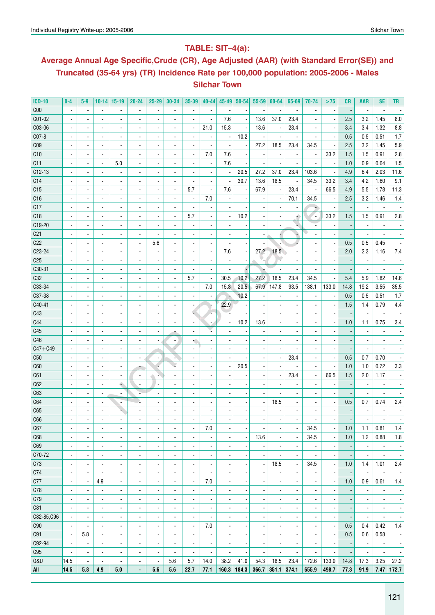## **Table: SIT–4(a):**

# **Average Annual Age Specific,Crude (CR), Age Adjusted (AAR) (with Standard Error(SE)) and Truncated (35-64 yrs) (TR) Incidence Rate per 100,000 population: 2005-2006 - Males Silchar Town**

| <b>ICD-10</b>   | $0-4$                    | $5-9$                    | 10-14                    | $ 15-19$                 | $20 - 24$                    | 25-29                    | 30-34                    | 35-39                    | $40 - 44$                    | $45 - 49$                | $50 - 54$                | $55 - 59$                        | 60-64                    | 65-69                    | 70-74                    | >75                      | CR                       | <b>AAR</b>               | SE                       | TR                       |
|-----------------|--------------------------|--------------------------|--------------------------|--------------------------|------------------------------|--------------------------|--------------------------|--------------------------|------------------------------|--------------------------|--------------------------|----------------------------------|--------------------------|--------------------------|--------------------------|--------------------------|--------------------------|--------------------------|--------------------------|--------------------------|
| C <sub>00</sub> |                          | $\overline{\phantom{a}}$ | $\blacksquare$           | $\blacksquare$           | $\overline{\phantom{a}}$     | $\overline{\phantom{a}}$ | $\blacksquare$           | $\overline{\phantom{a}}$ | $\overline{\phantom{a}}$     |                          |                          |                                  |                          | $\overline{\phantom{a}}$ | $\overline{\phantom{a}}$ | $\overline{\phantom{a}}$ |                          | $\blacksquare$           | ÷,                       |                          |
| C01-02          |                          |                          | $\blacksquare$           | $\blacksquare$           | $\overline{\phantom{a}}$     |                          |                          | $\blacksquare$           | $\blacksquare$               | 7.6                      | $\overline{a}$           | 13.6                             | 37.0                     | 23.4                     |                          | ÷,                       | 2.5                      | 3.2                      | 1.45                     | 8.0                      |
| C03-06          |                          | ÷,                       | $\blacksquare$           | $\overline{\phantom{a}}$ | $\blacksquare$               |                          | $\blacksquare$           | ÷,                       | 21.0                         | 15.3                     | $\overline{a}$           | 13.6                             |                          | 23.4                     |                          | ÷,                       | 3.4                      | 3.4                      | 1.32                     | 8.8                      |
| C07-8           |                          | $\overline{\phantom{a}}$ | $\blacksquare$           | $\overline{\phantom{a}}$ | $\overline{\phantom{a}}$     |                          | $\blacksquare$           | $\overline{\phantom{a}}$ | $\overline{\phantom{a}}$     | $\overline{\phantom{a}}$ | 10.2                     |                                  |                          | $\overline{\phantom{a}}$ | $\overline{\phantom{a}}$ | $\overline{\phantom{a}}$ | 0.5                      | 0.5                      | 0.51                     | 1.7                      |
| C <sub>09</sub> |                          | $\blacksquare$           | $\overline{\phantom{a}}$ | $\overline{\phantom{a}}$ | $\blacksquare$               |                          | $\blacksquare$           | $\overline{\phantom{a}}$ |                              |                          |                          | 27.2                             | 18.5                     | 23.4                     | 34.5                     | $\overline{\phantom{a}}$ | 2.5                      | 3.2                      | 1.45                     | 5.9                      |
| C10             |                          | $\overline{\phantom{a}}$ | $\overline{\phantom{a}}$ | $\overline{\phantom{a}}$ | $\blacksquare$               |                          | $\blacksquare$           | $\overline{\phantom{a}}$ | 7.0                          | 7.6                      |                          |                                  |                          | $\overline{\phantom{a}}$ | $\overline{\phantom{a}}$ | 33.2                     | 1.5                      | 1.5                      | 0.91                     | 2.8                      |
| C11             |                          | $\blacksquare$           | $\blacksquare$           | 5.0                      | $\blacksquare$               | $\overline{a}$           | $\overline{\phantom{a}}$ | $\overline{\phantom{a}}$ | $\overline{\phantom{a}}$     | 7.6                      |                          | $\overline{\phantom{a}}$         |                          | $\overline{\phantom{a}}$ |                          | $\overline{\phantom{a}}$ | 1.0                      | 0.9                      | 0.64                     | 1.5                      |
| $C12-13$        |                          | $\blacksquare$           | $\blacksquare$           | $\blacksquare$           | $\blacksquare$               |                          | $\overline{\phantom{a}}$ | $\overline{a}$           | $\blacksquare$               | $\overline{\phantom{a}}$ | 20.5                     | 27.2                             | 37.0                     | 23.4                     | 103.6                    | $\overline{\phantom{a}}$ | 4.9                      | 6.4                      | 2.03                     | 11.6                     |
|                 |                          |                          |                          |                          |                              |                          |                          |                          |                              |                          | 30.7                     | 13.6                             | 18.5                     |                          |                          | 33.2                     | 3.4                      | 4.2                      | 1.60                     | 9.1                      |
| C14             |                          | $\blacksquare$           | $\blacksquare$           | $\blacksquare$           | $\overline{\phantom{a}}$     |                          | $\overline{\phantom{a}}$ | $\blacksquare$           | $\blacksquare$               |                          |                          |                                  |                          | $\overline{\phantom{a}}$ | 34.5                     |                          |                          |                          |                          |                          |
| C15             |                          |                          | $\blacksquare$           | $\blacksquare$           | $\overline{\phantom{a}}$     |                          | $\blacksquare$           | 5.7                      | $\overline{\phantom{a}}$     | 7.6                      |                          | 67.9                             |                          | 23.4                     | $\overline{\phantom{a}}$ | 66.5                     | 4.9                      | 5.5                      | 1.78                     | 11.3                     |
| C16             |                          |                          | $\blacksquare$           | $\blacksquare$           | $\blacksquare$               |                          |                          | $\overline{\phantom{a}}$ | 7.0                          |                          |                          |                                  |                          | 70.1                     | 34.5                     | $\overline{\phantom{a}}$ | 2.5                      | 3.2                      | 1.46                     | 1.4                      |
| C17             |                          |                          | $\blacksquare$           | $\blacksquare$           |                              |                          | $\blacksquare$           | $\blacksquare$           |                              |                          |                          |                                  |                          |                          |                          |                          |                          | $\blacksquare$           |                          |                          |
| C18             |                          |                          | $\blacksquare$           | $\blacksquare$           |                              |                          | $\overline{a}$           | 5.7                      | $\overline{\phantom{0}}$     |                          | 10.2                     |                                  |                          |                          | ٠.                       | 33.2                     | 1.5                      | 1.5                      | 0.91                     | 2.8                      |
| C19-20          |                          |                          | ä,                       | $\overline{\phantom{a}}$ |                              |                          | $\overline{a}$           | $\blacksquare$           | ä,                           |                          |                          |                                  |                          |                          |                          |                          |                          | $\blacksquare$           |                          |                          |
| C <sub>21</sub> |                          |                          | ä,                       | $\overline{\phantom{a}}$ |                              | ÷,                       | $\overline{a}$           | $\blacksquare$           | $\overline{\phantom{0}}$     |                          |                          |                                  |                          |                          |                          |                          |                          | $\blacksquare$           |                          |                          |
| C <sub>22</sub> |                          |                          | ä,                       | $\overline{\phantom{a}}$ | ÷,                           | 5.6                      |                          | $\overline{a}$           | $\overline{\phantom{0}}$     |                          |                          |                                  |                          |                          |                          | $\overline{\phantom{a}}$ | 0.5                      | 0.5                      | 0.45                     |                          |
| C23-24          |                          |                          | ä,                       | $\overline{\phantom{a}}$ |                              |                          |                          | $\overline{a}$           | $\overline{\phantom{a}}$     | 7.6                      |                          | 27.2                             | 18.5                     |                          |                          |                          | 2.0                      | 2.3                      | 1.16                     | 7.4                      |
| C <sub>25</sub> |                          |                          | ÷,                       | $\blacksquare$           |                              |                          |                          | $\blacksquare$           |                              |                          |                          |                                  |                          |                          |                          |                          |                          | $\blacksquare$           |                          |                          |
| C30-31          |                          |                          | ÷,                       | $\blacksquare$           |                              |                          |                          | $\blacksquare$           |                              |                          |                          |                                  |                          | $\blacksquare$           |                          |                          |                          | $\blacksquare$           |                          |                          |
| C32             |                          |                          | ÷,                       | $\blacksquare$           |                              |                          |                          | 5.7                      | ä,                           | 30.5                     | 10.2                     | 27.2                             | 18.5                     | 23.4                     | 34.5                     |                          | 5.4                      | 5.9                      | 1.82                     | 14.6                     |
| C33-34          |                          |                          | $\overline{a}$           | $\blacksquare$           |                              |                          |                          | $\blacksquare$           | 7.0                          | 15.3                     | 20.5                     | 67.9                             | 147.8                    | 93.5                     | 138.1                    | 133.0                    | 14.8                     | 19.2                     | 3.55                     | 35.5                     |
| C37-38          |                          |                          | $\overline{a}$           | $\blacksquare$           |                              |                          |                          | $\overline{a}$           |                              |                          | 10.2                     |                                  |                          |                          |                          |                          | 0.5                      | 0.5                      | 0.51                     | 1.7                      |
| C40-41          |                          |                          | $\overline{a}$           | ÷,                       |                              |                          |                          | $\overline{a}$           |                              | 22.9                     |                          |                                  |                          |                          |                          | Ĭ.                       | 1.5                      | 1.4                      | 0.79                     | 4.4                      |
| C43             |                          |                          | $\blacksquare$           | ÷,                       |                              |                          |                          | Ĺ                        |                              |                          |                          |                                  |                          |                          |                          |                          |                          | $\overline{a}$           |                          |                          |
| C44             |                          |                          | $\blacksquare$           | $\overline{\phantom{a}}$ |                              |                          |                          | $\overline{\phantom{a}}$ |                              |                          | 10.2                     | 13.6                             |                          |                          |                          |                          | 1.0                      | 1.1                      | 0.75                     | $3.4\,$                  |
| C45             |                          |                          | $\blacksquare$           | $\overline{\phantom{a}}$ | $\blacksquare$               |                          |                          | ٠                        |                              |                          |                          |                                  |                          |                          |                          |                          |                          |                          |                          |                          |
| C46             |                          |                          | $\overline{\phantom{a}}$ | $\overline{\phantom{a}}$ | $\qquad \qquad \blacksquare$ |                          |                          | ₹                        |                              |                          |                          |                                  |                          |                          |                          |                          |                          |                          |                          |                          |
| $C47 + C49$     |                          |                          | $\blacksquare$           | $\overline{\phantom{a}}$ | $\overline{\phantom{a}}$     |                          |                          | $\overline{\phantom{a}}$ | ۰                            |                          |                          |                                  |                          |                          |                          | ÷,                       | $\overline{\phantom{m}}$ | $\overline{\phantom{a}}$ |                          |                          |
| C50             |                          |                          | $\overline{\phantom{a}}$ | $\overline{\phantom{a}}$ | $\overline{\phantom{a}}$     |                          |                          | $\blacksquare$           | $\qquad \qquad \blacksquare$ |                          |                          |                                  |                          | 23.4                     |                          | $\overline{\phantom{a}}$ | 0.5                      | 0.7                      | 0.70                     |                          |
| C60             |                          |                          | $\blacksquare$           | $\overline{\phantom{a}}$ |                              |                          |                          |                          | $\qquad \qquad \blacksquare$ |                          | 20.5                     |                                  |                          | $\overline{\phantom{a}}$ | $\blacksquare$           | $\overline{\phantom{a}}$ | 1.0                      | 1.0                      | 0.72                     | 3.3                      |
| C61             |                          |                          | $\blacksquare$           | $\overline{\phantom{a}}$ | $\overline{\phantom{a}}$     | ٠                        |                          | -                        | ۰                            |                          |                          |                                  |                          | 23.4                     |                          | 66.5                     | 1.5                      | 2.0                      | 1.17                     |                          |
| C62             |                          | $\overline{\phantom{a}}$ | $\overline{\phantom{a}}$ | ۰                        | $\blacksquare$               |                          |                          | $\overline{\phantom{a}}$ | $\overline{\phantom{m}}$     |                          |                          |                                  |                          |                          |                          | ÷,                       |                          |                          |                          |                          |
| C63             |                          | $\overline{\phantom{a}}$ | $\overline{\phantom{a}}$ | $\overline{\phantom{a}}$ |                              |                          |                          | $\overline{\phantom{a}}$ | $\overline{\phantom{m}}$     |                          |                          |                                  |                          |                          |                          | $\overline{\phantom{a}}$ | $\overline{\phantom{a}}$ | $\overline{\phantom{a}}$ | $\overline{\phantom{a}}$ |                          |
| C64             |                          | $\overline{\phantom{a}}$ | $\overline{\phantom{a}}$ | ٠                        |                              |                          |                          | $\overline{\phantom{a}}$ | $\overline{\phantom{m}}$     |                          |                          | ÷                                | 18.5                     |                          |                          | $\overline{\phantom{a}}$ | 0.5                      | 0.7                      | 0.74                     | 2.4                      |
| C65             |                          |                          | $\overline{\phantom{a}}$ | ч.                       |                              |                          |                          | $\overline{\phantom{a}}$ |                              |                          |                          |                                  |                          |                          |                          |                          |                          |                          |                          |                          |
| C66             |                          |                          | ä,                       |                          |                              |                          |                          |                          |                              |                          |                          |                                  |                          |                          | $\blacksquare$           | ÷,                       |                          |                          |                          |                          |
|                 |                          |                          |                          |                          |                              |                          |                          |                          |                              |                          |                          |                                  |                          |                          |                          |                          |                          |                          |                          |                          |
| C67             | $\overline{\phantom{a}}$ | $\overline{\phantom{a}}$ | $\overline{\phantom{a}}$ | $\overline{\phantom{a}}$ | $\overline{\phantom{a}}$     | $\overline{\phantom{a}}$ | $\overline{\phantom{a}}$ | $\overline{\phantom{a}}$ | 7.0                          | $\overline{\phantom{a}}$ | $\overline{\phantom{a}}$ | $\overline{\phantom{a}}$<br>13.6 | $\overline{\phantom{a}}$ | $\overline{\phantom{a}}$ | 34.5                     | $\overline{\phantom{a}}$ | 1.0<br>1.0               | 1.1<br>1.2               | 0.81<br>0.88             | 1.4                      |
| C68             | $\overline{\phantom{a}}$ | $\overline{\phantom{a}}$ | $\overline{\phantom{a}}$ | $\overline{\phantom{a}}$ | $\overline{\phantom{a}}$     | $\overline{\phantom{a}}$ | $\overline{\phantom{a}}$ | $\overline{\phantom{a}}$ | $\overline{\phantom{a}}$     | $\blacksquare$           | $\overline{a}$           |                                  | $\blacksquare$           | $\overline{\phantom{a}}$ | 34.5                     | $\overline{\phantom{a}}$ |                          |                          |                          | 1.8                      |
| C69             | $\blacksquare$           | $\overline{\phantom{a}}$ | $\overline{\phantom{a}}$ | $\overline{\phantom{a}}$ | $\overline{\phantom{a}}$     | $\overline{\phantom{a}}$ | $\overline{\phantom{a}}$ | $\overline{\phantom{a}}$ | $\overline{\phantom{a}}$     | $\overline{\phantom{a}}$ | $\overline{\phantom{a}}$ |                                  |                          | $\overline{\phantom{a}}$ | $\overline{\phantom{a}}$ | $\overline{\phantom{a}}$ |                          | $\overline{\phantom{a}}$ | $\overline{\phantom{a}}$ | $\overline{\phantom{a}}$ |
| C70-72          | $\blacksquare$           | $\overline{\phantom{a}}$ | $\overline{\phantom{a}}$ | $\overline{\phantom{a}}$ | $\overline{\phantom{a}}$     | $\overline{\phantom{a}}$ | $\overline{\phantom{a}}$ | $\overline{\phantom{a}}$ | $\overline{\phantom{a}}$     | $\overline{\phantom{a}}$ | $\overline{a}$           | $\overline{\phantom{a}}$         |                          | $\blacksquare$           | $\overline{\phantom{a}}$ | $\overline{\phantom{a}}$ |                          | $\overline{\phantom{a}}$ | $\overline{\phantom{a}}$ | $\overline{\phantom{a}}$ |
| C73             | $\blacksquare$           | $\overline{\phantom{a}}$ | $\overline{\phantom{a}}$ | $\overline{\phantom{a}}$ | $\overline{\phantom{a}}$     | $\overline{\phantom{a}}$ | $\blacksquare$           | $\overline{\phantom{a}}$ | $\overline{\phantom{a}}$     | $\overline{\phantom{a}}$ | $\overline{\phantom{a}}$ | $\blacksquare$                   | 18.5                     | $\overline{\phantom{a}}$ | 34.5                     | $\overline{\phantom{a}}$ | 1.0                      | 1.4                      | 1.01                     | 2.4                      |
| C74             | $\overline{\phantom{a}}$ | $\overline{\phantom{a}}$ | $\blacksquare$           | $\blacksquare$           | $\blacksquare$               | $\blacksquare$           | $\overline{\phantom{a}}$ | ÷,                       | $\blacksquare$               | Ĭ.                       | $\overline{\phantom{a}}$ | $\blacksquare$                   |                          | $\overline{\phantom{a}}$ | $\overline{\phantom{a}}$ | $\overline{\phantom{a}}$ |                          | $\blacksquare$           | $\overline{\phantom{a}}$ | $\overline{\phantom{a}}$ |
| C77             | ÷,                       | $\blacksquare$           | 4.9                      | $\overline{\phantom{a}}$ | $\blacksquare$               | $\overline{\phantom{a}}$ | $\overline{\phantom{a}}$ | $\blacksquare$           | 7.0                          | ÷,                       | $\overline{\phantom{a}}$ | $\blacksquare$                   |                          | $\blacksquare$           | $\overline{\phantom{a}}$ | $\blacksquare$           | 1.0                      | 0.9                      | 0.61                     | 1.4                      |
| C78             | $\overline{\phantom{a}}$ | $\blacksquare$           | $\blacksquare$           | $\overline{\phantom{a}}$ | $\overline{\phantom{a}}$     | $\blacksquare$           | $\overline{\phantom{a}}$ | $\blacksquare$           | $\overline{\phantom{a}}$     | ÷,                       | $\overline{\phantom{a}}$ | $\blacksquare$                   | $\overline{\phantom{a}}$ | $\blacksquare$           | $\overline{\phantom{a}}$ | $\overline{\phantom{a}}$ | $\overline{a}$           | $\overline{\phantom{a}}$ | $\overline{\phantom{a}}$ | $\overline{\phantom{a}}$ |
| C79             | $\overline{\phantom{a}}$ | $\blacksquare$           | ÷.                       | $\overline{\phantom{a}}$ | $\blacksquare$               | $\blacksquare$           | $\overline{\phantom{a}}$ | $\blacksquare$           | $\overline{\phantom{a}}$     |                          | $\overline{\phantom{a}}$ | $\blacksquare$                   | $\blacksquare$           | $\blacksquare$           | $\overline{\phantom{a}}$ | $\overline{\phantom{a}}$ |                          | $\blacksquare$           | $\overline{\phantom{a}}$ | $\overline{\phantom{a}}$ |
| C81             | $\overline{a}$           | $\overline{\phantom{a}}$ | ÷.                       | $\overline{\phantom{a}}$ | $\blacksquare$               | $\overline{a}$           | $\overline{\phantom{a}}$ | $\blacksquare$           | ٠                            |                          |                          | $\overline{\phantom{a}}$         |                          | $\blacksquare$           | $\overline{\phantom{a}}$ | $\overline{\phantom{a}}$ |                          | ä,                       | $\overline{\phantom{a}}$ | $\overline{\phantom{a}}$ |
| C82-85, C96     | $\blacksquare$           | $\blacksquare$           | $\blacksquare$           | ÷,                       | $\overline{\phantom{a}}$     | $\overline{\phantom{a}}$ | $\overline{\phantom{a}}$ | $\blacksquare$           | ÷,                           |                          |                          |                                  |                          | $\blacksquare$           | $\overline{\phantom{a}}$ | $\overline{\phantom{a}}$ |                          | $\blacksquare$           | $\blacksquare$           | $\overline{\phantom{a}}$ |
| C90             | $\overline{\phantom{a}}$ | $\overline{\phantom{a}}$ | $\overline{\phantom{a}}$ | $\overline{\phantom{a}}$ | $\blacksquare$               | $\overline{a}$           | $\overline{\phantom{a}}$ | $\overline{\phantom{a}}$ | 7.0                          |                          |                          |                                  |                          | $\blacksquare$           | $\overline{\phantom{a}}$ | $\overline{\phantom{a}}$ | 0.5                      | 0.4                      | 0.42                     | 1.4                      |
| C91             | $\blacksquare$           | 5.8                      | $\overline{\phantom{a}}$ | $\overline{\phantom{a}}$ | $\blacksquare$               | $\overline{\phantom{a}}$ | $\overline{\phantom{a}}$ | $\overline{\phantom{a}}$ | $\frac{1}{2}$                |                          |                          |                                  |                          |                          | $\overline{\phantom{a}}$ | $\overline{\phantom{a}}$ | 0.5                      | 0.6                      | 0.58                     | $\overline{\phantom{a}}$ |
| C92-94          | $\overline{a}$           | $\overline{\phantom{a}}$ | $\blacksquare$           | $\overline{\phantom{a}}$ | $\overline{\phantom{a}}$     | $\blacksquare$           | $\overline{\phantom{a}}$ | $\blacksquare$           | ä,                           |                          |                          | $\overline{\phantom{a}}$         |                          | $\overline{a}$           | $\overline{\phantom{a}}$ | $\overline{\phantom{a}}$ |                          | $\blacksquare$           | ÷,                       | $\overline{\phantom{a}}$ |
| C95             | $\blacksquare$           | $\blacksquare$           | $\blacksquare$           | $\overline{\phantom{a}}$ | $\overline{\phantom{a}}$     | $\overline{\phantom{a}}$ | $\overline{\phantom{a}}$ | $\overline{a}$           | $\blacksquare$               |                          |                          | $\overline{\phantom{a}}$         |                          | $\blacksquare$           | $\blacksquare$           | $\blacksquare$           |                          | $\blacksquare$           | $\overline{\phantom{a}}$ | $\blacksquare$           |
| <b>0&amp;U</b>  | 14.5                     | $\blacksquare$           | $\blacksquare$           | $\blacksquare$           | $\overline{\phantom{a}}$     | ÷,                       | 5.6                      | 5.7                      | 14.0                         | 38.2                     | 41.0                     | 54.3                             | 18.5                     | 23.4                     | 172.6                    | 133.0                    | 14.8                     | 17.3                     | 3.25                     | 27.2                     |
| All             | 14.5                     | 5.8                      | 4.9                      | 5.0                      | ٠                            | 5.6                      | 5.6                      | 22.7                     | 77.1                         |                          | $160.3$ 184.3            |                                  | $366.7$ 351.1 374.1      |                          | 655.9                    | 498.7                    | 77.3                     | 91.9                     |                          | $7.47$ 172.7             |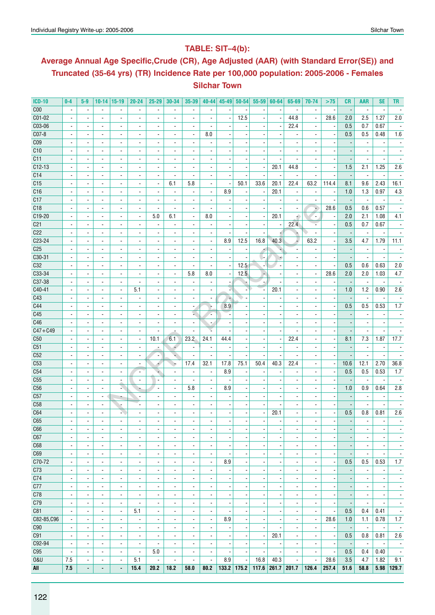# **Table: SIT–4(b):**

# **Average Annual Age Specific,Crude (CR), Age Adjusted (AAR) (with Standard Error(SE)) and Truncated (35-64 yrs) (TR) Incidence Rate per 100,000 population: 2005-2006 - Females Silchar Town**

| <b>ICD-10</b>   | $0-4$                    | $5-9$                        | $10 - 14$                | 15-19                    | $20 - 24$                | $25 - 29$                | 30-34                    | 35-39                    | $40 - 44$                    | 45-49                    | $50 - 54$                | 55-59                    | 60-64                    | 65-69                    | 70-74                    | >75                      | <b>CR</b>                | <b>AAR</b>               | <b>SE</b>                | <b>TR</b>                |
|-----------------|--------------------------|------------------------------|--------------------------|--------------------------|--------------------------|--------------------------|--------------------------|--------------------------|------------------------------|--------------------------|--------------------------|--------------------------|--------------------------|--------------------------|--------------------------|--------------------------|--------------------------|--------------------------|--------------------------|--------------------------|
| C <sub>00</sub> | $\blacksquare$           | $\blacksquare$               | $\blacksquare$           | $\blacksquare$           | $\overline{\phantom{a}}$ | $\overline{\phantom{a}}$ | $\overline{\phantom{a}}$ | $\blacksquare$           | $\overline{\phantom{a}}$     |                          |                          |                          |                          | $\blacksquare$           | $\overline{\phantom{a}}$ |                          | $\overline{\phantom{a}}$ | $\overline{\phantom{a}}$ | $\overline{\phantom{a}}$ |                          |
| $CO1-02$        |                          | $\blacksquare$               | $\overline{a}$           |                          |                          |                          |                          | $\overline{a}$           |                              |                          | 12.5                     |                          |                          | 44.8                     | $\overline{a}$           | 28.6                     | 2.0                      | 2.5                      | 1.27                     | 2.0                      |
| C03-06          |                          | $\overline{\phantom{a}}$     | $\blacksquare$           | $\overline{\phantom{a}}$ |                          |                          | $\overline{\phantom{a}}$ | $\blacksquare$           |                              |                          |                          |                          |                          | 22.4                     |                          | $\overline{\phantom{a}}$ | 0.5                      | 0.7                      | 0.67                     |                          |
| $CO7-8$         |                          |                              | $\blacksquare$           | $\blacksquare$           |                          |                          | $\overline{\phantom{a}}$ | $\overline{a}$           | 8.0                          |                          |                          |                          |                          |                          |                          |                          | 0.5                      | 0.5                      | 0.48                     | 1.6                      |
| C <sub>09</sub> | $\blacksquare$           | $\blacksquare$               | $\overline{\phantom{a}}$ | $\blacksquare$           | $\blacksquare$           | $\overline{\phantom{a}}$ | $\blacksquare$           | $\overline{\phantom{a}}$ | ä,                           |                          |                          |                          |                          | $\overline{a}$           | $\blacksquare$           |                          |                          | $\overline{\phantom{a}}$ | $\overline{\phantom{a}}$ |                          |
| C10             | $\overline{\phantom{a}}$ | $\overline{\phantom{a}}$     | $\blacksquare$           | $\overline{a}$           | $\overline{\phantom{a}}$ | $\blacksquare$           | $\blacksquare$           | $\overline{\phantom{a}}$ | ä,                           |                          |                          |                          |                          |                          |                          |                          |                          | $\overline{\phantom{a}}$ | $\overline{\phantom{a}}$ |                          |
| C11             |                          | ۰                            | $\overline{\phantom{a}}$ | $\overline{\phantom{a}}$ | $\overline{\phantom{a}}$ | ٠                        | $\overline{\phantom{a}}$ | $\overline{\phantom{a}}$ | $\qquad \qquad \blacksquare$ |                          |                          |                          |                          |                          |                          |                          |                          | $\blacksquare$           | $\overline{\phantom{a}}$ |                          |
| $C12-13$        |                          |                              | $\overline{a}$           |                          |                          |                          | ÷,                       | $\overline{a}$           |                              |                          |                          | $\overline{\phantom{a}}$ | 20.1                     | 44.8                     | $\overline{a}$           | ÷,                       | 1.5                      | 2.1                      | 1.25                     | 2.6                      |
| C14             |                          | $\blacksquare$               | $\blacksquare$           | ۰                        | $\blacksquare$           | $\blacksquare$           | $\overline{a}$           | $\blacksquare$           | $\blacksquare$               |                          |                          |                          |                          | $\blacksquare$           | $\blacksquare$           |                          | $\overline{\phantom{a}}$ | $\blacksquare$           | $\blacksquare$           |                          |
| C <sub>15</sub> |                          |                              | $\blacksquare$           | $\blacksquare$           |                          | $\overline{\phantom{a}}$ | 6.1                      | 5.8                      | $\blacksquare$               |                          | 50.1                     | 33.6                     | 20.1                     | 22.4                     | 63.2                     | 114.4                    | 8.1                      | 9.6                      | 2.43                     | 16.1                     |
| C16             |                          | $\overline{\phantom{a}}$     | $\blacksquare$           | $\blacksquare$           |                          | $\blacksquare$           | $\overline{\phantom{a}}$ | $\overline{\phantom{a}}$ | $\overline{\phantom{a}}$     | 8.9                      |                          |                          | 20.1                     | $\overline{\phantom{a}}$ | $\overline{a}$           | ×                        | 1.0                      | 1.3                      | 0.97                     | 4.3                      |
| C17             |                          |                              | $\overline{\phantom{a}}$ |                          |                          | $\blacksquare$           | $\blacksquare$           | $\blacksquare$           |                              |                          |                          |                          |                          |                          |                          | ÷,                       |                          | $\overline{\phantom{a}}$ |                          |                          |
| C18             | $\blacksquare$           | $\overline{\phantom{0}}$     | $\blacksquare$           | $\overline{\phantom{a}}$ | $\blacksquare$           | $\overline{\phantom{a}}$ | $\overline{\phantom{a}}$ | $\overline{\phantom{a}}$ | $\blacksquare$               |                          |                          | $\blacksquare$           |                          | $\overline{\phantom{a}}$ | ÷                        | 28.6                     | 0.5                      | 0.6                      | 0.57                     |                          |
| C19-20          |                          | $\blacksquare$               | $\blacksquare$           | $\blacksquare$           | $\blacksquare$           | 5.0                      | 6.1                      | $\overline{\phantom{a}}$ | 8.0                          |                          |                          | $\overline{\phantom{a}}$ | 20.1                     | ÷.                       | ٠.                       | $\overline{\phantom{a}}$ | 2.0                      | 2.1                      | 1.08                     | 4.1                      |
| C <sub>21</sub> |                          |                              | $\overline{\phantom{a}}$ | $\overline{\phantom{a}}$ |                          | $\overline{\phantom{a}}$ | $\overline{\phantom{a}}$ | $\overline{\phantom{a}}$ | ٠                            |                          |                          | $\overline{a}$           | $\overline{\phantom{a}}$ | 22.4                     |                          | $\overline{\phantom{a}}$ | 0.5                      | 0.7                      | 0.67                     |                          |
| C <sub>22</sub> |                          |                              | $\blacksquare$           |                          |                          |                          |                          |                          |                              |                          |                          |                          |                          |                          |                          |                          |                          | $\blacksquare$           |                          |                          |
| C23-24          |                          | $\blacksquare$               | $\blacksquare$           | $\overline{\phantom{a}}$ | $\blacksquare$           |                          | $\blacksquare$           | $\overline{\phantom{a}}$ | $\blacksquare$               | 8.9                      | 12.5                     | 16.8                     | 40.3                     | Γ,                       | 63.2                     | ÷,                       | 3.5                      | 4.7                      | 1.79                     | 11.1                     |
| C <sub>25</sub> |                          |                              | $\blacksquare$           | $\blacksquare$           |                          |                          |                          | $\overline{\phantom{a}}$ | $\overline{\phantom{a}}$     |                          |                          | $\sigma$                 |                          |                          |                          |                          |                          |                          |                          |                          |
| C30-31          | $\blacksquare$           | $\overline{a}$               | $\blacksquare$           | $\overline{a}$           |                          |                          | $\overline{a}$           | $\overline{a}$           | ä,                           |                          |                          | <b>.</b>                 |                          |                          |                          |                          |                          | ÷,                       | $\overline{a}$           |                          |
| C32             | $\overline{\phantom{a}}$ | $\blacksquare$               | $\overline{\phantom{a}}$ | $\blacksquare$           | $\blacksquare$           | $\overline{\phantom{a}}$ | $\blacksquare$           | $\overline{\phantom{a}}$ | $\overline{\phantom{a}}$     |                          | 12.5                     |                          |                          | $\overline{a}$           | $\overline{\phantom{a}}$ | $\overline{\phantom{a}}$ | 0.5                      | 0.6                      | 0.63                     | $2.0\,$                  |
| $C33-34$        | $\overline{\phantom{a}}$ | $\blacksquare$               | $\blacksquare$           | $\overline{\phantom{a}}$ | $\overline{\phantom{a}}$ | $\overline{\phantom{a}}$ | $\overline{a}$           | 5.8                      | 8.0                          | $\overline{\phantom{a}}$ | 12.5                     | $\overline{\phantom{a}}$ | $\overline{\phantom{a}}$ | $\overline{a}$           | $\blacksquare$           | 28.6                     | 2.0                      | 2.0                      | 1.03                     | 4.7                      |
| C37-38          | $\overline{\phantom{a}}$ | $\overline{\phantom{a}}$     | $\blacksquare$           | $\overline{\phantom{a}}$ | $\overline{\phantom{a}}$ | $\overline{\phantom{a}}$ | $\blacksquare$           | $\overline{\phantom{a}}$ | ٠                            |                          |                          |                          |                          |                          | $\overline{\phantom{a}}$ |                          |                          | $\overline{\phantom{a}}$ | $\overline{\phantom{a}}$ |                          |
| $C40-41$        |                          |                              |                          |                          | 5.1                      |                          |                          |                          |                              |                          |                          |                          | 20.1                     |                          |                          | ÷,                       | 1.0                      | 1.2                      | 0.90                     | 2.6                      |
| C43             | $\blacksquare$           | $\blacksquare$               | $\blacksquare$           | ۰                        | $\overline{\phantom{a}}$ | $\blacksquare$           | $\blacksquare$           | $\blacksquare$           | $\blacksquare$               |                          |                          |                          |                          | $\overline{a}$           | $\overline{a}$           |                          |                          | $\blacksquare$           | $\overline{\phantom{a}}$ |                          |
| C44             |                          | $\overline{a}$               | $\sim$                   | $\blacksquare$           |                          | $\overline{\phantom{a}}$ | $\overline{\phantom{a}}$ | $\overline{\phantom{a}}$ |                              | 8.9                      |                          |                          |                          |                          |                          | $\overline{\phantom{a}}$ | 0.5                      | 0.5                      | 0.53                     | 1.7                      |
| C45             |                          |                              | $\overline{\phantom{a}}$ | $\overline{\phantom{a}}$ |                          | $\overline{a}$           |                          | ¥.                       |                              |                          |                          |                          |                          |                          |                          |                          |                          |                          |                          |                          |
| C46             |                          | $\overline{a}$               | $\blacksquare$           | $\overline{a}$           |                          | $\overline{\phantom{a}}$ | $\overline{\phantom{a}}$ | $\overline{\phantom{a}}$ |                              |                          |                          |                          |                          |                          |                          |                          |                          | $\overline{\phantom{a}}$ | $\blacksquare$           |                          |
| $C47 + C49$     | $\blacksquare$           | $\blacksquare$               | $\overline{\phantom{a}}$ | $\blacksquare$           | $\blacksquare$           | $\overline{\phantom{a}}$ | $\overline{a}$           | $\blacksquare$           |                              |                          |                          |                          |                          | $\overline{a}$           | $\blacksquare$           |                          | $\overline{\phantom{a}}$ | $\blacksquare$           | $\blacksquare$           |                          |
| C50             |                          | $\blacksquare$               | $\overline{\phantom{a}}$ | $\blacksquare$           | $\blacksquare$           | 10.1                     | 6.1                      | 23.2                     | 24.1                         | 44.4                     |                          |                          | $\overline{\phantom{a}}$ | 22.4                     |                          | $\overline{\phantom{a}}$ | 8.1                      | 7.3                      | 1.87                     | 17.7                     |
| C51             |                          |                              | $\overline{\phantom{a}}$ | $\blacksquare$           | $\overline{\phantom{a}}$ |                          | 4                        | $\overline{\phantom{a}}$ |                              |                          |                          | ł,                       |                          |                          |                          |                          | $\overline{\phantom{a}}$ | $\overline{\phantom{a}}$ | $\overline{\phantom{a}}$ |                          |
| C52             |                          |                              | $\blacksquare$           |                          |                          | $\overline{\phantom{a}}$ |                          | $\overline{\phantom{a}}$ |                              |                          |                          |                          |                          |                          |                          |                          |                          | $\overline{\phantom{a}}$ |                          |                          |
| C53             |                          | $\blacksquare$               | $\blacksquare$           | $\blacksquare$           | $\blacksquare$           |                          | ۰,                       | 17.4                     | 32.1                         | 17.8                     | 75.1                     | 50.4                     | 40.3                     | 22.4                     |                          | ÷,                       | 10.6                     | 12.1                     | 2.70                     | 36.8                     |
| C <sub>54</sub> |                          |                              | $\blacksquare$           | $\blacksquare$           | $\overline{\phantom{a}}$ |                          | $\blacksquare$           |                          |                              | 8.9                      |                          |                          |                          |                          |                          |                          | 0.5                      | 0.5                      | 0.53                     | 1.7                      |
| C55             |                          | $\overline{\phantom{a}}$     | $\overline{\phantom{a}}$ | $\overline{\phantom{a}}$ | $\overline{\phantom{a}}$ |                          | $\overline{\phantom{a}}$ |                          |                              |                          |                          |                          |                          |                          |                          |                          |                          | $\blacksquare$           |                          |                          |
| C56             | $\overline{\phantom{a}}$ |                              | $\blacksquare$           | ÷                        |                          | $\overline{\phantom{a}}$ | $\blacksquare$           | 5.8                      | $\blacksquare$               | 8.9                      |                          |                          |                          |                          |                          |                          | 1.0                      | 0.9                      | 0.64                     | 2.8                      |
| C57             | $\overline{\phantom{a}}$ | $\blacksquare$               | $\sim$                   |                          | $\overline{\phantom{a}}$ | $\blacksquare$           | $\overline{\phantom{a}}$ | $\overline{\phantom{a}}$ | $\blacksquare$               |                          |                          |                          |                          |                          | $\overline{a}$           | $\overline{\phantom{a}}$ | $\overline{\phantom{a}}$ | $\overline{\phantom{a}}$ | $\overline{\phantom{a}}$ |                          |
| C58             |                          | $\qquad \qquad \blacksquare$ | $\overline{\phantom{a}}$ |                          | $\overline{\phantom{a}}$ | $\overline{\phantom{a}}$ | $\overline{\phantom{a}}$ | $\overline{\phantom{a}}$ |                              |                          |                          |                          |                          |                          |                          |                          | $\overline{\phantom{a}}$ | $\overline{\phantom{a}}$ | $\overline{\phantom{a}}$ |                          |
| C64             |                          |                              | $\blacksquare$           |                          |                          |                          |                          | $\overline{\phantom{a}}$ |                              |                          |                          | $\overline{a}$           | 20.1                     |                          |                          | $\overline{\phantom{a}}$ | 0.5                      | 0.8                      | 0.81                     | 2.6                      |
| C65             |                          |                              |                          |                          |                          |                          |                          |                          |                              |                          |                          | $\overline{a}$           |                          |                          |                          | $\overline{\phantom{a}}$ | $\overline{\phantom{a}}$ | $\blacksquare$           | $\blacksquare$           |                          |
| C66             | $\overline{\phantom{a}}$ | $\blacksquare$               | $\blacksquare$           | $\blacksquare$           | $\blacksquare$           | $\blacksquare$           | $\blacksquare$           | $\overline{\phantom{a}}$ | $\blacksquare$               | $\overline{\phantom{a}}$ | $\overline{\phantom{a}}$ | $\blacksquare$           | $\overline{\phantom{a}}$ | $\blacksquare$           | $\overline{\phantom{a}}$ | $\overline{\phantom{a}}$ | $\overline{\phantom{m}}$ | $\overline{\phantom{a}}$ | $\overline{\phantom{a}}$ | $\overline{\phantom{a}}$ |
| C67             | $\overline{\phantom{a}}$ | $\blacksquare$               | $\blacksquare$           | $\blacksquare$           | $\blacksquare$           | $\overline{\phantom{a}}$ | $\blacksquare$           | $\overline{\phantom{a}}$ | $\blacksquare$               |                          |                          | $\overline{\phantom{a}}$ |                          | $\blacksquare$           | $\overline{\phantom{a}}$ | $\overline{\phantom{a}}$ |                          | $\overline{\phantom{a}}$ | $\overline{\phantom{a}}$ | $\overline{\phantom{a}}$ |
| C68             | $\blacksquare$           | $\blacksquare$               | $\blacksquare$           | $\overline{\phantom{a}}$ | $\overline{\phantom{a}}$ | $\overline{\phantom{a}}$ | $\overline{a}$           | $\blacksquare$           | $\overline{\phantom{a}}$     |                          |                          | $\overline{\phantom{a}}$ |                          | $\blacksquare$           | $\blacksquare$           | $\overline{\phantom{a}}$ | $\overline{\phantom{a}}$ | $\blacksquare$           | $\blacksquare$           | $\overline{\phantom{a}}$ |
| C69             | $\overline{\phantom{a}}$ | $\blacksquare$               | $\overline{\phantom{a}}$ | $\blacksquare$           | $\overline{\phantom{a}}$ | $\overline{\phantom{a}}$ | $\overline{\phantom{a}}$ | $\overline{\phantom{a}}$ | $\overline{\phantom{a}}$     |                          | $\overline{\phantom{a}}$ | $\overline{\phantom{a}}$ |                          | $\blacksquare$           | $\overline{\phantom{a}}$ | $\overline{\phantom{a}}$ | $\overline{\phantom{a}}$ | $\overline{\phantom{a}}$ | $\overline{\phantom{a}}$ | $\overline{\phantom{a}}$ |
| C70-72          | $\overline{\phantom{a}}$ | $\blacksquare$               | $\blacksquare$           | $\blacksquare$           | $\overline{\phantom{a}}$ | $\blacksquare$           | $\overline{\phantom{a}}$ | $\blacksquare$           | $\blacksquare$               | 8.9                      | $\blacksquare$           | $\overline{a}$           | $\overline{\phantom{a}}$ | $\overline{\phantom{a}}$ | $\blacksquare$           | $\overline{\phantom{a}}$ | 0.5                      | 0.5                      | 0.53                     | 1.7                      |
| C73             | $\overline{\phantom{a}}$ | $\overline{\phantom{a}}$     | $\overline{\phantom{a}}$ | $\overline{\phantom{a}}$ | $\overline{\phantom{a}}$ | $\overline{\phantom{a}}$ | $\overline{\phantom{a}}$ | $\overline{\phantom{a}}$ | $\overline{\phantom{a}}$     |                          | $\overline{\phantom{a}}$ | $\overline{a}$           |                          | $\overline{\phantom{a}}$ | $\overline{\phantom{a}}$ | $\overline{\phantom{a}}$ | $\overline{\phantom{a}}$ | $\overline{\phantom{a}}$ | $\overline{\phantom{a}}$ | $\overline{\phantom{a}}$ |
| C74             | $\overline{\phantom{a}}$ | $\blacksquare$               | $\overline{a}$           |                          | $\overline{\phantom{a}}$ | $\overline{\phantom{a}}$ | $\overline{\phantom{a}}$ | $\overline{a}$           | ä,                           |                          |                          | ÷,                       |                          | $\overline{a}$           | $\blacksquare$           | $\overline{\phantom{a}}$ | $\overline{\phantom{a}}$ | $\overline{a}$           | $\blacksquare$           | $\overline{\phantom{a}}$ |
| C77             | $\overline{\phantom{a}}$ | $\blacksquare$               | $\blacksquare$           | $\blacksquare$           | $\blacksquare$           | $\blacksquare$           | $\overline{\phantom{a}}$ | $\overline{\phantom{a}}$ | $\blacksquare$               |                          |                          | ÷,                       |                          | $\blacksquare$           | $\blacksquare$           | $\overline{\phantom{a}}$ | $\overline{\phantom{a}}$ | $\blacksquare$           | $\overline{\phantom{a}}$ | $\overline{\phantom{a}}$ |
| C78             | $\blacksquare$           | $\blacksquare$               | $\blacksquare$           | $\blacksquare$           | $\blacksquare$           | $\overline{\phantom{a}}$ | $\blacksquare$           | $\blacksquare$           | $\blacksquare$               |                          |                          | $\overline{\phantom{a}}$ | $\overline{\phantom{a}}$ | $\overline{\phantom{a}}$ | $\blacksquare$           | $\overline{\phantom{a}}$ | $\overline{\phantom{a}}$ | $\blacksquare$           | $\overline{\phantom{a}}$ | $\overline{\phantom{a}}$ |
| C79             | $\overline{\phantom{a}}$ | $\overline{\phantom{a}}$     | $\overline{\phantom{a}}$ | $\overline{\phantom{a}}$ | $\blacksquare$           | $\overline{\phantom{a}}$ | $\overline{\phantom{a}}$ | $\overline{\phantom{a}}$ | $\overline{\phantom{a}}$     |                          |                          | $\overline{a}$           |                          | $\overline{\phantom{a}}$ | $\overline{\phantom{a}}$ | $\overline{\phantom{a}}$ | $\overline{\phantom{a}}$ | $\overline{\phantom{a}}$ | $\overline{\phantom{a}}$ | $\overline{\phantom{a}}$ |
| C81             | $\blacksquare$           | $\overline{\phantom{a}}$     | $\overline{\phantom{a}}$ | $\overline{\phantom{a}}$ | 5.1                      | $\overline{\phantom{a}}$ | $\blacksquare$           | $\overline{\phantom{a}}$ | $\overline{\phantom{a}}$     |                          |                          | $\overline{\phantom{a}}$ |                          | $\blacksquare$           | $\overline{\phantom{a}}$ | ÷,                       | 0.5                      | 0.4                      | 0.41                     | $\overline{\phantom{a}}$ |
| C82-85, C96     | $\overline{\phantom{a}}$ | $\overline{\phantom{a}}$     | $\overline{\phantom{a}}$ | $\blacksquare$           | $\overline{\phantom{a}}$ | $\overline{\phantom{a}}$ | $\overline{\phantom{a}}$ | $\overline{\phantom{a}}$ | $\overline{\phantom{a}}$     | 8.9                      | $\overline{\phantom{a}}$ | $\overline{\phantom{a}}$ | $\overline{\phantom{a}}$ | $\overline{\phantom{a}}$ | $\overline{\phantom{a}}$ | 28.6                     | 1.0                      | 1.1                      | 0.78                     | 1.7                      |
| C <sub>90</sub> | $\overline{\phantom{a}}$ | $\overline{\phantom{a}}$     | $\overline{\phantom{a}}$ | $\blacksquare$           | $\overline{\phantom{a}}$ | $\overline{\phantom{a}}$ | $\overline{\phantom{a}}$ | $\overline{\phantom{a}}$ | $\overline{\phantom{a}}$     |                          | $\overline{\phantom{a}}$ | $\overline{\phantom{a}}$ |                          | $\blacksquare$           | $\overline{\phantom{a}}$ | $\overline{\phantom{a}}$ | $\overline{\phantom{a}}$ | $\overline{\phantom{a}}$ | $\overline{\phantom{a}}$ | $\overline{\phantom{a}}$ |
| C91             | $\overline{\phantom{a}}$ | $\overline{\phantom{a}}$     | $\blacksquare$           | $\blacksquare$           | $\overline{\phantom{a}}$ | $\overline{\phantom{a}}$ | $\overline{\phantom{a}}$ | $\overline{\phantom{a}}$ | $\overline{\phantom{a}}$     |                          | $\overline{\phantom{a}}$ | $\overline{\phantom{a}}$ | 20.1                     | $\overline{\phantom{a}}$ | $\overline{\phantom{a}}$ | ÷                        | 0.5                      | 0.8                      | 0.81                     | 2.6                      |
| C92-94          | $\overline{\phantom{a}}$ | $\blacksquare$               | $\blacksquare$           |                          | $\overline{\phantom{a}}$ | $\blacksquare$           | $\blacksquare$           | $\blacksquare$           | $\blacksquare$               |                          | $\overline{\phantom{a}}$ | $\overline{\phantom{a}}$ |                          |                          | $\overline{\phantom{a}}$ | $\overline{\phantom{a}}$ |                          | $\blacksquare$           | $\overline{\phantom{a}}$ | $\overline{\phantom{a}}$ |
| C95             | $\overline{\phantom{a}}$ | $\blacksquare$               | $\blacksquare$           | $\blacksquare$           | $\overline{\phantom{a}}$ | 5.0                      | $\overline{\phantom{a}}$ | $\blacksquare$           | $\blacksquare$               |                          | $\overline{\phantom{a}}$ | $\blacksquare$           |                          | $\blacksquare$           | $\blacksquare$           | $\overline{\phantom{a}}$ | 0.5                      | 0.4                      | 0.40                     | $\overline{\phantom{a}}$ |
| <b>0&amp;U</b>  | 7.5                      | $\overline{\phantom{a}}$     | $\overline{\phantom{a}}$ | $\blacksquare$           | 5.1                      | $\overline{\phantom{a}}$ | $\blacksquare$           | $\blacksquare$           | ÷,                           | 8.9                      |                          | 16.8                     | 40.3                     | $\overline{\phantom{a}}$ | $\overline{\phantom{a}}$ | 28.6                     | 3.5                      | 4.7                      | 1.82                     | 9.1                      |
| All             | 7.5                      | ٠                            | ٠                        |                          | 15.4                     | 20.2                     | 18.2                     | 58.0                     | 80.2                         | $133.2$ 175.2            |                          | 117.6                    | $261.7$ 201.7            |                          | 126.4                    | 257.4                    | 51.6                     | 58.8                     |                          | 5.98 129.7               |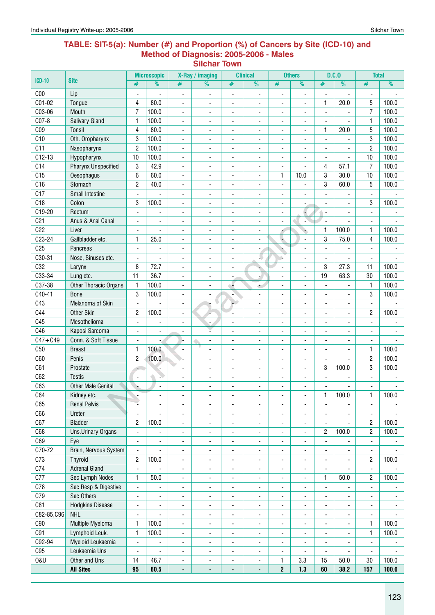#### **Table: SIT-5(a): Number (#) and Proportion (%) of Cancers by Site (ICD-10) and Method of Diagnosis: 2005-2006 - Males Silchar Town**

|                 |                            |                              | <b>Microscopic</b>       |                              | X-Ray / imaging          |                              | <b>Clinical</b>              |                              | <b>Others</b>                |                          | D.C.0                    | <b>Total</b>             |                          |
|-----------------|----------------------------|------------------------------|--------------------------|------------------------------|--------------------------|------------------------------|------------------------------|------------------------------|------------------------------|--------------------------|--------------------------|--------------------------|--------------------------|
| $ICD-10$        | <b>Site</b>                | #                            | %                        | #                            | $\overline{\%}$          | #                            | $\overline{\frac{9}{0}}$     | #                            | $\frac{1}{2}$                | #                        | $\frac{9}{6}$            | $\#$                     | $\frac{9}{6}$            |
| C <sub>00</sub> | Lip                        | $\overline{a}$               |                          | $\overline{\phantom{a}}$     | ٠                        |                              | ÷,                           |                              | Ĭ.                           | L,                       |                          | ÷,                       |                          |
| C01-02          | Tongue                     | 4                            | 80.0                     | $\blacksquare$               | ٠                        | $\overline{a}$               |                              | $\blacksquare$               | ÷,                           | 1                        | 20.0                     | 5                        | 100.0                    |
| C03-06          | Mouth                      | $\overline{7}$               | 100.0                    | $\qquad \qquad \blacksquare$ | $\overline{\phantom{a}}$ | $\overline{\phantom{a}}$     | $\overline{\phantom{a}}$     | $\overline{\phantom{a}}$     | ÷,                           |                          |                          | $\overline{7}$           | 100.0                    |
| C07-8           | <b>Salivary Gland</b>      | $\mathbf{1}$                 | 100.0                    | $\overline{\phantom{a}}$     | $\overline{\phantom{a}}$ | $\blacksquare$               | $\blacksquare$               | $\overline{\phantom{a}}$     | $\blacksquare$               |                          |                          | $\mathbf{1}$             | 100.0                    |
| C <sub>09</sub> | <b>Tonsil</b>              | $\overline{4}$               | 80.0                     | $\blacksquare$               | ٠                        | $\frac{1}{2}$                | $\overline{\phantom{a}}$     | $\blacksquare$               | $\overline{\phantom{a}}$     | 1                        | 20.0                     | 5                        | 100.0                    |
| C10             | Oth. Oropharynx            | 3                            | 100.0                    | $\overline{\phantom{a}}$     | $\overline{a}$           | ä,                           | ٠                            | $\overline{\phantom{a}}$     | ٠                            | $\overline{a}$           |                          | 3                        | 100.0                    |
| C11             | Nasopharynx                | $\overline{c}$               | 100.0                    | $\blacksquare$               | ä,                       | ٠                            | $\overline{\phantom{a}}$     | $\blacksquare$               | ÷,                           | $\blacksquare$           | ÷,                       | $\overline{c}$           | 100.0                    |
| $C12-13$        | Hypopharynx                | 10                           | 100.0                    | $\blacksquare$               | $\overline{a}$           | ä,                           |                              | ä,                           | ä,                           |                          | $\blacksquare$           | 10                       | 100.0                    |
| C14             | <b>Pharynx Unspecified</b> | 3                            | 42.9                     | $\blacksquare$               | $\blacksquare$           | ä,                           | ٠                            | ä,                           | ä,                           | 4                        | 57.1                     | 7                        | 100.0                    |
| C15             | Oesophagus                 | 6                            | 60.0                     | $\qquad \qquad \blacksquare$ | ٠                        | ÷,                           | $\overline{\phantom{a}}$     | $\mathbf{1}$                 | 10.0                         | 3                        | 30.0                     | 10                       | 100.0                    |
| C16             | Stomach                    | $\overline{c}$               | 40.0                     | $\blacksquare$               | ٠                        | ÷,                           | ٠                            | $\overline{\phantom{a}}$     | Ĭ.                           | 3                        | 60.0                     | 5                        | 100.0                    |
| C17             | Small Intestine            | $\blacksquare$               | L,                       | $\blacksquare$               | $\overline{\phantom{a}}$ | $\frac{1}{2}$                | $\blacksquare$               | $\blacksquare$               | $\overline{\phantom{a}}$     | $\blacksquare$           | $\blacksquare$           | $\overline{\phantom{a}}$ |                          |
| C18             | Colon                      | 3                            | 100.0                    | $\blacksquare$               | $\blacksquare$           | ä,                           | $\overline{\phantom{a}}$     | ä,                           | ٠                            | $\overline{a}$           | $\overline{a}$           | 3                        | 100.0                    |
| C19-20          | Rectum                     | ä,                           | ÷,                       | ÷,                           | $\overline{\phantom{0}}$ | $\frac{1}{2}$                | $\overline{\phantom{a}}$     | $\blacksquare$               |                              | $\overline{\phantom{a}}$ | $\blacksquare$           | $\blacksquare$           |                          |
| C <sub>21</sub> | Anus & Anal Canal          | ä,                           | ä,                       | ä,                           | $\overline{a}$           | Ĭ.                           | ä,                           | ÷,                           |                              | $\overline{a}$           |                          | $\overline{\phantom{a}}$ |                          |
| C22             | Liver                      | $\frac{1}{2}$                |                          | $\qquad \qquad \blacksquare$ | $\overline{\phantom{a}}$ | $\overline{\phantom{0}}$     | $\qquad \qquad \blacksquare$ |                              |                              | 1                        | 100.0                    | $\mathbf{1}$             | 100.0                    |
| C23-24          | Gallbladder etc.           | 1                            | 25.0                     | $\overline{\phantom{a}}$     | ٠                        | $\blacksquare$               | $\blacksquare$               | ÷                            | ÷,                           | 3                        | 75.0                     | 4                        | 100.0                    |
| C <sub>25</sub> | Pancreas                   | $\blacksquare$               | $\blacksquare$           | $\blacksquare$               | $\overline{\phantom{a}}$ | $\frac{1}{2}$                | $\overline{\phantom{a}}$     | r,                           | $\overline{\phantom{a}}$     | $\blacksquare$           | $\blacksquare$           | $\overline{\phantom{a}}$ |                          |
| C30-31          | Nose, Sinuses etc.         | $\overline{a}$               |                          | ۰                            | ä,                       | ÷,                           | 4                            | ù.                           | ٠                            | $\overline{a}$           |                          | $\blacksquare$           |                          |
| C32             | Larynx                     | 8                            | 72.7                     | ٠                            |                          |                              |                              |                              |                              | 3                        | 27.3                     | 11                       | 100.0                    |
| C33-34          | Lung etc.                  | 11                           | 36.7                     | $\overline{a}$               |                          | -                            |                              | ٠                            | ٠                            | 19                       | 63.3                     | 30                       | 100.0                    |
| C37-38          | Other Thoracic Organs      | 1                            | 100.0                    | $\qquad \qquad \blacksquare$ |                          | ÷                            | ا ک                          | $\overline{\phantom{a}}$     | ٠                            |                          |                          | 1                        | 100.0                    |
| C40-41          | <b>Bone</b>                | 3                            | 100.0                    | $\qquad \qquad \blacksquare$ | ٠                        | ٠                            | $\overline{\phantom{a}}$     | $\overline{\phantom{a}}$     | ۰                            | ä,                       | $\overline{\phantom{a}}$ | 3                        | 100.0                    |
| C43             | Melanoma of Skin           | $\overline{\phantom{a}}$     |                          | $\overline{\phantom{a}}$     | U                        | - 2                          | $\overline{\phantom{a}}$     | $\overline{\phantom{a}}$     | ٠                            | $\blacksquare$           | ٠                        | $\overline{\phantom{a}}$ |                          |
| C44             | Other Skin                 | 2                            | 100.0                    | Ĭ.                           |                          | ÷,                           | $\overline{\phantom{a}}$     | $\blacksquare$               | ÷,                           | $\overline{a}$           | ÷.                       | 2                        | 100.0                    |
| C45             | Mesothelioma               | $\overline{a}$               |                          | ä,                           | $\overline{\phantom{a}}$ | ä,                           | $\overline{\phantom{a}}$     | $\blacksquare$               | ÷.                           |                          |                          |                          |                          |
| C46             | Kaposi Sarcoma             | $\blacksquare$               | ÷,                       | ٠                            | ř.                       | $\blacksquare$               | $\overline{\phantom{a}}$     | $\overline{\phantom{a}}$     | ä,                           |                          | ÷.                       | $\overline{\phantom{a}}$ |                          |
| $C47 + C49$     | Conn. & Soft Tissue        | L,                           | Ξ.                       | H                            | ٠                        | $\blacksquare$               | $\blacksquare$               | $\blacksquare$               | ÷,                           | ä,                       | $\overline{\phantom{a}}$ | $\overline{\phantom{a}}$ |                          |
| C50             | <b>Breast</b>              | 1                            | 100.0                    | ÷,                           | $\blacksquare$           | $\blacksquare$               | $\overline{\phantom{a}}$     | $\overline{\phantom{a}}$     | $\overline{\phantom{a}}$     | $\blacksquare$           | $\blacksquare$           | 1                        | 100.0                    |
| C60             | Penis                      | $\overline{c}$               | 100.0                    | ↘.                           | ÷,                       | $\overline{a}$               | ä,                           | Ĭ.                           | ä,                           | $\blacksquare$           | ÷,                       | $\overline{c}$           | 100.0                    |
| C61             | Prostate                   | $\blacksquare$               | ä,                       | ٠                            | $\overline{a}$           | ÷,                           |                              | ٠                            |                              | 3                        | 100.0                    | 3                        | 100.0                    |
| C62             | <b>Testis</b>              | $\overline{\phantom{a}}$     | ¥.                       | -                            | -                        | -                            | $\overline{a}$               | $\overline{a}$               | ٠                            |                          |                          |                          |                          |
| C63             | <b>Other Male Genital</b>  |                              | $\blacksquare$           | ٠                            | -                        | $\overline{a}$               |                              | $\qquad \qquad \blacksquare$ | ٠                            |                          |                          | ٠                        |                          |
| C64             | Kidney etc.                |                              |                          |                              |                          |                              |                              |                              |                              | 1                        | 100.0                    | $\mathbf{1}$             | 100.0                    |
| C65             | <b>Renal Pelvis</b>        | Ľ                            | ٠                        | ٠                            | $\overline{\phantom{0}}$ | $\overline{\phantom{m}}$     | $\qquad \qquad \blacksquare$ | ٠                            | ٠                            | $\overline{\phantom{a}}$ | $\overline{\phantom{a}}$ | $\overline{\phantom{a}}$ | ٠                        |
| C66             | Ureter                     |                              | $\overline{\phantom{0}}$ | ÷,                           | $\overline{\phantom{0}}$ | $\frac{1}{2}$                | ٠                            | $\blacksquare$               | Ĭ.                           |                          |                          | $\blacksquare$           |                          |
| C67             | <b>Bladder</b>             | 2                            | 100.0                    | $\qquad \qquad \blacksquare$ | $\overline{\phantom{a}}$ | $\overline{\phantom{a}}$     | ٠                            | $\overline{\phantom{a}}$     | ٠                            |                          |                          | $\overline{\mathbf{c}}$  | 100.0                    |
| C68             | <b>Uns.Urinary Organs</b>  | $\overline{\phantom{a}}$     | $\overline{\phantom{a}}$ | $\qquad \qquad \blacksquare$ | $\overline{\phantom{a}}$ | $\overline{\phantom{a}}$     | $\blacksquare$               | $\overline{\phantom{a}}$     | ÷,                           | $\overline{c}$           | 100.0                    | $\overline{c}$           | 100.0                    |
| C69             | Eye                        | $\overline{a}$               | ÷,                       | ÷,                           | ٠                        | $\blacksquare$               | $\overline{\phantom{a}}$     | $\blacksquare$               | ä,                           | $\blacksquare$           |                          | $\blacksquare$           |                          |
| C70-72          | Brain, Nervous System      | $\blacksquare$               |                          | ۰                            | $\overline{\phantom{a}}$ | $\overline{\phantom{a}}$     | ٠                            | $\overline{\phantom{a}}$     | ٠                            | $\blacksquare$           |                          | $\blacksquare$           |                          |
| C73             | <b>Thyroid</b>             | $\overline{c}$               | 100.0                    | ٠                            | ٠                        | ٠                            | $\blacksquare$               | $\blacksquare$               | ÷,                           | ä,                       |                          | 2                        | 100.0                    |
| C74             | <b>Adrenal Gland</b>       | $\frac{1}{2}$                |                          | $\qquad \qquad \blacksquare$ | $\overline{\phantom{0}}$ | $\qquad \qquad \blacksquare$ | $\qquad \qquad \blacksquare$ | $\overline{\phantom{a}}$     | ÷,                           |                          |                          | $\overline{\phantom{a}}$ |                          |
| C77             | Sec Lymph Nodes            | $\mathbf{1}$                 | 50.0                     | -                            | -                        | -                            | $\qquad \qquad \blacksquare$ | -                            | ٠                            | 1                        | 50.0                     | $\overline{\mathbf{c}}$  | 100.0                    |
| C78             | Sec Resp & Digestive       | $\overline{\phantom{a}}$     | $\overline{\phantom{a}}$ | $\overline{\phantom{a}}$     | $\overline{\phantom{a}}$ | $\overline{\phantom{a}}$     | -                            | ٠                            | $\qquad \qquad \blacksquare$ | $\overline{\phantom{a}}$ | ۰                        | $\overline{\phantom{a}}$ | $\blacksquare$           |
| C79             | Sec Others                 | $\qquad \qquad \blacksquare$ | $\overline{\phantom{a}}$ | $\qquad \qquad \blacksquare$ | $\overline{\phantom{a}}$ | $\overline{\phantom{a}}$     | $\qquad \qquad \blacksquare$ | ٠                            | $\overline{\phantom{a}}$     | $\overline{\phantom{a}}$ | ۰                        | $\overline{\phantom{a}}$ | $\blacksquare$           |
| C81             | <b>Hodgkins Disease</b>    | $\overline{a}$               | $\overline{\phantom{0}}$ | ٠                            | $\overline{\phantom{0}}$ | $\qquad \qquad \blacksquare$ | $\blacksquare$               | $\qquad \qquad \blacksquare$ | ÷,                           | $\overline{\phantom{a}}$ | -                        | $\overline{\phantom{a}}$ | $\overline{\phantom{a}}$ |
| C82-85, C96     | <b>NHL</b>                 | $\overline{a}$               | $\overline{\phantom{0}}$ | ٠                            | $\overline{\phantom{0}}$ | $\qquad \qquad \blacksquare$ | $\qquad \qquad \blacksquare$ | $\blacksquare$               | ÷,                           |                          | ٠                        | $\blacksquare$           |                          |
| C90             | Multiple Myeloma           | 1                            | 100.0                    | -                            | -                        | $\qquad \qquad \blacksquare$ | ۰                            | ۰                            | ۰                            |                          | ٠                        | $\mathbf{1}$             | 100.0                    |
| C91             | Lymphoid Leuk.             | $\mathbf{1}$                 | 100.0                    | $\blacksquare$               | $\overline{\phantom{a}}$ | $\blacksquare$               | $\overline{\phantom{a}}$     | $\overline{\phantom{a}}$     | ٠                            | $\overline{\phantom{a}}$ | $\overline{\phantom{a}}$ | $\mathbf{1}$             | 100.0                    |
| C92-94          | Myeloid Leukaemia          | $\overline{\phantom{a}}$     | $\overline{\phantom{a}}$ | $\qquad \qquad \blacksquare$ | ٠                        | $\frac{1}{2}$                | $\overline{\phantom{a}}$     | $\overline{\phantom{a}}$     | $\blacksquare$               | $\overline{\phantom{a}}$ | $\overline{\phantom{a}}$ | $\overline{\phantom{a}}$ |                          |
| C95             | Leukaemia Uns              | $\blacksquare$               |                          | ٠                            | $\overline{\phantom{0}}$ | $\frac{1}{2}$                | $\blacksquare$               | $\blacksquare$               |                              | $\blacksquare$           |                          | ÷,                       |                          |
| <b>0&amp;U</b>  | Other and Uns              | 14                           | 46.7                     | ÷,                           | ٠                        | ٠                            | ٠                            | $\mathbf{1}$                 | 3.3                          | 15                       | 50.0                     | $30\,$                   | 100.0                    |
|                 | <b>All Sites</b>           | 95                           | 60.5                     | ٠                            | ٠                        | $\blacksquare$               | ٠                            | $\boldsymbol{2}$             | $1.3$                        | 60                       | 38.2                     | 157                      | 100.0                    |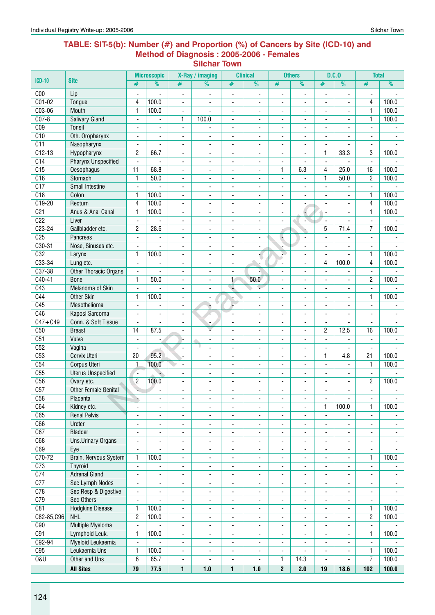#### **Table: SIT-5(b): Number (#) and Proportion (%) of Cancers by Site (ICD-10) and Method of Diagnosis : 2005-2006 - Females Silchar Town**

|                  |                                        |                                            | <b>Microscopic</b>             |                                                      | X-Ray / imaging                  |                                            | <b>Clinical</b>                            |                                            | <b>Others</b>            |                                          | D.C.0                            | <b>Total</b>             |                          |
|------------------|----------------------------------------|--------------------------------------------|--------------------------------|------------------------------------------------------|----------------------------------|--------------------------------------------|--------------------------------------------|--------------------------------------------|--------------------------|------------------------------------------|----------------------------------|--------------------------|--------------------------|
| <b>ICD-10</b>    | <b>Site</b>                            | #                                          | $\overline{\frac{9}{0}}$       | #                                                    | $\overline{\%}$                  | #                                          | $\overline{\frac{9}{6}}$                   | #                                          | $\overline{\frac{9}{0}}$ | #                                        | $\frac{9}{6}$                    | #                        | $\overline{\frac{9}{0}}$ |
| C <sub>00</sub>  | Lip                                    | Ĭ.                                         |                                | ۰                                                    | $\overline{a}$                   | $\overline{\phantom{a}}$                   | $\overline{\phantom{a}}$                   | ٠                                          | ٠                        |                                          | L,                               | ٠                        |                          |
| $C01-02$         | Tongue                                 | 4                                          | 100.0                          | $\blacksquare$                                       | $\blacksquare$                   | $\overline{\phantom{a}}$                   | $\blacksquare$                             | $\overline{\phantom{a}}$                   | $\overline{\phantom{a}}$ | $\blacksquare$                           | $\blacksquare$                   | 4                        | 100.0                    |
| C03-06           | Mouth                                  | 1                                          | 100.0                          | $\blacksquare$                                       | $\blacksquare$                   | $\blacksquare$                             | $\blacksquare$                             | $\blacksquare$                             | $\blacksquare$           | $\overline{a}$                           | $\blacksquare$                   | 1                        | 100.0                    |
| $CO7-8$          | <b>Salivary Gland</b>                  | $\overline{\phantom{a}}$                   |                                | 1                                                    | 100.0                            | $\overline{\phantom{a}}$                   | $\overline{\phantom{a}}$                   | ۰                                          | -                        | $\overline{\phantom{a}}$                 | $\overline{\phantom{a}}$         | $\mathbf{1}$             | 100.0                    |
| C <sub>09</sub>  | <b>Tonsil</b>                          | $\blacksquare$                             |                                | $\overline{\phantom{a}}$                             |                                  | ٠                                          | $\blacksquare$                             | $\overline{\phantom{a}}$                   | ä,                       |                                          | ٠                                | ٠                        |                          |
| C10              | Oth. Oropharynx                        | $\blacksquare$                             | $\blacksquare$                 | $\blacksquare$                                       | $\blacksquare$                   | $\blacksquare$                             | ä,                                         | $\blacksquare$                             | $\blacksquare$           | $\overline{a}$                           | $\overline{\phantom{a}}$         | ä,                       |                          |
| $\overline{C11}$ | Nasopharynx                            | $\overline{\phantom{a}}$                   | $\blacksquare$                 | $\blacksquare$                                       | $\blacksquare$                   | $\blacksquare$                             |                                            | ä,                                         | $\blacksquare$           | $\overline{a}$                           | $\blacksquare$                   | $\overline{\phantom{0}}$ |                          |
| $C12-13$         | Hypopharynx                            | $\overline{c}$                             | 66.7                           | $\overline{\phantom{a}}$                             | $\overline{\phantom{a}}$         | $\overline{\phantom{a}}$                   | $\blacksquare$                             | $\overline{\phantom{a}}$                   | $\overline{\phantom{a}}$ | 1                                        | 33.3                             | 3                        | 100.0                    |
| C <sub>14</sub>  | <b>Pharynx Unspecified</b>             | $\overline{a}$                             | L.                             | $\overline{\phantom{a}}$                             | ÷,                               | ÷,                                         | $\overline{\phantom{a}}$                   | $\blacksquare$                             | $\overline{a}$           | $\overline{a}$                           |                                  | $\overline{\phantom{a}}$ |                          |
| $\overline{C15}$ | Oesophagus                             | 11                                         | 68.8                           | $\blacksquare$                                       | $\blacksquare$                   | $\overline{\phantom{a}}$                   | $\blacksquare$                             | 1                                          | 6.3                      | 4                                        | 25.0                             | 16                       | 100.0                    |
| C16              | Stomach                                | $\mathbf{1}$                               | 50.0                           | $\overline{\phantom{a}}$                             | $\overline{\phantom{a}}$         | $\overline{\phantom{a}}$                   | $\overline{\phantom{a}}$                   | $\overline{\phantom{a}}$                   |                          | $\mathbf{1}$                             | 50.0                             | $\overline{2}$           | 100.0                    |
| $\overline{C17}$ | <b>Small Intestine</b>                 | $\overline{\phantom{a}}$                   |                                | $\overline{\phantom{a}}$                             | $\overline{\phantom{a}}$         | $\overline{\phantom{a}}$                   | $\overline{\phantom{a}}$                   | $\overline{\phantom{a}}$                   | $\overline{\phantom{0}}$ |                                          |                                  | ٠                        |                          |
| C18              | Colon                                  | $\mathbf{1}$                               | 100.0                          | ÷,                                                   | $\blacksquare$                   | $\blacksquare$                             | $\blacksquare$                             | $\blacksquare$                             | $\overline{a}$           | $\mathbf{r}$                             | ÷.                               | $\mathbf{1}$             | 100.0                    |
| $C19-20$         | Rectum                                 | 4                                          | 100.0                          | $\blacksquare$                                       | $\overline{\phantom{a}}$         | $\overline{\phantom{a}}$                   | $\blacksquare$                             | $\overline{\phantom{a}}$                   |                          | $\blacksquare$                           | $\blacksquare$                   | $\overline{\mathcal{A}}$ | 100.0                    |
| C <sub>21</sub>  | Anus & Anal Canal                      | $\mathbf{1}$                               | 100.0                          | $\overline{\phantom{a}}$                             | $\overline{\phantom{a}}$         | $\overline{\phantom{a}}$                   | $\overline{\phantom{a}}$                   | $\overline{\phantom{a}}$                   | $\overline{\phantom{a}}$ | $\overline{\phantom{a}}$                 | $\overline{\phantom{a}}$         | $\mathbf{1}$             | 100.0                    |
| C <sub>22</sub>  | Liver                                  | $\blacksquare$                             | ÷,                             | $\blacksquare$                                       | $\blacksquare$                   | $\overline{\phantom{a}}$                   | $\blacksquare$                             | $\overline{\phantom{a}}$                   | à.                       | $\blacksquare$                           | $\blacksquare$                   | $\overline{\phantom{a}}$ |                          |
| $C23-24$         | Gallbladder etc.                       | $\overline{c}$                             | 28.6                           | $\overline{\phantom{a}}$                             | $\blacksquare$                   | $\overline{\phantom{a}}$                   | $\blacksquare$                             | ÷                                          |                          | 5                                        | 71.4                             | $\overline{7}$           | 100.0                    |
| C <sub>25</sub>  | Pancreas                               | $\overline{\phantom{a}}$                   |                                | $\overline{\phantom{a}}$                             | $\overline{\phantom{a}}$         | ۰                                          | $\overline{\phantom{a}}$                   | ÷                                          | $\overline{\phantom{a}}$ |                                          |                                  | $\overline{\phantom{a}}$ |                          |
| $C30-31$         | Nose, Sinuses etc.                     |                                            |                                | ۰                                                    | $\overline{a}$                   | $\qquad \qquad \blacksquare$               | $\overline{\phantom{a}}$                   | -                                          |                          |                                          | $\overline{\phantom{a}}$         | $\overline{\phantom{a}}$ |                          |
| C32              | Larynx                                 | 1                                          | 100.0                          | $\blacksquare$                                       | $\blacksquare$                   | ä,                                         |                                            | N.                                         | $\blacksquare$           | $\blacksquare$                           | $\blacksquare$                   | $\mathbf{1}$             | 100.0                    |
| C33-34<br>C37-38 | Lung etc.                              | $\blacksquare$                             | $\blacksquare$                 | $\blacksquare$                                       | $\blacksquare$                   | $\blacksquare$                             |                                            | $\blacksquare$                             | $\blacksquare$           | 4                                        | 100.0                            | 4                        | 100.0                    |
| $C40-41$         | Other Thoracic Organs                  | $\blacksquare$<br>$\mathbf{1}$             | $\blacksquare$<br>50.0         | $\overline{\phantom{a}}$                             | $\overline{a}$                   | $\overline{\phantom{m}}$<br>1              | 50.0                                       | $\overline{\phantom{a}}$                   | $\blacksquare$           | $\overline{a}$                           | $\blacksquare$                   | $\blacksquare$           | 100.0                    |
| C43              | <b>Bone</b><br><b>Melanoma of Skin</b> | $\blacksquare$                             | $\overline{a}$                 | $\overline{\phantom{a}}$<br>$\overline{\phantom{a}}$ | $\blacksquare$<br>$\blacksquare$ | u                                          | ÷                                          | $\overline{\phantom{a}}$<br>$\blacksquare$ | $\blacksquare$<br>÷,     | $\blacksquare$<br>$\blacksquare$         | ٠                                | 2<br>ä,                  |                          |
| C44              | <b>Other Skin</b>                      | $\mathbf{1}$                               | 100.0                          |                                                      | $\overline{a}$                   |                                            | $\blacksquare$                             | ä,                                         | $\blacksquare$           | $\blacksquare$                           | $\blacksquare$<br>$\blacksquare$ | 1                        | 100.0                    |
| C45              | Mesothelioma                           |                                            |                                | $\overline{\phantom{a}}$                             |                                  | ÷                                          |                                            |                                            |                          |                                          |                                  |                          |                          |
| C46              | Kaposi Sarcoma                         | $\blacksquare$                             |                                | ٠                                                    | ۸                                | ÷                                          | $\overline{\phantom{a}}$                   | ٠                                          | $\overline{\phantom{0}}$ |                                          |                                  | $\overline{\phantom{a}}$ |                          |
| $C47 + C49$      | Conn. & Soft Tissue                    | $\overline{\phantom{a}}$<br>$\blacksquare$ | $\overline{\phantom{a}}$<br>L. | $\overline{\phantom{a}}$<br>$\overline{\phantom{a}}$ | $\overline{\phantom{a}}$         | $\overline{\phantom{a}}$<br>$\blacksquare$ | $\overline{\phantom{a}}$<br>$\blacksquare$ | $\overline{\phantom{a}}$<br>$\blacksquare$ | -<br>$\overline{a}$      | $\overline{\phantom{a}}$<br>$\mathbf{r}$ | $\overline{\phantom{a}}$         | ٠<br>L.                  |                          |
| C50              | <b>Breast</b>                          | 14                                         | 87.5                           | $\blacksquare$                                       | V                                | $\overline{\phantom{a}}$                   | $\blacksquare$                             | $\overline{\phantom{a}}$                   | $\overline{\phantom{0}}$ | 2                                        | 12.5                             | 16                       | 100.0                    |
| C51              | Vulva                                  | $\overline{\phantom{a}}$                   | ٠                              | L                                                    | $\overline{\phantom{a}}$         | $\overline{\phantom{a}}$                   | ٠                                          | $\overline{\phantom{a}}$                   | ۰                        | $\blacksquare$                           | ٠                                | ٠                        |                          |
| C52              | Vagina                                 | $\blacksquare$                             |                                | $\blacksquare$                                       | $\blacksquare$                   | $\overline{\phantom{a}}$                   | $\overline{\phantom{a}}$                   | $\overline{\phantom{a}}$                   | $\blacksquare$           | $\blacksquare$                           | $\overline{\phantom{a}}$         | $\overline{\phantom{a}}$ |                          |
| C53              | <b>Cervix Uteri</b>                    | 20                                         | 95.2                           | $\blacksquare$                                       | $\blacksquare$                   | $\overline{\phantom{a}}$                   | $\blacksquare$                             | ÷.                                         | $\blacksquare$           | 1                                        | 4.8                              | 21                       | 100.0                    |
| C54              | Corpus Uteri                           | 1                                          | 100.0                          | $\overline{\phantom{a}}$                             | $\overline{\phantom{a}}$         | $\overline{\phantom{a}}$                   | $\overline{\phantom{a}}$                   | ٠                                          | -                        | $\blacksquare$                           | $\overline{\phantom{a}}$         | 1                        | 100.0                    |
| C55              | <b>Uterus Unspecified</b>              | Ξ.                                         |                                | ٠                                                    | -                                | $\qquad \qquad \blacksquare$               | ٠                                          | ٠                                          | ٠                        |                                          | ٠                                | ٠                        |                          |
| C56              | Ovary etc.                             | $\overline{c}$                             | 100.0                          | ÷,                                                   | ÷,                               | ä,                                         | ٠                                          | ä,                                         | ä,                       |                                          | $\blacksquare$                   | 2                        | 100.0                    |
| C57              | <b>Other Female Genital</b>            |                                            | $\mathbf{r}$                   | ÷.                                                   | $\overline{a}$                   | $\blacksquare$                             |                                            | ä,                                         | $\overline{a}$           | $\overline{a}$                           | $\blacksquare$                   | $\overline{a}$           |                          |
| C58              | Placenta                               | ÷,                                         | ۰                              | -                                                    |                                  | $\qquad \qquad \blacksquare$               |                                            | ۰                                          | -                        | ٠                                        | ٠                                | ۰                        |                          |
| C64              | Kidney etc.                            | $\overline{\phantom{a}}$                   | $\overline{\phantom{a}}$       | $\overline{\phantom{a}}$                             | $\overline{\phantom{a}}$         | $\overline{\phantom{a}}$                   | $\overline{\phantom{a}}$                   | $\overline{\phantom{a}}$                   | $\overline{\phantom{a}}$ | $\mathbf{1}$                             | 100.0                            | $\mathbf{1}$             | 100.0                    |
| C65              | <b>Renal Pelvis</b>                    | $\blacksquare$                             | $\blacksquare$                 | $\overline{\phantom{a}}$                             | $\blacksquare$                   | $\blacksquare$                             | $\blacksquare$                             | $\blacksquare$                             | $\overline{\phantom{0}}$ | $\blacksquare$                           | $\overline{\phantom{a}}$         | ÷,                       | $\overline{\phantom{a}}$ |
| C66              | Ureter                                 | $\blacksquare$                             | $\blacksquare$                 | $\overline{\phantom{a}}$                             | $\overline{\phantom{a}}$         | $\overline{\phantom{a}}$                   | $\overline{\phantom{a}}$                   | $\blacksquare$                             | $\overline{\phantom{a}}$ |                                          |                                  | $\overline{\phantom{0}}$ |                          |
| C67              | <b>Bladder</b>                         | $\overline{\phantom{a}}$                   | ۰                              | $\overline{\phantom{a}}$                             | $\overline{\phantom{a}}$         | $\overline{\phantom{a}}$                   | ۰                                          | $\overline{\phantom{a}}$                   | $\overline{\phantom{a}}$ |                                          |                                  | $\overline{\phantom{a}}$ |                          |
| C68              | <b>Uns.Urinary Organs</b>              | $\blacksquare$                             | $\overline{\phantom{a}}$       | -                                                    | $\blacksquare$                   | ٠                                          | $\overline{\phantom{a}}$                   | $\overline{\phantom{a}}$                   | $\overline{\phantom{0}}$ | $\overline{\phantom{a}}$                 | $\overline{\phantom{a}}$         | $\overline{\phantom{0}}$ | ۰                        |
| C69              | Eye                                    | $\blacksquare$                             | ÷.                             | $\overline{\phantom{a}}$                             | $\overline{\phantom{a}}$         | $\overline{\phantom{a}}$                   | $\overline{\phantom{a}}$                   | $\overline{\phantom{a}}$                   | $\overline{\phantom{0}}$ | $\blacksquare$                           | $\overline{\phantom{a}}$         | $\overline{\phantom{0}}$ |                          |
| C70-72           | Brain, Nervous System                  | $\mathbf{1}$                               | 100.0                          | $\overline{\phantom{a}}$                             | $\overline{\phantom{a}}$         | $\overline{\phantom{a}}$                   | $\overline{\phantom{a}}$                   | $\overline{\phantom{a}}$                   | ÷,                       | $\blacksquare$                           | $\overline{\phantom{a}}$         | $\mathbf{1}$             | 100.0                    |
| C <sub>73</sub>  | <b>Thyroid</b>                         | $\blacksquare$                             | $\blacksquare$                 | $\overline{\phantom{a}}$                             | $\blacksquare$                   | $\overline{\phantom{a}}$                   | $\blacksquare$                             | $\overline{\phantom{a}}$                   | $\overline{\phantom{a}}$ | $\overline{\phantom{a}}$                 | $\overline{\phantom{a}}$         | $\overline{\phantom{a}}$ | $\blacksquare$           |
| C <sub>74</sub>  | <b>Adrenal Gland</b>                   | $\blacksquare$                             | $\overline{\phantom{a}}$       | ٠                                                    | $\overline{\phantom{a}}$         | $\overline{\phantom{a}}$                   | $\blacksquare$                             | $\overline{\phantom{a}}$                   | $\overline{\phantom{0}}$ | $\overline{\phantom{a}}$                 | $\overline{\phantom{a}}$         | $\blacksquare$           | $\sim$                   |
| C <sub>77</sub>  | <b>Sec Lymph Nodes</b>                 | $\overline{\phantom{a}}$                   | $\overline{\phantom{0}}$       | $\overline{\phantom{a}}$                             | $\overline{\phantom{a}}$         | $\overline{\phantom{a}}$                   | $\overline{\phantom{a}}$                   | $\overline{\phantom{a}}$                   | $\overline{\phantom{a}}$ | $\blacksquare$                           | $\overline{\phantom{a}}$         | $\overline{\phantom{a}}$ | $\overline{\phantom{0}}$ |
| C78              | Sec Resp & Digestive                   | $\overline{\phantom{a}}$                   | ۰                              | $\overline{\phantom{a}}$                             | $\overline{\phantom{a}}$         | $\overline{\phantom{a}}$                   | ۰                                          | $\overline{\phantom{a}}$                   | $\overline{\phantom{0}}$ | $\overline{\phantom{a}}$                 | ۰                                | ۰                        | ۰                        |
| C79              | Sec Others                             | $\overline{\phantom{a}}$                   |                                | ۰                                                    | ۰                                | ۰                                          | ۰                                          | ۰                                          | -                        | ٠                                        | ۰                                | -                        |                          |
| C81              | <b>Hodgkins Disease</b>                | $\mathbf{1}$                               | 100.0                          | -                                                    | $\overline{\phantom{a}}$         | ٠                                          | $\overline{\phantom{a}}$                   | $\overline{\phantom{a}}$                   | -                        | $\blacksquare$                           | $\overline{\phantom{a}}$         | 1                        | 100.0                    |
| C82-85,C96       | <b>NHL</b>                             | $\overline{c}$                             | 100.0                          | $\overline{\phantom{a}}$                             | $\overline{\phantom{a}}$         | $\overline{\phantom{a}}$                   | $\blacksquare$                             | $\overline{\phantom{a}}$                   | $\blacksquare$           | $\blacksquare$                           | $\overline{\phantom{a}}$         | $\overline{c}$           | 100.0                    |
| C90              | Multiple Myeloma                       | $\blacksquare$                             |                                | $\overline{\phantom{a}}$                             | $\overline{\phantom{a}}$         | $\overline{\phantom{a}}$                   | $\overline{\phantom{a}}$                   | $\overline{\phantom{a}}$                   | $\overline{\phantom{0}}$ | $\blacksquare$                           | $\overline{\phantom{a}}$         | $\blacksquare$           |                          |
| C91              | Lymphoid Leuk.                         | $\mathbf{1}$                               | 100.0                          | $\overline{\phantom{a}}$                             | $\overline{\phantom{a}}$         | $\overline{\phantom{a}}$                   | $\overline{\phantom{a}}$                   | $\overline{\phantom{a}}$                   | $\overline{\phantom{0}}$ | $\overline{\phantom{a}}$                 | $\overline{\phantom{a}}$         | $\mathbf{1}$             | 100.0                    |
| C92-94           | Myeloid Leukaemia                      | $\overline{\phantom{a}}$                   |                                | $\overline{\phantom{a}}$                             | $\overline{\phantom{a}}$         | $\overline{\phantom{a}}$                   | $\overline{\phantom{a}}$                   | $\overline{\phantom{a}}$                   | $\blacksquare$           | $\blacksquare$                           | $\overline{\phantom{a}}$         | $\overline{\phantom{a}}$ |                          |
| C95              | Leukaemia Uns                          | $\mathbf{1}$                               | 100.0                          | $\overline{\phantom{a}}$                             | $\overline{\phantom{a}}$         | $\overline{\phantom{a}}$                   | $\blacksquare$                             | $\blacksquare$                             |                          |                                          |                                  | $\mathbf{1}$             | 100.0                    |
| <b>0&amp;U</b>   | Other and Uns                          | 6                                          | 85.7                           | $\overline{\phantom{a}}$                             |                                  | $\overline{\phantom{a}}$                   |                                            | 1                                          | 14.3                     |                                          |                                  | $\overline{7}$           | 100.0                    |
|                  | <b>All Sites</b>                       | 79                                         | 77.5                           | $\mathbf{1}$                                         | 1.0                              | $\mathbf{1}$                               | 1.0                                        | $\mathbf 2$                                | 2.0                      | 19                                       | 18.6                             | 102                      | 100.0                    |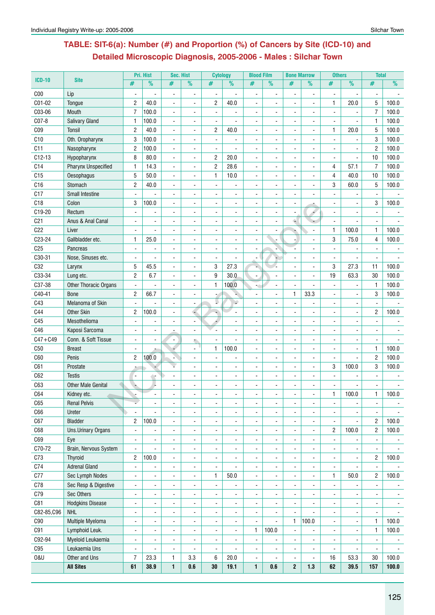# **Table: SIT-6(a): Number (#) and Proportion (%) of Cancers by Site (ICD-10) and Detailed Microscopic Diagnosis, 2005-2006 - Males : Silchar Town**

|                 |                              |                          | Pri. Hist                | <b>Sec. Hist</b>         |                          | <b>Cytology</b>          |                          | <b>Blood Film</b>            |                          | <b>Bone Marrow</b>       |                          | <b>Others</b>            |                          | <b>Total</b>             |                |
|-----------------|------------------------------|--------------------------|--------------------------|--------------------------|--------------------------|--------------------------|--------------------------|------------------------------|--------------------------|--------------------------|--------------------------|--------------------------|--------------------------|--------------------------|----------------|
| $ICD-10$        | <b>Site</b>                  | #                        | $\%$                     | #                        | %                        | #                        | $\frac{9}{6}$            | #                            | $\frac{9}{6}$            | #                        | $\frac{9}{6}$            | #                        | $\overline{\frac{9}{0}}$ | #                        | $\frac{9}{6}$  |
| C <sub>00</sub> | Lip                          | $\blacksquare$           |                          | $\ddot{\phantom{0}}$     | $\overline{a}$           | $\blacksquare$           |                          | $\blacksquare$               | $\overline{\phantom{a}}$ | $\overline{a}$           | $\overline{\phantom{a}}$ | $\overline{\phantom{a}}$ | $\blacksquare$           |                          |                |
| C01-02          | Tongue                       | $\overline{c}$           | 40.0                     | $\blacksquare$           | $\overline{a}$           | 2                        | 40.0                     | $\blacksquare$               | $\blacksquare$           | $\blacksquare$           | $\blacksquare$           | $\mathbf{1}$             | 20.0                     | 5                        | 100.0          |
| C03-06          | Mouth                        | $\overline{7}$           | 100.0                    | $\blacksquare$           |                          | $\blacksquare$           |                          | ä,                           |                          |                          |                          |                          | L.                       | $\overline{7}$           | 100.0          |
| C07-8           | <b>Salivary Gland</b>        | $\mathbf{1}$             | 100.0                    | ÷,                       |                          |                          |                          |                              |                          |                          |                          |                          |                          | $\mathbf{1}$             | 100.0          |
| CO <sub>9</sub> | <b>Tonsil</b>                | $\overline{c}$           | 40.0                     | $\blacksquare$           | $\blacksquare$           | 2                        | 40.0                     |                              |                          |                          |                          | $\mathbf{1}$             | 20.0                     | 5                        | 100.0          |
| C10             | Oth. Oropharynx              | 3                        | 100.0                    | $\overline{\phantom{a}}$ |                          |                          |                          | $\blacksquare$               |                          |                          | $\overline{\phantom{a}}$ |                          |                          | 3                        | 100.0          |
| C11             | Nasopharynx                  | $\overline{c}$           | 100.0                    | $\sim$                   | $\blacksquare$           | ÷,                       |                          | $\blacksquare$               | $\blacksquare$           | ä,                       | $\blacksquare$           |                          |                          | $\overline{2}$           | 100.0          |
| $C12-13$        | Hypopharynx                  | 8                        | 80.0                     | $\sim$                   | $\blacksquare$           | 2                        | 20.0                     | $\blacksquare$               | $\blacksquare$           | $\blacksquare$           | $\blacksquare$           | $\blacksquare$           | L.                       | 10                       | 100.0          |
| C14             | <b>Pharynx Unspecified</b>   | 1                        | 14.3                     | $\overline{a}$           | $\overline{a}$           | $\overline{2}$           | 28.6                     | $\overline{a}$               |                          | ä,                       | $\overline{a}$           | 4                        | 57.1                     | $\overline{7}$           | 100.0          |
| C15             | <b>Oesophagus</b>            | 5                        | 50.0                     |                          |                          | 1                        | 10.0                     |                              |                          |                          |                          | 4                        | 40.0                     | 10                       | 100.0          |
| C16             | Stomach                      | $\overline{c}$           | 40.0                     |                          |                          |                          |                          |                              |                          |                          |                          | 3                        | 60.0                     | 5                        | 100.0          |
| C17             | <b>Small Intestine</b>       |                          |                          | $\overline{\phantom{a}}$ |                          |                          |                          |                              |                          |                          |                          |                          |                          |                          |                |
| C18             | Colon                        | 3                        | 100.0                    | $\ddot{\phantom{0}}$     | $\overline{\phantom{a}}$ |                          |                          | $\overline{a}$               |                          |                          |                          |                          |                          | 3                        | 100.0          |
| C19-20          | Rectum                       | Ĭ.                       |                          | $\blacksquare$           | $\blacksquare$           |                          |                          | $\blacksquare$               |                          |                          | 4                        |                          |                          |                          |                |
| C <sub>21</sub> | Anus & Anal Canal            |                          | $\blacksquare$           | $\blacksquare$           |                          | $\blacksquare$           |                          | $\blacksquare$               |                          | ۵I                       |                          | $\mathbf{r}$             | $\overline{a}$           | $\blacksquare$           |                |
| C <sub>22</sub> | Liver                        |                          |                          | $\blacksquare$           |                          |                          |                          | ä,                           |                          |                          |                          | $\mathbf{1}$             | 100.0                    | $\mathbf{1}$             | 100.0          |
| C23-24          | Gallbladder etc.             | $\mathbf{1}$             | 25.0                     |                          |                          |                          |                          |                              |                          |                          |                          | 3                        | 75.0                     | $\overline{4}$           | 100.0          |
| C <sub>25</sub> | Pancreas                     | $\blacksquare$           |                          | $\ddot{\phantom{0}}$     |                          |                          |                          |                              |                          |                          |                          |                          |                          |                          |                |
| C30-31          | Nose, Sinuses etc.           | $\blacksquare$           |                          |                          |                          |                          |                          |                              |                          |                          | $\overline{\phantom{a}}$ |                          |                          |                          |                |
| C32             | Larynx                       | 5                        | 45.5                     | $\overline{\phantom{a}}$ | $\blacksquare$           | 3                        | 27.3                     | ä,                           |                          |                          | $\overline{\phantom{a}}$ | 3                        | 27.3                     | 11                       | 100.0          |
| C33-34          | Lung etc.                    | $\overline{c}$           | 6.7                      | $\sim$                   | $\blacksquare$           | 9                        | 30.0                     | $\blacksquare$               |                          | $\blacksquare$           | $\blacksquare$           | 19                       | 63.3                     | 30                       | 100.0          |
| C37-38          | <b>Other Thoracic Organs</b> | $\blacksquare$           |                          | $\blacksquare$           |                          | 1                        | 100.0                    |                              |                          | ä,                       |                          |                          |                          | 1                        | 100.0          |
| C40-41          | <b>Bone</b>                  | $\overline{c}$           | 66.7                     |                          |                          |                          |                          |                              |                          | 1                        | 33.3                     |                          |                          | 3                        | 100.0          |
| C43             | Melanoma of Skin             |                          |                          |                          |                          |                          |                          |                              |                          |                          |                          |                          |                          |                          |                |
| C44             | <b>Other Skin</b>            | $\overline{c}$           | 100.0                    |                          |                          |                          |                          |                              |                          |                          |                          |                          |                          | $\overline{2}$           | 100.0          |
| C45             | Mesothelioma                 | $\blacksquare$           |                          | $\overline{\phantom{a}}$ | $\blacksquare$           |                          |                          | $\qquad \qquad \blacksquare$ |                          | ۰                        | $\overline{a}$           |                          |                          |                          |                |
| C46             | Kaposi Sarcoma               | $\blacksquare$           | $\overline{\phantom{a}}$ |                          | $\overline{\phantom{a}}$ |                          |                          | $\frac{1}{2}$                |                          | ä,                       | $\blacksquare$           | $\blacksquare$           | $\overline{a}$           | $\blacksquare$           | $\blacksquare$ |
| $C47 + C49$     | Conn. & Soft Tissue          | $\blacksquare$           |                          | $\blacksquare$           |                          | $\blacksquare$           |                          | $\qquad \qquad \blacksquare$ |                          |                          | $\blacksquare$           |                          | $\blacksquare$           | $\blacksquare$           |                |
| C <sub>50</sub> | <b>Breast</b>                | $\blacksquare$           |                          |                          |                          | 1                        | 100.0                    | $\overline{a}$               |                          |                          |                          |                          | L.                       | $\mathbf{1}$             | 100.0          |
| C60             | Penis                        | $\overline{c}$           | 100.0                    |                          |                          |                          |                          |                              |                          |                          |                          |                          |                          | $\overline{2}$           | 100.0          |
| C61             | Prostate                     |                          |                          |                          |                          |                          |                          |                              |                          |                          |                          | 3                        | 100.0                    | 3                        | 100.0          |
| C62             | <b>Testis</b>                | -                        | û.                       |                          |                          |                          |                          |                              |                          |                          |                          |                          |                          |                          |                |
| C63             | <b>Other Male Genital</b>    |                          | L                        |                          |                          |                          |                          | $\frac{1}{2}$                | $\overline{a}$           |                          | $\blacksquare$           |                          |                          |                          |                |
| C64             | Kidney etc.                  |                          |                          |                          |                          |                          |                          |                              |                          |                          |                          | $\mathbf{1}$             | 100.0                    | $\mathbf{1}$             | 100.0          |
| C65             | <b>Renal Pelvis</b>          |                          | $\blacksquare$           | $\blacksquare$           | $\blacksquare$           | $\blacksquare$           | $\blacksquare$           | ۰                            | $\blacksquare$           | ٠                        | $\blacksquare$           | $\blacksquare$           | $\blacksquare$           | $\blacksquare$           | $\blacksquare$ |
| C66             | Ureter                       | $\overline{\phantom{a}}$ |                          |                          |                          |                          |                          |                              |                          |                          |                          |                          |                          |                          |                |
| C67             | <b>Bladder</b>               | $\overline{c}$           | 100.0                    | $\overline{a}$           |                          |                          |                          |                              |                          | ä,                       |                          |                          |                          | $\overline{2}$           | 100.0          |
| C68             | <b>Uns.Urinary Organs</b>    | $\overline{\phantom{a}}$ | $\overline{\phantom{a}}$ | $\blacksquare$           | $\blacksquare$           | $\overline{\phantom{a}}$ | $\overline{\phantom{a}}$ | $\overline{\phantom{0}}$     | $\overline{\phantom{0}}$ | -                        | $\blacksquare$           | $\overline{c}$           | 100.0                    | $\overline{2}$           | 100.0          |
| C69             | Eye                          | $\blacksquare$           | $\blacksquare$           | $\blacksquare$           | $\blacksquare$           | $\blacksquare$           | $\blacksquare$           | ۰                            | $\overline{\phantom{0}}$ | ٠                        | $\blacksquare$           | $\blacksquare$           |                          | $\overline{\phantom{a}}$ | $\blacksquare$ |
| C70-72          | Brain, Nervous System        | $\blacksquare$           | ÷,                       | $\blacksquare$           | $\blacksquare$           | ÷,                       | $\blacksquare$           | ٠                            | $\blacksquare$           | ä,                       | $\overline{\phantom{a}}$ | $\blacksquare$           | $\blacksquare$           | $\blacksquare$           | $\sim$         |
| C73             | Thyroid                      | 2                        | 100.0                    | $\blacksquare$           | $\blacksquare$           | $\blacksquare$           | $\blacksquare$           | ۰                            | $\blacksquare$           | $\frac{1}{2}$            | $\overline{\phantom{a}}$ | $\blacksquare$           | $\blacksquare$           | $\overline{2}$           | 100.0          |
| C74             | <b>Adrenal Gland</b>         | $\blacksquare$           | ÷,                       | $\blacksquare$           | $\blacksquare$           | $\blacksquare$           | ÷,                       | ä,                           | $\overline{\phantom{a}}$ | $\overline{\phantom{a}}$ | $\overline{\phantom{a}}$ | $\blacksquare$           | $\blacksquare$           | $\blacksquare$           |                |
| C77             | Sec Lymph Nodes              | $\blacksquare$           | ÷,                       | $\overline{\phantom{a}}$ | $\blacksquare$           | 1                        | 50.0                     | ä,                           |                          | ä,                       | L.                       | $\mathbf{1}$             | 50.0                     | $\overline{2}$           | 100.0          |
| C78             | Sec Resp & Digestive         | $\blacksquare$           |                          | $\overline{\phantom{a}}$ |                          | $\blacksquare$           |                          | $\blacksquare$               |                          | ä,                       |                          |                          |                          |                          |                |
| C79             | Sec Others                   |                          |                          |                          |                          | $\blacksquare$           | $\blacksquare$           |                              |                          |                          |                          |                          |                          |                          |                |
|                 |                              | $\blacksquare$           | $\blacksquare$           | $\blacksquare$           | $\blacksquare$           |                          |                          | $\frac{1}{2}$                | $\blacksquare$           | ٠                        | $\blacksquare$           | $\blacksquare$           |                          |                          | $\blacksquare$ |
| C81             | <b>Hodgkins Disease</b>      | $\blacksquare$           | $\blacksquare$           | $\blacksquare$           | $\blacksquare$           | $\blacksquare$           | $\blacksquare$           | $\blacksquare$               | $\blacksquare$           | $\blacksquare$           | $\blacksquare$           | $\blacksquare$           |                          |                          | $\sim$         |
| C82-85,C96      | <b>NHL</b>                   | $\blacksquare$           | $\blacksquare$           | $\sim$                   | $\blacksquare$           | $\blacksquare$           | $\blacksquare$           | $\blacksquare$               | $\mathbf{r}$             | $\blacksquare$           |                          | $\blacksquare$           | $\blacksquare$           | $\blacksquare$           | $\blacksquare$ |
| C90             | Multiple Myeloma             | $\blacksquare$           | $\blacksquare$           | $\overline{\phantom{a}}$ | $\blacksquare$           | $\ddot{\phantom{a}}$     | $\blacksquare$           | $\blacksquare$               | $\blacksquare$           | $\mathbf{1}$             | 100.0                    | $\blacksquare$           | $\blacksquare$           | $\mathbf{1}$             | 100.0          |
| C91             | Lymphoid Leuk.               | $\blacksquare$           | ä,                       | L,                       | $\blacksquare$           | $\ddot{\phantom{a}}$     | $\blacksquare$           | 1                            | 100.0                    | $\blacksquare$           |                          | $\blacksquare$           | $\blacksquare$           | 1                        | 100.0          |
| C92-94          | Myeloid Leukaemia            | $\blacksquare$           | $\ddot{\phantom{a}}$     | $\ddot{\phantom{a}}$     | $\blacksquare$           |                          |                          | ä,                           |                          | ä,                       |                          |                          |                          |                          |                |
| C95             | Leukaemia Uns                | $\blacksquare$           |                          | $\blacksquare$           |                          | $\sim$                   |                          |                              |                          | ä,                       | $\overline{\phantom{a}}$ |                          |                          | $\blacksquare$           |                |
| <b>0&amp;U</b>  | Other and Uns                | $\overline{7}$           | 23.3                     | 1                        | 3.3                      | 6                        | 20.0                     | $\overline{\phantom{a}}$     |                          | $\overline{\phantom{a}}$ | $\blacksquare$           | 16                       | 53.3                     | 30                       | 100.0          |
|                 | <b>All Sites</b>             | 61                       | 38.9                     | 1                        | $0.6\,$                  | 30                       | 19.1                     | $\mathbf{1}$                 | 0.6                      | $\mathbf{2}$             | 1.3                      | 62                       | 39.5                     | 157                      | 100.0          |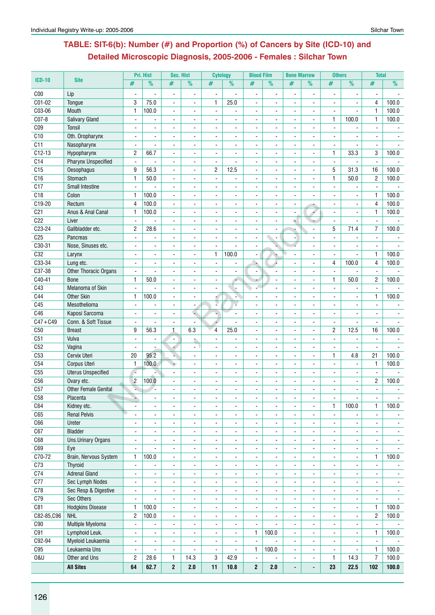# **Table: SIT-6(b): Number (#) and Proportion (%) of Cancers by Site (ICD-10) and Detailed Microscopic Diagnosis, 2005-2006 - Females : Silchar Town**

| <b>ICD-10</b><br>C <sub>00</sub><br>C01-02<br>C03-06 | <b>Site</b><br>Lip<br>Tongue<br>Mouth<br>Salivary Gland | #<br>$\blacksquare$<br>3 | $\%$           | #<br>$\blacksquare$      | $\%$<br>$\overline{\phantom{a}}$ | #<br>$\blacksquare$      | $\frac{9}{6}$            | #                        | %              | #                        | $\frac{9}{6}$            | #              | $\overline{\frac{9}{0}}$ | #              | $\frac{9}{6}$  |
|------------------------------------------------------|---------------------------------------------------------|--------------------------|----------------|--------------------------|----------------------------------|--------------------------|--------------------------|--------------------------|----------------|--------------------------|--------------------------|----------------|--------------------------|----------------|----------------|
|                                                      |                                                         |                          |                |                          |                                  |                          |                          |                          |                |                          |                          |                |                          |                |                |
|                                                      |                                                         |                          |                |                          |                                  |                          |                          | $\overline{\phantom{a}}$ | $\blacksquare$ | ä,                       | $\blacksquare$           | $\overline{a}$ |                          |                |                |
|                                                      |                                                         |                          | 75.0           | $\blacksquare$           | $\blacksquare$                   | 1                        | 25.0                     | ä,                       |                | ä,                       | L.                       | $\blacksquare$ | L.                       | 4              | 100.0          |
|                                                      |                                                         | $\mathbf{1}$             | 100.0          | $\blacksquare$           | $\blacksquare$                   | $\blacksquare$           |                          | $\blacksquare$           |                |                          | $\blacksquare$           | $\blacksquare$ | $\overline{\phantom{a}}$ | $\mathbf{1}$   | 100.0          |
| C07-8                                                |                                                         |                          |                | $\overline{\phantom{a}}$ | $\blacksquare$                   |                          |                          | $\frac{1}{2}$            |                |                          | $\overline{\phantom{a}}$ | $\mathbf{1}$   | 100.0                    | $\mathbf{1}$   | 100.0          |
| C <sub>09</sub>                                      | Tonsil                                                  |                          |                |                          |                                  |                          |                          |                          |                |                          |                          |                |                          |                |                |
| C10                                                  | Oth. Oropharynx                                         |                          |                |                          |                                  |                          |                          |                          |                |                          |                          |                |                          |                |                |
| C11                                                  | Nasopharynx                                             | $\blacksquare$           |                | $\blacksquare$           | $\blacksquare$                   |                          |                          |                          |                | $\blacksquare$           | $\overline{a}$           | $\blacksquare$ |                          |                |                |
| $C12-13$                                             | Hypopharynx                                             | $\overline{c}$           | 66.7           | $\blacksquare$           | ä,                               |                          |                          | ä,                       |                | $\overline{a}$           | ÷                        | $\mathbf{1}$   | 33.3                     | 3              | 100.0          |
| C14                                                  | <b>Pharynx Unspecified</b>                              | $\blacksquare$           |                |                          | ä,                               | $\blacksquare$           |                          |                          |                |                          |                          | $\blacksquare$ |                          |                |                |
| C15                                                  | Oesophagus                                              | 9                        | 56.3           |                          | $\overline{a}$                   | $\overline{c}$           | 12.5                     | $\frac{1}{2}$            |                |                          |                          | 5              | 31.3                     | 16             | 100.0          |
| C16                                                  | Stomach                                                 | $\mathbf{1}$             | 50.0           | $\blacksquare$           | L.                               |                          |                          | ä,                       |                |                          | $\overline{a}$           | $\mathbf{1}$   | 50.0                     | $\overline{2}$ | 100.0          |
| C17                                                  | <b>Small Intestine</b>                                  | $\mathbf{r}$             |                | $\blacksquare$           | ä,                               | $\overline{a}$           | ÷.                       | $\overline{a}$           |                |                          |                          |                | L.                       |                |                |
| C18                                                  | Colon                                                   | $\mathbf{1}$             | 100.0          | $\overline{a}$           |                                  |                          |                          |                          |                |                          |                          |                |                          | $\mathbf{1}$   | 100.0          |
| C19-20                                               | Rectum                                                  | $\overline{4}$           | 100.0          | $\blacksquare$           | $\blacksquare$                   | $\overline{a}$           | $\overline{a}$           | ÷.                       | $\blacksquare$ | $\blacksquare$           |                          | $\sim$         | $\blacksquare$           | $\overline{4}$ | 100.0          |
| C <sub>21</sub>                                      | Anus & Anal Canal                                       | $\mathbf{1}$             | 100.0          | $\blacksquare$           | ä,                               | $\overline{a}$           |                          | ä,                       | $\overline{a}$ | $\blacksquare$           | $\blacktriangleleft$     | $\blacksquare$ | L.                       | $\mathbf{1}$   | 100.0          |
| C <sub>22</sub>                                      | Liver                                                   | $\blacksquare$           |                | $\blacksquare$           |                                  |                          |                          |                          |                | é.                       |                          |                | $\blacksquare$           | $\blacksquare$ |                |
| C23-24                                               | Gallbladder etc.                                        | $\overline{2}$           | 28.6           | $\overline{a}$           | $\blacksquare$                   |                          |                          |                          |                |                          |                          | 5              | 71.4                     | 7              | 100.0          |
| C <sub>25</sub>                                      | Pancreas                                                | $\blacksquare$           |                | L.                       | L,                               |                          |                          | L.                       | L.             |                          |                          |                |                          |                |                |
| C30-31                                               | Nose, Sinuses etc.                                      |                          |                |                          |                                  | $\overline{a}$           |                          |                          |                |                          |                          |                |                          |                |                |
| C32                                                  | Larynx                                                  |                          |                |                          | $\blacksquare$                   | 1                        | 100.0                    |                          |                |                          |                          | $\blacksquare$ |                          | $\mathbf{1}$   | 100.0          |
| C33-34                                               | Lung etc.                                               | $\overline{\phantom{a}}$ | $\overline{a}$ | $\blacksquare$           | ÷,                               | L.                       |                          | $\overline{\phantom{a}}$ |                |                          | $\overline{a}$           | 4              | 100.0                    | $\overline{4}$ | 100.0          |
| C37-38                                               | <b>Other Thoracic Organs</b>                            | $\blacksquare$           |                | $\blacksquare$           | ä,                               | $\overline{\phantom{a}}$ |                          |                          |                |                          |                          | $\blacksquare$ |                          |                |                |
| C40-41                                               | <b>Bone</b>                                             | $\mathbf{1}$             | 50.0           | $\overline{a}$           | $\blacksquare$                   |                          | ٠                        |                          |                |                          |                          | $\overline{1}$ | 50.0                     | $\overline{c}$ | 100.0          |
| C43                                                  | Melanoma of Skin                                        |                          |                | $\blacksquare$           | $\blacksquare$                   |                          |                          |                          |                |                          | $\blacksquare$           | $\blacksquare$ |                          |                |                |
| C44                                                  | <b>Other Skin</b>                                       | 1                        | 100.0          |                          |                                  |                          |                          |                          |                |                          |                          |                | $\overline{a}$           | $\mathbf{1}$   | 100.0          |
| C45                                                  | Mesothelioma                                            |                          |                | $\blacksquare$           |                                  |                          | ÷                        |                          |                |                          |                          |                |                          |                |                |
| C46                                                  | Kaposi Sarcoma                                          | $\blacksquare$           | $\overline{a}$ | $\blacksquare$           | u.                               |                          |                          | $\blacksquare$           | $\overline{a}$ | $\blacksquare$           | $\overline{a}$           | $\mathbf{r}$   | $\blacksquare$           | $\blacksquare$ | $\blacksquare$ |
| $C47 + C49$                                          | Conn. & Soft Tissue                                     | $\mathbf{r}$             | $\blacksquare$ | $\blacksquare$           | $\blacksquare$                   | 4                        | $\blacksquare$           | ÷                        | $\overline{a}$ | ä,                       | $\ddot{\phantom{a}}$     | $\blacksquare$ | $\blacksquare$           | $\blacksquare$ |                |
| C50                                                  | <b>Breast</b>                                           | 9                        | 56.3           | 1                        | 6.3                              | 4                        | 25.0                     | $\blacksquare$           |                |                          |                          | $\overline{c}$ | 12.5                     | 16             | 100.0          |
| C51                                                  | Vulva                                                   |                          |                | $\overline{\phantom{a}}$ |                                  |                          |                          | $\overline{\phantom{0}}$ |                |                          | $\overline{a}$           | $\blacksquare$ |                          | $\blacksquare$ |                |
| C52                                                  | Vagina                                                  | L.                       |                |                          | $\blacksquare$                   |                          |                          |                          |                |                          |                          |                | $\blacksquare$           |                |                |
| C <sub>53</sub>                                      | Cervix Uteri                                            | 20                       | 95.2           |                          | ä,                               |                          |                          |                          |                |                          |                          | $\mathbf{1}$   | 4.8                      | 21             | 100.0          |
| C54                                                  | Corpus Uteri                                            | $\mathbf{1}$<br>$\Delta$ | 100.0          |                          |                                  |                          |                          |                          |                |                          |                          |                |                          | $\mathbf{1}$   | 100.0          |
| C55<br>C <sub>56</sub>                               | <b>Uterus Unspecified</b>                               |                          |                | $\blacksquare$           | $\overline{a}$                   | $\overline{a}$           |                          | $\blacksquare$           |                | $\overline{a}$           | $\overline{a}$           | $\overline{a}$ | $\overline{a}$           | $\blacksquare$ |                |
| C57                                                  | Ovary etc.<br><b>Other Female Genital</b>               | $\overline{2}$<br>s.     | 100.0          | $\blacksquare$           | $\blacksquare$                   |                          |                          | ä,                       |                | ä,                       | ÷                        |                | L.                       | $\overline{2}$ | 100.0          |
| C58                                                  | Placenta                                                |                          |                |                          |                                  |                          |                          |                          |                |                          |                          |                |                          |                |                |
| C64                                                  | Kidney etc.                                             | .,<br>$\blacksquare$     | ä,             | $\blacksquare$           | ÷.                               | $\blacksquare$           |                          | $\blacksquare$           |                | $\blacksquare$           | $\blacksquare$           | $\mathbf{1}$   | 100.0                    | $\mathbf{1}$   | 100.0          |
| C65                                                  | <b>Renal Pelvis</b>                                     | ä,                       |                | $\overline{a}$           | $\overline{\phantom{a}}$         | $\blacksquare$           |                          |                          |                |                          |                          |                |                          |                |                |
| C66                                                  | Ureter                                                  | $\blacksquare$           | ۰              | $\overline{a}$           | $\frac{1}{2}$                    | $\blacksquare$           | $\blacksquare$           | Ξ.                       | $\blacksquare$ | $\frac{1}{2}$            | $\blacksquare$           | $\blacksquare$ | $\blacksquare$           | $\blacksquare$ | $\sim$         |
| C67                                                  | Bladder                                                 | $\mathbf{r}$             | $\blacksquare$ | $\blacksquare$           | $\blacksquare$                   | $\mathbf{r}$             | $\blacksquare$           | $\blacksquare$           | $\blacksquare$ | ÷.                       | $\blacksquare$           | $\blacksquare$ | $\blacksquare$           | $\blacksquare$ | $\sim$         |
| C68                                                  | <b>Uns.Urinary Organs</b>                               | $\blacksquare$           | ä,             | $\blacksquare$           | $\overline{\phantom{a}}$         | $\blacksquare$           | $\blacksquare$           | Ξ.                       |                | $\overline{\phantom{a}}$ | L.                       | $\blacksquare$ | $\blacksquare$           | $\blacksquare$ | $\sim$         |
| C69                                                  | Eye                                                     | $\blacksquare$           | $\blacksquare$ | $\blacksquare$           | $\overline{\phantom{a}}$         | $\blacksquare$           | $\overline{\phantom{a}}$ | $\blacksquare$           | $\blacksquare$ | ٠                        | $\blacksquare$           | $\blacksquare$ | $\blacksquare$           | $\blacksquare$ | $\sim$         |
| C70-72                                               | Brain, Nervous System                                   | $\mathbf{1}$             | 100.0          | $\blacksquare$           | $\overline{\phantom{a}}$         | $\blacksquare$           | $\blacksquare$           | $\blacksquare$           | $\blacksquare$ | $\overline{\phantom{a}}$ | $\blacksquare$           | $\blacksquare$ | $\blacksquare$           | $\mathbf{1}$   | 100.0          |
| C73                                                  | <b>Thyroid</b>                                          | $\blacksquare$           | $\blacksquare$ | $\blacksquare$           | $\blacksquare$                   | $\overline{\phantom{a}}$ | ÷,                       | $\blacksquare$           |                | $\blacksquare$           | $\blacksquare$           | $\blacksquare$ | $\blacksquare$           | $\blacksquare$ |                |
| C74                                                  | <b>Adrenal Gland</b>                                    | $\blacksquare$           |                | $\blacksquare$           | $\blacksquare$                   |                          |                          |                          |                |                          |                          | $\blacksquare$ |                          |                | $\blacksquare$ |
| C77                                                  | Sec Lymph Nodes                                         | $\blacksquare$           | $\blacksquare$ | $\blacksquare$           | $\overline{\phantom{a}}$         | $\blacksquare$           | $\blacksquare$           | $\blacksquare$           | $\blacksquare$ | $\blacksquare$           | $\blacksquare$           | $\blacksquare$ | $\blacksquare$           | $\blacksquare$ | $\sim$         |
| C78                                                  | Sec Resp & Digestive                                    | $\blacksquare$           | $\blacksquare$ | $\blacksquare$           | $\blacksquare$                   | $\blacksquare$           | $\blacksquare$           | $\blacksquare$           | $\blacksquare$ | $\blacksquare$           | $\sim$                   | $\mathbf{r}$   | $\blacksquare$           | $\blacksquare$ | $\sim$         |
| C79                                                  | Sec Others                                              | $\blacksquare$           |                | $\blacksquare$           | $\overline{\phantom{a}}$         | $\blacksquare$           |                          | $\blacksquare$           |                | $\overline{\phantom{a}}$ |                          | $\blacksquare$ |                          |                |                |
| C81                                                  | <b>Hodgkins Disease</b>                                 | $\mathbf{1}$             | 100.0          | $\blacksquare$           | ٠                                |                          |                          | $\blacksquare$           |                |                          |                          |                |                          | $\mathbf{1}$   | 100.0          |
| C82-85, C96                                          | <b>NHL</b>                                              | $\overline{c}$           | 100.0          | $\blacksquare$           | $\frac{1}{2}$                    | ä,                       | $\blacksquare$           | ä,                       | ä,             | $\blacksquare$           | $\blacksquare$           | $\blacksquare$ | $\blacksquare$           | $\overline{2}$ | 100.0          |
| C90                                                  | Multiple Myeloma                                        | $\blacksquare$           | ÷.             | $\blacksquare$           | $\frac{1}{2}$                    | $\blacksquare$           | $\blacksquare$           | $\blacksquare$           |                | $\blacksquare$           | $\blacksquare$           | $\mathbf{r}$   | $\blacksquare$           | $\blacksquare$ |                |
| C91                                                  | Lymphoid Leuk.                                          | $\blacksquare$           | ۰              | $\blacksquare$           | $\frac{1}{2}$                    |                          |                          | 1                        | 100.0          | $\blacksquare$           |                          | $\blacksquare$ |                          | $\mathbf{1}$   | 100.0          |
| C92-94                                               | Myeloid Leukaemia                                       | $\blacksquare$           | $\blacksquare$ | $\blacksquare$           | $\blacksquare$                   | $\blacksquare$           | $\blacksquare$           | $\blacksquare$           |                | $\blacksquare$           | $\mathbf{r}$             | $\blacksquare$ | $\blacksquare$           | $\blacksquare$ |                |
| C95                                                  | Leukaemia Uns                                           | $\blacksquare$           | $\blacksquare$ | $\blacksquare$           | $\overline{\phantom{a}}$         | $\blacksquare$           | $\blacksquare$           | 1                        | 100.0          | $\blacksquare$           | $\blacksquare$           | $\blacksquare$ | $\blacksquare$           | 1              | 100.0          |
| <b>0&amp;U</b>                                       | Other and Uns                                           | $\overline{c}$           | 28.6           | $\mathbf{1}$             | 14.3                             | 3                        | 42.9                     | $\blacksquare$           |                | ٠                        | $\blacksquare$           | $\mathbf{1}$   | 14.3                     | $\overline{7}$ | 100.0          |
|                                                      | <b>All Sites</b>                                        | 64                       | 62.7           | $\mathbf 2$              | 2.0                              | 11                       | 10.8                     | $\overline{2}$           | 2.0            | $\overline{a}$           | $\overline{a}$           | 23             | 22.5                     | 102            | 100.0          |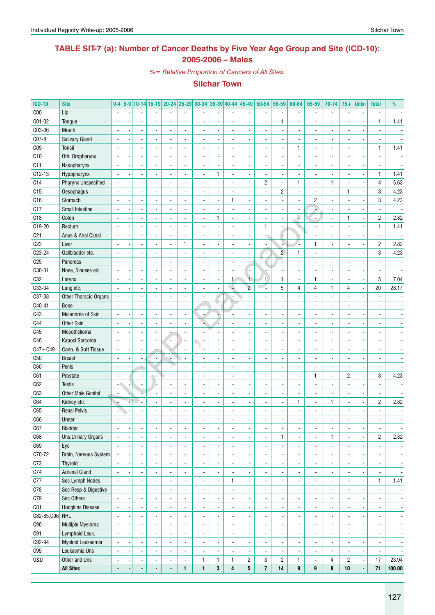# **TABLE SIT-7 (a): Number of Cancer Deaths by Five Year Age Group and Site (ICD-10): 2005-2006 – Males**

*%= Relative Proportion of Cancers of All Sites.*

| <b>ICD-10</b>   | <b>Site</b>               | $0-4$                    |                          |                          |                              | 5-9 10-14 15-19 20-24 25-29 30-34 35-39 40-44 45-49 |                          |                          |                          |                          |                          | $50 - 54$               | $55 - 59$                | 60-64                    | 65-69                        | 70-74                    | $75+$                    | <b>Unkn</b>                  | <b>Total</b>             | %                        |
|-----------------|---------------------------|--------------------------|--------------------------|--------------------------|------------------------------|-----------------------------------------------------|--------------------------|--------------------------|--------------------------|--------------------------|--------------------------|-------------------------|--------------------------|--------------------------|------------------------------|--------------------------|--------------------------|------------------------------|--------------------------|--------------------------|
| C <sub>00</sub> | Lip                       |                          |                          |                          |                              |                                                     |                          |                          |                          |                          |                          |                         |                          |                          |                              | $\overline{a}$           |                          |                              |                          |                          |
| C01-02          | Tongue                    |                          |                          |                          |                              |                                                     |                          |                          |                          |                          |                          |                         | $\mathbf{1}$             |                          |                              |                          |                          |                              | $\mathbf{1}$             | 1.41                     |
| C03-06          | Mouth                     |                          |                          |                          |                              |                                                     |                          |                          |                          |                          |                          |                         |                          |                          |                              |                          |                          |                              |                          |                          |
| C07-8           | <b>Salivary Gland</b>     |                          |                          |                          |                              |                                                     |                          |                          |                          |                          |                          |                         |                          |                          |                              |                          |                          |                              |                          |                          |
| CO <sub>9</sub> | Tonsil                    |                          |                          |                          |                              |                                                     |                          |                          |                          |                          |                          |                         |                          | $\mathbf{1}$             |                              |                          |                          |                              | $\mathbf{1}$             | 1.41                     |
| C10             | Oth. Oropharynx           |                          |                          |                          |                              |                                                     |                          |                          |                          |                          |                          |                         |                          |                          |                              |                          |                          |                              |                          |                          |
| C11             | Nasopharynx               |                          |                          |                          |                              |                                                     |                          |                          |                          |                          |                          |                         |                          |                          |                              |                          |                          |                              |                          |                          |
| $C12-13$        | Hypopharynx               |                          |                          |                          |                              |                                                     |                          |                          | 1                        |                          |                          |                         |                          |                          |                              |                          |                          |                              | $\mathbf{1}$             | 1.41                     |
| C14             | Pharynx Unspecified       |                          |                          |                          |                              |                                                     |                          |                          |                          |                          |                          | $\overline{2}$          | $\overline{\phantom{a}}$ | 1                        |                              | $\mathbf{1}$             |                          |                              | 4                        | 5.63                     |
| C15             | Oesophagus                |                          |                          |                          |                              |                                                     |                          |                          |                          |                          |                          |                         | $\mathbf{2}$             |                          |                              | ÷,                       | 1                        |                              | 3                        | 4.23                     |
| C16             | Stomach                   |                          |                          |                          |                              |                                                     |                          |                          |                          | 1                        |                          |                         |                          |                          | 2                            |                          |                          |                              | 3                        | 4.23                     |
| C17             | Small Intestine           |                          |                          |                          |                              |                                                     |                          |                          |                          |                          |                          |                         |                          |                          |                              |                          |                          |                              | $\blacksquare$           |                          |
| C18             | Colon                     |                          |                          |                          |                              |                                                     |                          |                          | 1                        |                          |                          |                         |                          |                          | $\blacksquare$               |                          | 1                        |                              | $\overline{c}$           | 2.82                     |
| C19-20          | Rectum                    |                          |                          |                          |                              |                                                     |                          |                          |                          |                          |                          | 1                       |                          |                          |                              |                          |                          | ÷,                           | $\mathbf{1}$             | 1.41                     |
| C <sub>21</sub> | Anus & Anal Canal         |                          |                          |                          |                              |                                                     |                          |                          |                          |                          |                          |                         | F                        |                          |                              |                          |                          |                              | $\overline{\phantom{a}}$ |                          |
| C <sub>22</sub> | Liver                     |                          |                          |                          |                              |                                                     | $\mathbf{1}$             |                          |                          |                          |                          |                         | N                        |                          |                              |                          |                          |                              | $\overline{c}$           | 2.82                     |
| C23-24          | Gallbladder etc.          |                          |                          |                          |                              |                                                     |                          |                          |                          |                          |                          |                         | $\overline{2}$           | $\mathbf{1}$             |                              |                          |                          |                              | $\sqrt{3}$               | 4.23                     |
| C <sub>25</sub> |                           |                          |                          |                          |                              |                                                     |                          |                          |                          |                          |                          |                         |                          |                          |                              |                          |                          |                              |                          |                          |
|                 | Pancreas                  |                          |                          |                          |                              |                                                     |                          |                          |                          | $\overline{\phantom{a}}$ |                          |                         | l.                       |                          |                              |                          |                          |                              |                          |                          |
| C30-31          | Nose, Sinuses etc.        |                          |                          |                          |                              |                                                     |                          |                          |                          |                          |                          |                         |                          |                          |                              |                          |                          |                              |                          |                          |
| C32             | Larynx                    |                          |                          |                          |                              |                                                     |                          |                          |                          | $\mathbf{1}$             | $\mathbf{1}$             | 1                       | 1                        |                          | 1                            |                          |                          | Ĭ,                           | 5                        | 7.04                     |
| C33-34          | Lung etc.                 |                          |                          |                          |                              |                                                     |                          |                          |                          |                          | $\overline{2}$           |                         | 5                        | 4                        | 4                            | 1                        | 4                        | Ĭ.                           | 20                       | 28.17                    |
| C37-38          | Other Thoracic Organs     |                          |                          |                          |                              |                                                     |                          |                          |                          |                          |                          |                         |                          |                          |                              |                          |                          |                              |                          |                          |
| C40-41          | <b>Bone</b>               |                          |                          |                          |                              |                                                     |                          |                          |                          |                          |                          |                         |                          |                          |                              |                          |                          |                              |                          |                          |
| C43             | Melanoma of Skin          |                          |                          |                          |                              |                                                     |                          |                          |                          |                          |                          |                         |                          |                          |                              |                          |                          |                              |                          |                          |
| C44             | <b>Other Skin</b>         |                          |                          |                          |                              |                                                     |                          |                          |                          |                          |                          |                         |                          |                          |                              |                          |                          |                              |                          |                          |
| C45             | Mesothelioma              |                          |                          |                          |                              |                                                     |                          |                          |                          |                          |                          |                         |                          |                          |                              |                          |                          |                              |                          |                          |
| C46             | Kaposi Sarcoma            |                          |                          |                          |                              |                                                     |                          | $\overline{\phantom{a}}$ |                          |                          |                          |                         |                          |                          |                              |                          |                          |                              |                          |                          |
| $C47 + C49$     | Conn. & Soft Tissue       |                          |                          |                          |                              |                                                     |                          |                          |                          |                          |                          |                         |                          |                          |                              |                          |                          |                              |                          |                          |
| C50             | <b>Breast</b>             |                          |                          |                          |                              |                                                     |                          |                          |                          |                          |                          |                         |                          |                          |                              |                          |                          |                              |                          |                          |
| C60             | Penis                     |                          |                          |                          |                              |                                                     |                          |                          |                          |                          |                          |                         |                          |                          |                              |                          |                          |                              | $\overline{\phantom{a}}$ |                          |
| C61             | Prostate                  |                          |                          |                          |                              |                                                     |                          |                          |                          |                          |                          |                         |                          |                          |                              | $\frac{1}{2}$            | $\overline{2}$           |                              | 3                        | 4.23                     |
| C62             | <b>Testis</b>             |                          |                          |                          |                              |                                                     |                          |                          |                          |                          |                          |                         |                          |                          |                              |                          |                          |                              |                          |                          |
| C63             | <b>Other Male Genital</b> |                          |                          |                          |                              |                                                     |                          |                          |                          |                          |                          |                         |                          |                          |                              |                          |                          |                              | $\overline{\phantom{a}}$ |                          |
| C64             | Kidney etc.               |                          |                          |                          |                              |                                                     |                          |                          |                          |                          |                          |                         | $\overline{\phantom{a}}$ | 1                        |                              | 1                        |                          |                              | $\overline{2}$           | 2.82                     |
| C65             | <b>Renal Pelvis</b>       |                          |                          |                          |                              |                                                     |                          |                          |                          | $\overline{\phantom{a}}$ |                          |                         |                          |                          |                              | $\overline{a}$           |                          |                              |                          |                          |
| C66             | Ureter                    |                          |                          |                          |                              |                                                     |                          |                          |                          |                          |                          |                         |                          |                          |                              |                          |                          |                              |                          |                          |
| C67             | <b>Bladder</b>            | $\overline{\phantom{a}}$ | $\overline{\phantom{a}}$ | $\overline{\phantom{a}}$ | $\qquad \qquad \blacksquare$ | $\overline{\phantom{a}}$                            |                          | $\overline{\phantom{a}}$ | $\overline{\phantom{a}}$ | ٠                        | $\overline{\phantom{a}}$ | ۰                       | ٠                        | $\overline{\phantom{a}}$ | ۰                            | $\overline{\phantom{a}}$ | ٠                        | $\overline{\phantom{a}}$     | $\overline{\phantom{a}}$ | $\overline{\phantom{a}}$ |
| C68             | Uns.Urinary Organs        | $\blacksquare$           | $\overline{\phantom{a}}$ | $\overline{\phantom{a}}$ | $\overline{\phantom{a}}$     | $\overline{\phantom{a}}$                            | $\blacksquare$           | $\overline{\phantom{a}}$ | $\overline{\phantom{a}}$ | $\blacksquare$           | $\overline{\phantom{a}}$ | $\frac{1}{2}$           | $\mathbf{1}$             | $\overline{\phantom{a}}$ | $\overline{\phantom{a}}$     | 1                        | $\blacksquare$           | $\overline{\phantom{a}}$     | $\overline{2}$           | 2.82                     |
| C69             | Eye                       | $\blacksquare$           |                          | $\overline{\phantom{a}}$ | $\blacksquare$               | $\overline{\phantom{a}}$                            | $\blacksquare$           | $\overline{\phantom{a}}$ | $\overline{\phantom{a}}$ | $\overline{\phantom{a}}$ | $\overline{\phantom{a}}$ | $\frac{1}{2}$           | $\blacksquare$           | $\overline{\phantom{a}}$ | $\overline{\phantom{a}}$     | ÷,                       | $\overline{\phantom{a}}$ | $\overline{\phantom{a}}$     | $\blacksquare$           | $\overline{\phantom{a}}$ |
| C70-72          | Brain, Nervous System     |                          |                          | $\overline{\phantom{a}}$ | $\blacksquare$               | $\overline{\phantom{a}}$                            | $\overline{\phantom{a}}$ | $\overline{\phantom{a}}$ | $\overline{\phantom{a}}$ | $\overline{\phantom{a}}$ | $\overline{\phantom{a}}$ | -                       | $\blacksquare$           | $\overline{\phantom{a}}$ | $\overline{\phantom{a}}$     | ٠                        | $\blacksquare$           | $\overline{\phantom{a}}$     | $\overline{\phantom{a}}$ | $\overline{\phantom{a}}$ |
| C73             | <b>Thyroid</b>            |                          |                          | $\overline{\phantom{a}}$ | $\blacksquare$               | $\overline{\phantom{a}}$                            | $\overline{\phantom{a}}$ | $\overline{\phantom{a}}$ | $\overline{\phantom{a}}$ | $\overline{\phantom{a}}$ | $\overline{\phantom{a}}$ | -                       | $\blacksquare$           | $\overline{\phantom{a}}$ | $\overline{\phantom{a}}$     | ٠                        | $\overline{\phantom{a}}$ | $\overline{\phantom{a}}$     | $\overline{\phantom{a}}$ | $\overline{\phantom{a}}$ |
| C74             | <b>Adrenal Gland</b>      |                          |                          | $\overline{\phantom{a}}$ | $\blacksquare$               | $\overline{\phantom{a}}$                            | $\overline{\phantom{a}}$ | $\overline{\phantom{a}}$ | $\overline{\phantom{a}}$ | $\overline{\phantom{a}}$ | $\overline{\phantom{a}}$ | -                       | $\overline{\phantom{a}}$ | $\overline{\phantom{a}}$ | $\qquad \qquad \blacksquare$ |                          | $\overline{\phantom{a}}$ | $\overline{\phantom{a}}$     | $\overline{\phantom{a}}$ | $\overline{\phantom{a}}$ |
| C77             | Sec Lymph Nodes           |                          |                          |                          | $\blacksquare$               | $\overline{\phantom{a}}$                            | $\overline{\phantom{a}}$ | $\overline{\phantom{a}}$ | $\overline{\phantom{a}}$ | $\mathbf{1}$             | $\overline{\phantom{a}}$ | -                       | $\overline{\phantom{a}}$ | $\overline{\phantom{a}}$ | $\qquad \qquad \blacksquare$ |                          | $\overline{\phantom{a}}$ | $\blacksquare$               | $\mathbf{1}$             | 1.41                     |
| C78             | Sec Resp & Digestive      |                          |                          |                          | $\overline{\phantom{0}}$     | $\overline{\phantom{a}}$                            | $\overline{\phantom{a}}$ | $\overline{\phantom{a}}$ | $\overline{\phantom{a}}$ | $\overline{\phantom{a}}$ | $\overline{\phantom{a}}$ | -                       | $\overline{\phantom{a}}$ | $\overline{\phantom{a}}$ | $\qquad \qquad \blacksquare$ |                          | $\overline{\phantom{a}}$ | $\qquad \qquad \blacksquare$ | $\overline{\phantom{a}}$ | $\overline{\phantom{a}}$ |
| C79             | Sec Others                |                          |                          |                          | $\overline{\phantom{a}}$     | ٠                                                   | $\overline{\phantom{a}}$ | $\overline{\phantom{a}}$ | $\overline{\phantom{a}}$ | $\overline{\phantom{a}}$ | $\overline{\phantom{a}}$ | -                       | $\overline{\phantom{a}}$ | $\overline{\phantom{a}}$ | $\qquad \qquad \blacksquare$ |                          | $\overline{\phantom{a}}$ | $\qquad \qquad \blacksquare$ | $\overline{\phantom{a}}$ | $\overline{\phantom{a}}$ |
| C81             | <b>Hodgkins Disease</b>   |                          |                          |                          | $\overline{\phantom{0}}$     | $\overline{\phantom{a}}$                            | $\overline{\phantom{a}}$ | $\overline{\phantom{a}}$ | $\overline{\phantom{a}}$ | $\overline{\phantom{a}}$ | $\overline{\phantom{a}}$ | -                       | $\overline{\phantom{a}}$ | $\overline{\phantom{a}}$ | $\qquad \qquad \blacksquare$ | -                        |                          | $\qquad \qquad \blacksquare$ | $\overline{\phantom{a}}$ | $\overline{\phantom{a}}$ |
| C82-85, C96 NHL |                           | Ĭ.                       |                          |                          | $\overline{\phantom{0}}$     | $\overline{\phantom{a}}$                            | $\overline{\phantom{a}}$ | $\overline{\phantom{a}}$ | $\overline{\phantom{a}}$ | $\overline{\phantom{a}}$ | $\overline{\phantom{a}}$ | -                       | $\overline{\phantom{a}}$ | $\overline{\phantom{a}}$ | $\qquad \qquad \blacksquare$ |                          | $\overline{\phantom{a}}$ | $\qquad \qquad \blacksquare$ | $\overline{\phantom{a}}$ | $\overline{\phantom{a}}$ |
| C90             | Multiple Myeloma          | $\overline{a}$           |                          | $\overline{\phantom{a}}$ | $\overline{\phantom{a}}$     | $\overline{\phantom{a}}$                            | $\overline{\phantom{a}}$ | $\overline{\phantom{a}}$ | $\overline{\phantom{a}}$ | $\overline{\phantom{a}}$ | $\overline{\phantom{a}}$ | -                       | $\blacksquare$           | $\overline{\phantom{a}}$ | $\qquad \qquad \blacksquare$ | ٠                        | $\overline{\phantom{a}}$ | $\overline{\phantom{a}}$     | $\overline{\phantom{a}}$ | $\overline{\phantom{a}}$ |
| C91             | Lymphoid Leuk.            | $\overline{a}$           |                          | $\overline{\phantom{a}}$ | $\qquad \qquad \blacksquare$ | $\overline{\phantom{a}}$                            | $\overline{\phantom{a}}$ | $\overline{\phantom{a}}$ | $\overline{\phantom{a}}$ | $\overline{\phantom{a}}$ | $\overline{\phantom{a}}$ | -                       | $\blacksquare$           | $\overline{\phantom{a}}$ | $\overline{\phantom{a}}$     | ٠                        | $\blacksquare$           | $\overline{\phantom{a}}$     | $\overline{\phantom{a}}$ | $\overline{\phantom{a}}$ |
| C92-94          | Myeloid Leukaemia         | $\blacksquare$           |                          | $\overline{\phantom{a}}$ | $\qquad \qquad \blacksquare$ | $\overline{\phantom{a}}$                            | $\overline{\phantom{a}}$ | $\overline{\phantom{a}}$ | $\overline{\phantom{a}}$ | $\overline{\phantom{a}}$ | $\overline{\phantom{a}}$ | $\frac{1}{2}$           | $\blacksquare$           | $\overline{\phantom{a}}$ | $\overline{\phantom{a}}$     | $\frac{1}{2}$            | $\blacksquare$           | $\overline{\phantom{a}}$     | $\overline{\phantom{a}}$ | $\overline{\phantom{a}}$ |
| C95             | Leukaemia Uns             |                          |                          | $\overline{\phantom{a}}$ | $\qquad \qquad \blacksquare$ | $\overline{\phantom{a}}$                            | $\overline{\phantom{a}}$ | $\overline{\phantom{a}}$ | $\overline{\phantom{a}}$ | $\blacksquare$           | $\overline{\phantom{a}}$ | $\frac{1}{2}$           | $\overline{\phantom{a}}$ | $\overline{\phantom{a}}$ | $\overline{\phantom{a}}$     | $\frac{1}{2}$            |                          | $\overline{\phantom{a}}$     | $\overline{\phantom{a}}$ | $\overline{\phantom{a}}$ |
| 0&U             | Other and Uns             | $\overline{\phantom{a}}$ |                          | $\overline{\phantom{a}}$ | $\qquad \qquad \blacksquare$ | $\overline{\phantom{a}}$                            | $\overline{\phantom{a}}$ | 1                        | 1                        | $\mathbf{1}$             | $\overline{c}$           | 3                       | $\overline{c}$           | 1                        | $\overline{\phantom{a}}$     | 4                        | $\overline{c}$           | $\overline{\phantom{a}}$     | 17                       | 23.94                    |
|                 | <b>All Sites</b>          | $\blacksquare$           |                          | $\blacksquare$           | $\blacksquare$               | ۰                                                   | 1                        | $\mathbf{1}$             | $\mathbf 3$              | $\overline{\mathbf{4}}$  | 5                        | $\overline{\mathbf{z}}$ | $14$                     | 9                        | 9                            | 8                        | 10                       | $\blacksquare$               | 71                       | 100.00                   |
|                 |                           |                          |                          |                          |                              |                                                     |                          |                          |                          |                          |                          |                         |                          |                          |                              |                          |                          |                              |                          |                          |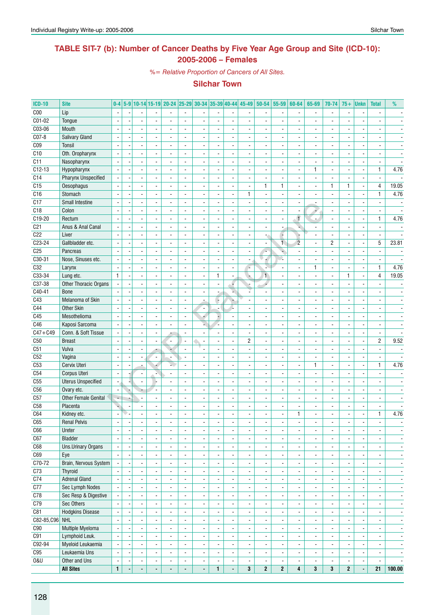# **TABLE SIT-7 (b): Number of Cancer Deaths by Five Year Age Group and Site (ICD-10): 2005-2006 – Females**

*%= Relative Proportion of Cancers of All Sites.*

| <b>ICD-10</b>   | <b>Site</b>                 | $0-4$                    |                |                          |                          | 5-9 10-14 15-19 20-24 25-29 30-34 35-39 40-44 |                          |                          |                          |                                | 45-49                        | $50 - 54$                | 55-59                          | 60-64                    | 65-69                    | 70-74                                      | $75+$                    | <b>Unkn</b>              | <b>Total</b>             | %                        |
|-----------------|-----------------------------|--------------------------|----------------|--------------------------|--------------------------|-----------------------------------------------|--------------------------|--------------------------|--------------------------|--------------------------------|------------------------------|--------------------------|--------------------------------|--------------------------|--------------------------|--------------------------------------------|--------------------------|--------------------------|--------------------------|--------------------------|
| C <sub>00</sub> | Lip                         |                          |                |                          |                          |                                               |                          |                          |                          |                                |                              |                          | $\overline{\phantom{a}}$       | $\overline{\phantom{a}}$ |                          | $\overline{\phantom{a}}$                   |                          | $\overline{\phantom{a}}$ |                          |                          |
| C01-02          | Tongue                      |                          |                |                          |                          |                                               |                          |                          |                          | $\overline{\phantom{a}}$       |                              |                          | $\blacksquare$                 |                          |                          |                                            |                          | $\overline{\phantom{a}}$ |                          |                          |
| C03-06          | Mouth                       |                          |                |                          |                          |                                               |                          |                          |                          |                                |                              |                          |                                |                          |                          |                                            |                          |                          |                          |                          |
| C07-8           | Salivary Gland              | $\overline{\phantom{a}}$ |                | $\overline{\phantom{a}}$ |                          |                                               |                          |                          |                          | $\overline{a}$                 |                              |                          | ÷,                             |                          |                          | $\overline{a}$                             |                          | $\overline{a}$           |                          |                          |
| C <sub>09</sub> | Tonsil                      |                          |                | $\blacksquare$           |                          |                                               |                          |                          |                          | $\overline{\phantom{a}}$       |                              |                          | $\overline{\phantom{a}}$       |                          |                          | $\overline{\phantom{a}}$                   |                          | $\overline{\phantom{a}}$ |                          |                          |
| C10             | Oth. Oropharynx             | $\overline{\phantom{a}}$ |                | $\overline{a}$           |                          |                                               |                          | $\overline{\phantom{a}}$ |                          | $\overline{\phantom{a}}$       |                              |                          | ÷,                             |                          |                          |                                            |                          |                          |                          |                          |
| C11             |                             | $\mathbf{r}$             |                | $\blacksquare$           | $\sim$                   | $\overline{\phantom{0}}$                      | ÷.                       | $\sim$                   | ÷,                       | $\overline{\phantom{a}}$       | ٠                            |                          | $\blacksquare$                 | $\overline{\phantom{a}}$ | $\blacksquare$           | $\overline{\phantom{a}}$                   | $\overline{a}$           | $\blacksquare$           | $\blacksquare$           |                          |
| $C12-13$        | Nasopharynx<br>Hypopharynx  | $\blacksquare$           |                | $\blacksquare$           |                          |                                               |                          | $\overline{\phantom{a}}$ |                          | $\overline{\phantom{a}}$       | ä,                           |                          | $\blacksquare$                 | $\overline{\phantom{a}}$ | 1                        | $\overline{\phantom{a}}$                   |                          | ÷,                       | $\mathbf{1}$             | 4.76                     |
| C14             | <b>Pharynx Unspecified</b>  |                          |                |                          |                          |                                               |                          | $\blacksquare$           |                          |                                |                              |                          |                                |                          |                          |                                            |                          |                          |                          |                          |
|                 |                             |                          |                | $\overline{\phantom{a}}$ |                          |                                               |                          |                          |                          | ٠                              | $\blacksquare$               |                          | $\blacksquare$<br>$\mathbf{1}$ |                          |                          | $\mathbf{1}$                               | 1                        | $\overline{a}$           |                          |                          |
| C15             | Oesophagus                  | $\sim$                   |                | $\sim$                   |                          | $\overline{\phantom{0}}$                      |                          | $\sim$                   |                          | $\overline{\phantom{a}}$       | $\blacksquare$               | $\mathbf{1}$             |                                | $\overline{\phantom{a}}$ |                          |                                            |                          | $\blacksquare$           | $\overline{4}$           | 19.05                    |
| C16             | Stomach                     | $\overline{\phantom{a}}$ |                | $\sim$                   |                          | $\overline{\phantom{0}}$                      |                          | $\blacksquare$           | $\overline{a}$           | $\overline{\phantom{a}}$       | $\mathbf{1}$                 | $\blacksquare$           | $\overline{\phantom{a}}$       | $\blacksquare$           |                          | $\blacksquare$                             | $\overline{\phantom{a}}$ | $\overline{a}$           | $\mathbf{1}$             | 4.76                     |
| C17             | Small Intestine             |                          |                | $\blacksquare$           |                          |                                               | $\overline{a}$           |                          |                          | $\overline{\phantom{a}}$       | ÷,                           |                          | $\blacksquare$                 |                          |                          | $\overline{\phantom{a}}$                   |                          | $\overline{\phantom{a}}$ |                          |                          |
| C18             | Colon                       | $\blacksquare$           |                | ÷,                       |                          | ÷.                                            | $\overline{a}$           | $\ddot{\phantom{a}}$     | ÷,                       | $\overline{\phantom{a}}$       |                              |                          | $\blacksquare$                 |                          |                          | $\frac{1}{2}$                              |                          | ÷,                       | $\blacksquare$           | $\sim$                   |
| C19-20          | Rectum                      | $\sim$                   |                | $\blacksquare$           |                          | $\overline{\phantom{0}}$                      | $\overline{a}$           | $\blacksquare$           | $\blacksquare$           | $\overline{\phantom{a}}$       | $\blacksquare$               |                          | $\overline{\phantom{a}}$       | $\mathbf{f}$             | $\overline{a}$           | $\overline{\phantom{a}}$                   |                          | $\blacksquare$           | $\mathbf{1}$             | 4.76                     |
| C <sub>21</sub> | Anus & Anal Canal           | $\overline{\phantom{a}}$ |                | ÷,                       |                          |                                               |                          | $\sim$                   | ÷,                       | $\overline{\phantom{a}}$       | $\overline{a}$               |                          | $\blacksquare$                 | u                        |                          | $\overline{\phantom{a}}$                   |                          | $\blacksquare$           | $\overline{\phantom{a}}$ |                          |
| C <sub>22</sub> | Liver                       |                          |                |                          |                          |                                               |                          | $\overline{\phantom{a}}$ |                          | $\overline{\phantom{a}}$       | $\blacksquare$               |                          | ÷                              |                          |                          | $\blacksquare$                             |                          | $\overline{\phantom{a}}$ |                          |                          |
| C23-24          | Gallbladder etc.            | $\overline{\phantom{a}}$ |                |                          |                          |                                               |                          | $\blacksquare$           |                          | $\blacksquare$                 |                              |                          | $\overline{1}$                 | $\overline{2}$           |                          | $\overline{2}$                             |                          | $\overline{a}$           | 5                        | 23.81                    |
| C <sub>25</sub> | Pancreas                    |                          |                | $\sim$                   |                          | $\overline{a}$                                |                          | $\overline{\phantom{a}}$ |                          | $\blacksquare$                 | $\overline{\phantom{a}}$     |                          | ٠                              | $\overline{\phantom{a}}$ |                          | $\blacksquare$                             |                          | $\overline{\phantom{a}}$ | $\blacksquare$           |                          |
| $C30-31$        | Nose, Sinuses etc.          |                          |                |                          |                          |                                               |                          |                          |                          | $\overline{a}$                 |                              |                          | P.                             |                          |                          |                                            |                          |                          |                          |                          |
| C32             | Larynx                      | $\mathbf{r}$             |                | $\overline{a}$           |                          |                                               |                          | $\overline{a}$           |                          | $\overline{\phantom{a}}$       | ç                            | L.                       | ÷,                             | $\overline{a}$           | $\mathbf{1}$             | $\blacksquare$                             |                          | Ĭ.                       | $\mathbf{1}$             | 4.76                     |
| C33-34          | Lung etc.                   | $\mathbf{1}$             |                | $\blacksquare$           | $\blacksquare$           | $\overline{\phantom{0}}$                      | $\overline{\phantom{a}}$ | $\blacksquare$           | $\mathbf{1}$             | $\blacksquare$                 | $\Delta$                     | $\mathbf{1}$             | $\Box$                         | $\blacksquare$           | $\blacksquare$           | $\overline{\phantom{a}}$                   | 1                        | $\blacksquare$           | $\overline{4}$           | 19.05                    |
| C37-38          | Other Thoracic Organs       | $\overline{\phantom{a}}$ |                | $\sim$                   |                          | ÷.                                            | ÷,                       | $\blacksquare$           | L,                       | F                              | ÷,                           |                          | $\blacksquare$                 | $\overline{\phantom{a}}$ |                          | $\overline{\phantom{a}}$                   |                          | $\overline{a}$           |                          | $\blacksquare$           |
| $C40-41$        | <b>Bone</b>                 |                          |                |                          |                          |                                               |                          | $\overline{\phantom{a}}$ |                          | ¥,                             |                              |                          | $\overline{\phantom{a}}$       | $\overline{\phantom{a}}$ |                          | $\overline{\phantom{a}}$                   |                          |                          |                          |                          |
| C43             | Melanoma of Skin            | $\blacksquare$           |                | $\blacksquare$           |                          | ÷.                                            |                          | $\overline{\phantom{a}}$ | ÷                        | ÷                              |                              |                          | $\sim$                         | $\overline{\phantom{a}}$ |                          | $\overline{a}$                             |                          |                          |                          |                          |
| C44             | <b>Other Skin</b>           | $\sim$                   |                | $\sim$                   |                          | $\overline{\phantom{0}}$                      | $\overline{a}$           | $\blacksquare$           |                          | 4                              | $\blacksquare$               |                          | $\sim$                         | $\blacksquare$           |                          | $\overline{a}$                             |                          | $\blacksquare$           | $\overline{a}$           |                          |
| C45             | Mesothelioma                |                          |                |                          |                          |                                               |                          | 4                        |                          | $\overline{\phantom{a}}$       |                              |                          | $\blacksquare$                 | $\overline{\phantom{a}}$ |                          | $\overline{\phantom{a}}$                   |                          | $\overline{\phantom{a}}$ |                          |                          |
| C46             | Kaposi Sarcoma              | $\overline{a}$           |                | $\overline{a}$           |                          |                                               | $\overline{a}$           | u                        |                          | $\overline{\phantom{a}}$       |                              |                          | ÷,                             |                          |                          | ÷,                                         |                          | ÷,                       | $\overline{a}$           |                          |
| $C47 + C49$     | Conn. & Soft Tissue         | $\overline{\phantom{a}}$ |                | $\blacksquare$           |                          |                                               | $\overline{a}$           | $\blacksquare$           |                          | $\overline{\phantom{a}}$       | $\overline{\phantom{a}}$     |                          | $\overline{\phantom{a}}$       | $\overline{\phantom{a}}$ | $\overline{\phantom{a}}$ | $\overline{\phantom{a}}$                   |                          | $\blacksquare$           | $\overline{\phantom{a}}$ | $\blacksquare$           |
| C50             | <b>Breast</b>               | $\overline{\phantom{a}}$ |                | $\overline{\phantom{a}}$ |                          | $\blacksquare$                                | $\blacksquare$           | $\blacksquare$           | $\overline{a}$           | $\blacksquare$                 | $\mathbf{2}$                 |                          | $\blacksquare$                 | $\overline{\phantom{a}}$ |                          | $\overline{\phantom{a}}$                   | $\overline{a}$           | $\blacksquare$           | $\overline{c}$           | 9.52                     |
| C51             | Vulva                       |                          |                | $\blacksquare$           |                          |                                               | $\blacksquare$           |                          | $\overline{a}$           | $\overline{\phantom{a}}$       | $\blacksquare$               |                          | $\overline{\phantom{a}}$       | $\overline{\phantom{a}}$ |                          | $\overline{\phantom{a}}$                   |                          | $\overline{\phantom{a}}$ | $\blacksquare$           |                          |
| C52             | Vagina                      | $\blacksquare$           |                | $\blacksquare$           |                          |                                               |                          | $\blacksquare$           |                          | $\overline{\phantom{a}}$       |                              |                          | $\blacksquare$                 |                          |                          |                                            |                          |                          |                          |                          |
| C <sub>53</sub> | Cervix Uteri                | $\overline{\phantom{a}}$ |                |                          |                          | s.                                            | $\overline{a}$           | $\blacksquare$           | $\overline{a}$           | $\blacksquare$                 |                              |                          | $\sim$                         | $\blacksquare$           | $\mathbf{1}$             | $\blacksquare$                             |                          | $\overline{a}$           | $\mathbf{1}$             | 4.76                     |
| C54             | Corpus Uteri                |                          |                |                          |                          |                                               |                          |                          |                          | $\overline{a}$                 |                              |                          | $\blacksquare$                 |                          |                          |                                            |                          |                          |                          |                          |
| C55             | <b>Uterus Unspecified</b>   |                          |                | $\blacksquare$           |                          |                                               |                          |                          |                          | $\overline{\phantom{a}}$       |                              |                          | $\blacksquare$                 |                          |                          | $\overline{\phantom{a}}$                   |                          | $\overline{\phantom{a}}$ |                          |                          |
| C <sub>56</sub> | Ovary etc.                  | $\mathbb{Z}^2$           |                | ÷                        |                          | $\blacksquare$                                | $\blacksquare$           | $\blacksquare$           | ÷,                       | $\mathcal{L}_{\mathcal{A}}$    | $\overline{\phantom{a}}$     |                          | ä,                             | $\overline{\phantom{a}}$ | $\blacksquare$           | $\frac{1}{2}$                              | $\overline{\phantom{a}}$ | ÷,                       | $\blacksquare$           |                          |
| C57             | <b>Other Female Genital</b> | $\overline{\phantom{a}}$ |                | $\blacksquare$           | $\overline{\phantom{a}}$ | ÷.                                            | $\blacksquare$           | $\blacksquare$           | L,                       | $\blacksquare$                 | $\blacksquare$               |                          | $\blacksquare$                 | $\blacksquare$           |                          | $\frac{1}{2}$                              | $\blacksquare$           | ÷,                       | $\blacksquare$           |                          |
| C <sub>58</sub> | Placenta                    |                          |                |                          |                          |                                               |                          | $\blacksquare$           |                          |                                |                              |                          |                                |                          |                          |                                            |                          |                          |                          |                          |
|                 |                             |                          |                | ÷,                       |                          |                                               |                          | $\blacksquare$           |                          | $\overline{\phantom{a}}$<br>÷, | $\qquad \qquad \blacksquare$ |                          | $\overline{\phantom{a}}$<br>÷, | $\mathbf{1}$             |                          | $\overline{\phantom{a}}$<br>$\overline{a}$ | ÷,                       | $\overline{a}$           | $\mathbf{1}$             | 4.76                     |
| C64             | Kidney etc.                 | $\blacksquare$           |                |                          |                          |                                               |                          |                          |                          |                                |                              |                          |                                |                          |                          |                                            |                          |                          |                          |                          |
| C65             | <b>Renal Pelvis</b>         | $\blacksquare$           |                |                          |                          |                                               |                          |                          |                          |                                |                              |                          |                                |                          |                          |                                            |                          |                          |                          |                          |
| C66             | Ureter                      | $\overline{\phantom{a}}$ |                | $\overline{\phantom{a}}$ | $\overline{\phantom{a}}$ | $\overline{\phantom{a}}$                      | $\overline{\phantom{a}}$ | $\overline{\phantom{a}}$ | $\overline{\phantom{a}}$ | $\overline{\phantom{a}}$       | $\overline{\phantom{a}}$     | $\overline{\phantom{a}}$ | $\overline{\phantom{a}}$       | $\overline{\phantom{a}}$ | $\overline{\phantom{a}}$ | ۰                                          | $\overline{\phantom{a}}$ | $\overline{\phantom{a}}$ | $\overline{\phantom{a}}$ | $\overline{\phantom{a}}$ |
| C67             | Bladder                     | $\overline{\phantom{a}}$ |                | $\blacksquare$           | $\blacksquare$           | $\overline{a}$                                | $\blacksquare$           | $\blacksquare$           | ÷,                       | $\blacksquare$                 | ä,                           | $\blacksquare$           | $\overline{\phantom{a}}$       | $\overline{\phantom{a}}$ | $\blacksquare$           | $\overline{\phantom{a}}$                   |                          | ÷,                       | $\blacksquare$           | $\overline{\phantom{a}}$ |
| C68             | Uns.Urinary Organs          | $\overline{\phantom{a}}$ |                | $\overline{\phantom{a}}$ | $\overline{\phantom{a}}$ | $\overline{\phantom{a}}$                      | $\overline{\phantom{a}}$ | $\overline{\phantom{a}}$ | $\overline{a}$           | $\overline{\phantom{a}}$       | $\overline{\phantom{a}}$     | $\overline{\phantom{a}}$ | $\overline{\phantom{a}}$       | $\overline{\phantom{a}}$ | $\overline{\phantom{a}}$ | $\overline{\phantom{a}}$                   |                          | $\blacksquare$           | $\blacksquare$           | $\overline{\phantom{a}}$ |
| C69             | Eye                         | $\Box$                   | $\blacksquare$ | $\overline{\phantom{a}}$ | $\blacksquare$           | $\blacksquare$                                | $\blacksquare$           | $\blacksquare$           | $\frac{1}{2}$            | $\overline{\phantom{a}}$       | $\blacksquare$               | $\overline{\phantom{a}}$ | $\blacksquare$                 | $\overline{\phantom{a}}$ | $\blacksquare$           | $\blacksquare$                             | $\blacksquare$           | $\blacksquare$           | $\overline{\phantom{a}}$ | $\overline{\phantom{a}}$ |
| C70-72          | Brain, Nervous System       |                          |                | $\overline{\phantom{a}}$ | $\overline{\phantom{a}}$ | $\overline{\phantom{a}}$                      | $\overline{\phantom{a}}$ | $\overline{\phantom{a}}$ | $\frac{1}{2}$            | $\overline{\phantom{a}}$       | $\overline{\phantom{a}}$     | $\overline{\phantom{a}}$ | $\overline{\phantom{a}}$       | $\overline{\phantom{a}}$ | $\overline{\phantom{a}}$ | $\overline{\phantom{a}}$                   | $\blacksquare$           | $\overline{\phantom{a}}$ | $\overline{\phantom{a}}$ | $\overline{\phantom{a}}$ |
| C73             | Thyroid                     | $\blacksquare$           |                | $\overline{a}$           |                          | $\overline{\phantom{a}}$                      | $\overline{\phantom{a}}$ | $\overline{\phantom{a}}$ | $\overline{a}$           | $\blacksquare$                 | ä,                           | $\overline{\phantom{a}}$ | $\overline{\phantom{a}}$       | $\overline{\phantom{a}}$ | $\blacksquare$           | $\overline{\phantom{a}}$                   |                          | ÷,                       | $\blacksquare$           | $\blacksquare$           |
| C74             | <b>Adrenal Gland</b>        | $\blacksquare$           |                | $\blacksquare$           | $\blacksquare$           | $\blacksquare$                                | $\blacksquare$           | $\blacksquare$           | $\frac{1}{2}$            | $\overline{\phantom{a}}$       | $\blacksquare$               | $\overline{\phantom{a}}$ | $\overline{\phantom{a}}$       | $\overline{\phantom{a}}$ | $\blacksquare$           | $\blacksquare$                             | $\blacksquare$           | $\overline{\phantom{a}}$ | $\overline{\phantom{a}}$ | $\overline{\phantom{a}}$ |
| C77             | <b>Sec Lymph Nodes</b>      |                          |                | $\overline{\phantom{a}}$ |                          | $\overline{\phantom{0}}$                      | $\overline{\phantom{a}}$ |                          |                          | $\overline{\phantom{a}}$       |                              |                          | $\overline{\phantom{a}}$       | $\overline{\phantom{a}}$ |                          | $\overline{\phantom{a}}$                   |                          | ÷,                       | $\blacksquare$           | $\overline{\phantom{a}}$ |
| C78             | Sec Resp & Digestive        |                          |                | $\overline{\phantom{a}}$ |                          | $\overline{\phantom{a}}$                      | $\overline{\phantom{a}}$ | $\overline{\phantom{a}}$ |                          | $\overline{\phantom{a}}$       |                              | $\overline{\phantom{a}}$ | $\overline{\phantom{a}}$       | $\overline{\phantom{a}}$ | $\overline{\phantom{a}}$ | $\overline{\phantom{a}}$                   |                          | $\blacksquare$           | $\overline{\phantom{a}}$ | $\overline{\phantom{a}}$ |
| C79             | Sec Others                  | $\blacksquare$           |                | $\overline{\phantom{a}}$ | $\blacksquare$           | $\overline{\phantom{a}}$                      | $\blacksquare$           | $\overline{\phantom{a}}$ | $\overline{a}$           | $\overline{\phantom{a}}$       | $\overline{\phantom{a}}$     | $\blacksquare$           | $\overline{\phantom{a}}$       | $\overline{\phantom{a}}$ | $\overline{\phantom{a}}$ | $\overline{\phantom{a}}$                   | $\blacksquare$           | ä,                       | $\overline{\phantom{a}}$ | $\overline{\phantom{a}}$ |
| C81             | <b>Hodgkins Disease</b>     | $\blacksquare$           |                | $\overline{\phantom{a}}$ | $\blacksquare$           | $\overline{\phantom{a}}$                      | $\blacksquare$           | $\overline{\phantom{a}}$ | $\overline{\phantom{a}}$ | $\overline{\phantom{a}}$       | $\overline{\phantom{a}}$     | $\blacksquare$           | $\overline{\phantom{a}}$       | $\overline{\phantom{a}}$ | $\blacksquare$           | $\overline{\phantom{a}}$                   | $\blacksquare$           | $\overline{\phantom{a}}$ | $\overline{\phantom{a}}$ | $\overline{\phantom{a}}$ |
| C82-85, C96 NHL |                             | $\overline{\phantom{a}}$ |                | $\overline{\phantom{a}}$ | $\overline{\phantom{a}}$ | $\overline{\phantom{a}}$                      | $\overline{\phantom{a}}$ | $\overline{\phantom{a}}$ | $\frac{1}{2}$            | $\overline{\phantom{a}}$       | $\overline{\phantom{a}}$     | $\overline{\phantom{a}}$ | $\overline{\phantom{a}}$       | $\overline{\phantom{a}}$ | $\overline{\phantom{a}}$ | $\overline{\phantom{a}}$                   | $\overline{\phantom{a}}$ | $\overline{\phantom{a}}$ | $\overline{\phantom{a}}$ | $\overline{\phantom{a}}$ |
| C90             | Multiple Myeloma            | $\blacksquare$           |                | $\blacksquare$           | $\overline{a}$           | $\overline{\phantom{a}}$                      | $\overline{\phantom{a}}$ | $\blacksquare$           | $\overline{a}$           | $\blacksquare$                 | ä,                           | ä,                       | $\blacksquare$                 | $\overline{\phantom{a}}$ | $\blacksquare$           | $\overline{\phantom{a}}$                   |                          | ä,                       | $\overline{\phantom{a}}$ | $\overline{\phantom{a}}$ |
| C91             | Lymphoid Leuk.              | $\blacksquare$           |                | $\blacksquare$           | $\blacksquare$           | $\blacksquare$                                | $\blacksquare$           | $\blacksquare$           | $\overline{a}$           | $\overline{\phantom{a}}$       | $\blacksquare$               | $\overline{\phantom{a}}$ | $\overline{\phantom{a}}$       | $\overline{\phantom{a}}$ | $\blacksquare$           | $\overline{\phantom{a}}$                   |                          | $\overline{\phantom{a}}$ | $\overline{\phantom{a}}$ | $\overline{\phantom{a}}$ |
| C92-94          | Myeloid Leukaemia           | $\blacksquare$           |                | $\overline{\phantom{a}}$ |                          | $\overline{a}$                                |                          |                          |                          | $\overline{\phantom{a}}$       |                              |                          | $\blacksquare$                 |                          |                          | $\overline{\phantom{a}}$                   |                          | ÷,                       | $\overline{\phantom{a}}$ | $\overline{\phantom{a}}$ |
| C95             | Leukaemia Uns               |                          |                | $\overline{\phantom{a}}$ |                          | $\overline{\phantom{0}}$                      | $\overline{\phantom{a}}$ | $\overline{\phantom{a}}$ |                          | $\overline{\phantom{a}}$       |                              | $\overline{\phantom{a}}$ | $\overline{\phantom{a}}$       |                          | $\overline{\phantom{a}}$ | $\blacksquare$                             |                          | $\blacksquare$           | $\overline{\phantom{a}}$ | $\overline{\phantom{a}}$ |
| <b>0&amp;U</b>  | Other and Uns               | $\blacksquare$           |                | $\overline{\phantom{a}}$ | $\overline{\phantom{a}}$ | $\frac{1}{2}$                                 | $\overline{\phantom{a}}$ | $\overline{\phantom{a}}$ | $\blacksquare$           | $\overline{\phantom{a}}$       | $\blacksquare$               | $\overline{\phantom{a}}$ | $\blacksquare$                 | $\overline{\phantom{a}}$ | $\overline{\phantom{a}}$ | $\overline{\phantom{a}}$                   |                          | $\overline{\phantom{a}}$ | $\blacksquare$           | $\blacksquare$           |
|                 | <b>All Sites</b>            | $\mathbf{1}$             |                | $\blacksquare$           | $\blacksquare$           | ÷.                                            | $\blacksquare$           | $\blacksquare$           | $\mathbf{1}$             | ä,                             | $\mathbf{3}$                 | $\mathbf{2}$             | $\mathbf{2}$                   | $\overline{\mathbf{4}}$  | $\mathbf{3}$             | $\mathbf{3}$                               | $\mathbf{2}$             | ÷,                       | 21                       | 100.00                   |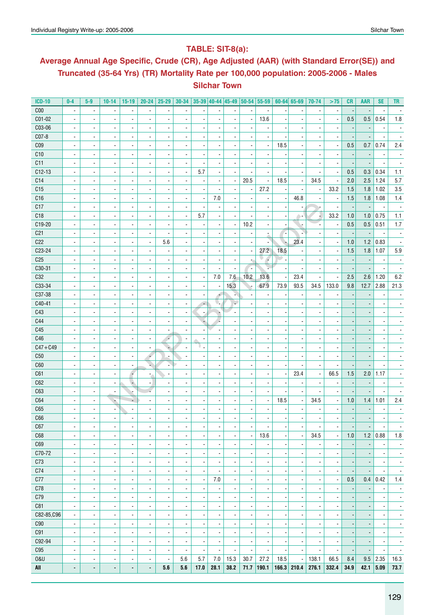# **Table: SIT-8(a):**

# **Average Annual Age Specific, Crude (CR), Age Adjusted (AAR) (with Standard Error(SE)) and Truncated (35-64 Yrs) (TR) Mortality Rate per 100,000 population: 2005-2006 - Males Silchar Town**

| <b>ICD-10</b>   | $0-4$                    | $5-9$                                      | $10 - 14$                       | $15-19$                  | $20 - 24$                | 25-29                    | 30-34                    |                          | $35-39$ 40-44 45-49 50-54    |                          |                          | 55-59                        |                          | $60 - 64$ 65-69          | 70-74                    | >75                      | CR                       | <b>AAR</b>               | <b>SE</b>                | <b>TR</b>                    |
|-----------------|--------------------------|--------------------------------------------|---------------------------------|--------------------------|--------------------------|--------------------------|--------------------------|--------------------------|------------------------------|--------------------------|--------------------------|------------------------------|--------------------------|--------------------------|--------------------------|--------------------------|--------------------------|--------------------------|--------------------------|------------------------------|
| C <sub>00</sub> | $\overline{\phantom{a}}$ | $\overline{\phantom{a}}$                   |                                 | $\overline{\phantom{a}}$ | $\overline{\phantom{a}}$ |                          | $\overline{\phantom{a}}$ |                          |                              |                          |                          | $\overline{\phantom{a}}$     |                          | $\overline{\phantom{a}}$ |                          | $\overline{\phantom{a}}$ |                          |                          | ٠                        |                              |
| C01-02          | ÷,                       | $\blacksquare$                             |                                 | $\overline{\phantom{a}}$ | $\blacksquare$           |                          |                          |                          | ä,                           |                          |                          | 13.6                         |                          | $\overline{\phantom{a}}$ |                          | $\overline{\phantom{a}}$ | 0.5                      | 0.5                      | 0.54                     | 1.8                          |
| C03-06          | ÷,                       | $\overline{a}$                             | $\blacksquare$                  | $\overline{\phantom{a}}$ | $\overline{\phantom{a}}$ |                          |                          |                          |                              |                          |                          | $\overline{a}$               |                          | $\blacksquare$           |                          | $\overline{\phantom{a}}$ |                          |                          | ÷,                       |                              |
| C07-8           | ÷,                       | $\overline{a}$                             |                                 | $\overline{\phantom{a}}$ | $\overline{\phantom{a}}$ |                          |                          |                          |                              |                          |                          | $\overline{a}$               |                          | $\blacksquare$           |                          | $\overline{\phantom{a}}$ |                          |                          |                          |                              |
| C <sub>09</sub> | ÷,                       | $\overline{a}$                             |                                 | $\overline{\phantom{a}}$ | $\overline{\phantom{a}}$ |                          |                          |                          |                              |                          |                          | $\blacksquare$               | 18.5                     | $\blacksquare$           |                          | $\overline{\phantom{a}}$ | 0.5                      | 0.7                      | 0.74                     | 2.4                          |
| C10             | ÷,                       | $\overline{a}$                             |                                 | $\overline{\phantom{a}}$ | $\overline{\phantom{a}}$ |                          |                          |                          |                              |                          |                          | ÷,                           |                          | $\blacksquare$           |                          | $\blacksquare$           |                          |                          | ÷,                       |                              |
| C11             | ÷,                       | $\overline{a}$                             |                                 | $\overline{\phantom{a}}$ | $\overline{\phantom{a}}$ |                          |                          |                          |                              |                          |                          | ÷,                           |                          | $\overline{\phantom{a}}$ |                          | $\overline{\phantom{a}}$ |                          |                          |                          |                              |
| $C12-13$        | ÷,                       | $\overline{a}$                             |                                 | $\overline{\phantom{a}}$ | $\overline{\phantom{a}}$ |                          | $\overline{\phantom{a}}$ | 5.7                      | ÷,                           |                          |                          | $\overline{a}$               |                          | $\blacksquare$           |                          | $\overline{\phantom{a}}$ | 0.5                      | 0.3                      | 0.34                     | 1.1                          |
| C14             | $\overline{a}$           | $\overline{a}$                             |                                 | $\overline{\phantom{a}}$ | $\blacksquare$           |                          |                          | $\overline{\phantom{a}}$ | ÷,                           |                          | 20.5                     | $\overline{\phantom{a}}$     | 18.5                     | $\overline{\phantom{a}}$ | 34.5                     | $\overline{\phantom{a}}$ | 2.0                      | 2.5                      | 1.24                     | 5.7                          |
| C15             | $\overline{a}$           | $\overline{a}$                             |                                 | $\overline{\phantom{a}}$ | $\blacksquare$           |                          |                          |                          | $\overline{a}$               |                          |                          | 27.2                         |                          | $\blacksquare$           |                          | 33.2                     | 1.5                      | 1.8                      | 1.02                     | 3.5                          |
| C16             | $\overline{a}$           | $\overline{a}$                             |                                 | $\overline{\phantom{a}}$ | $\blacksquare$           |                          |                          | $\overline{\phantom{a}}$ | 7.0                          |                          |                          | ÷,                           |                          | 46.8                     |                          | $\overline{\phantom{a}}$ | 1.5                      | 1.8                      | 1.08                     | $1.4\,$                      |
| C17             | ÷,                       | $\overline{a}$                             |                                 | $\overline{\phantom{a}}$ | $\blacksquare$           |                          |                          | $\overline{\phantom{a}}$ | $\overline{\phantom{a}}$     |                          |                          | ÷,                           |                          |                          |                          | $\overline{\phantom{a}}$ |                          |                          |                          |                              |
| C18             | $\overline{a}$           | ÷,                                         |                                 | $\overline{\phantom{a}}$ | $\blacksquare$           |                          | $\overline{\phantom{a}}$ | 5.7                      | $\overline{a}$               |                          |                          | ÷,                           |                          | ÷                        |                          | 33.2                     | 1.0                      | 1.0                      | 0.75                     | 1.1                          |
| C19-20          | $\overline{a}$           | ÷,                                         |                                 | $\blacksquare$           | $\overline{\phantom{a}}$ |                          |                          | $\overline{\phantom{a}}$ | $\overline{a}$               | $\overline{\phantom{a}}$ | 10.2                     | ÷,                           |                          |                          |                          | $\overline{\phantom{a}}$ | 0.5                      | 0.5                      | 0.51                     | 1.7                          |
| C <sub>21</sub> | $\overline{a}$           | ÷,                                         |                                 | $\blacksquare$           | $\blacksquare$           |                          |                          |                          | $\overline{\phantom{a}}$     |                          |                          |                              |                          | ÷                        |                          | $\overline{a}$           |                          |                          |                          |                              |
| C <sub>22</sub> | $\overline{a}$           | ٠                                          | $\overline{\phantom{a}}$        | $\blacksquare$           | $\overline{\phantom{a}}$ | 5.6                      |                          | $\overline{\phantom{a}}$ | $\overline{\phantom{a}}$     |                          |                          | ż<br>÷,                      |                          | 23.4                     |                          | $\overline{\phantom{a}}$ | 1.0                      | 1.2                      | 0.83                     |                              |
| C23-24          | $\overline{a}$           | ٠                                          |                                 | $\blacksquare$           | $\blacksquare$           |                          |                          | $\overline{\phantom{a}}$ | $\overline{a}$               |                          | $\overline{\phantom{a}}$ | 27.2                         | 18.5                     |                          |                          | $\overline{\phantom{a}}$ | 1.5                      | 1.8                      | 1.07                     | 5.9                          |
|                 |                          |                                            |                                 |                          |                          |                          |                          |                          |                              |                          |                          |                              |                          | ÷                        |                          |                          |                          |                          |                          |                              |
| C <sub>25</sub> | ٠                        | ٠                                          | $\overline{\phantom{a}}$        | $\overline{\phantom{a}}$ | $\overline{\phantom{a}}$ |                          |                          | $\overline{a}$           | $\overline{a}$               | $\overline{\phantom{a}}$ | ÷,                       | ÷                            |                          | ÷                        |                          | $\overline{a}$           |                          |                          | ł,                       | $\overline{\phantom{m}}$     |
| C30-31          | ٠                        | ٠                                          | $\overline{\phantom{a}}$        | $\overline{\phantom{a}}$ | $\overline{\phantom{a}}$ |                          |                          | $\overline{a}$           | $\overline{a}$               | $\overline{a}$           |                          | r.                           |                          | $\overline{\phantom{a}}$ | $\overline{\phantom{a}}$ | $\overline{a}$           |                          |                          | $\overline{\phantom{a}}$ | $\overline{\phantom{a}}$     |
| C32             | $\overline{\phantom{a}}$ | ٠                                          | $\overline{\phantom{a}}$        | $\overline{\phantom{a}}$ | $\overline{\phantom{a}}$ |                          |                          | $\overline{a}$           | 7.0                          | 7.6                      | 10.2                     | 13.6                         |                          | 23.4                     | $\overline{\phantom{a}}$ | $\overline{\phantom{a}}$ | 2.5                      | 2.6                      | 1.20                     | 6.2                          |
| C33-34          | -                        | ٠                                          | $\overline{\phantom{a}}$        | $\overline{\phantom{a}}$ | $\overline{\phantom{a}}$ |                          |                          | $\overline{a}$           | $\overline{\phantom{a}}$     | 15.3                     |                          | 67.9                         | 73.9                     | 93.5                     | 34.5                     | 133.0                    | 9.8                      | 12.7                     | 2.88                     | 21.3                         |
| C37-38          | -                        | ٠                                          | $\overline{\phantom{a}}$        | $\overline{\phantom{a}}$ | $\overline{\phantom{a}}$ |                          |                          |                          | ۰                            |                          |                          | ٠                            |                          | $\overline{a}$           |                          | $\overline{\phantom{a}}$ |                          |                          |                          |                              |
| C40-41          | -                        | ٠                                          | $\overline{\phantom{a}}$        | $\overline{\phantom{a}}$ | $\overline{\phantom{a}}$ | $\overline{\phantom{a}}$ |                          |                          | v.                           |                          |                          | ٠                            |                          | $\overline{\phantom{a}}$ |                          |                          |                          |                          |                          | $\overline{\phantom{a}}$     |
| C43             | $\overline{\phantom{a}}$ | ٠                                          | $\overline{\phantom{a}}$        | $\overline{\phantom{a}}$ | $\overline{\phantom{a}}$ | $\overline{\phantom{a}}$ | $\overline{\phantom{a}}$ | -                        |                              |                          |                          | ٠                            |                          | $\overline{\phantom{a}}$ | $\overline{\phantom{a}}$ |                          |                          |                          |                          | $\overline{\phantom{a}}$     |
| C44             | $\overline{\phantom{a}}$ | $\overline{\phantom{a}}$                   | $\overline{\phantom{a}}$        | $\overline{\phantom{a}}$ | $\overline{\phantom{a}}$ | $\overline{\phantom{a}}$ |                          | ٠                        |                              |                          |                          | ٠                            |                          | $\overline{\phantom{a}}$ | $\overline{\phantom{a}}$ |                          |                          |                          |                          | $\qquad \qquad \blacksquare$ |
| C45             | $\overline{\phantom{a}}$ | $\overline{\phantom{a}}$                   | $\overline{\phantom{a}}$        | $\overline{\phantom{a}}$ | $\overline{\phantom{a}}$ |                          |                          | $\overline{a}$           |                              |                          |                          | ٠                            |                          | $\overline{\phantom{a}}$ | $\overline{\phantom{a}}$ |                          |                          |                          |                          | $\qquad \qquad \blacksquare$ |
| C46             | ٠                        | $\overline{\phantom{a}}$                   | $\overline{\phantom{a}}$        | $\overline{\phantom{a}}$ | $\overline{\phantom{a}}$ |                          | $\overline{\phantom{a}}$ | $\overline{a}$           | $\overline{\phantom{a}}$     |                          |                          | $\overline{\phantom{a}}$     |                          | $\overline{\phantom{a}}$ | $\overline{\phantom{a}}$ |                          |                          |                          |                          | $\overline{\phantom{a}}$     |
| $C47 + C49$     | $\overline{\phantom{a}}$ | $\overline{\phantom{a}}$                   | $\overline{\phantom{a}}$        | $\overline{\phantom{a}}$ | $\overline{\phantom{a}}$ |                          |                          | $\overline{\phantom{a}}$ |                              |                          |                          | ٠                            |                          | $\overline{\phantom{a}}$ | $\overline{\phantom{a}}$ |                          |                          |                          |                          |                              |
| C50             | ٠                        | $\overline{\phantom{a}}$                   | $\overline{\phantom{a}}$        | $\overline{\phantom{a}}$ | F                        | ÷.                       |                          | $\overline{a}$           | $\overline{\phantom{a}}$     |                          |                          | ٠                            |                          | $\overline{\phantom{a}}$ | $\blacksquare$           |                          |                          | $\overline{a}$           |                          |                              |
| C60             | $\overline{\phantom{a}}$ | $\overline{\phantom{a}}$                   | $\overline{\phantom{a}}$        | $\overline{\phantom{a}}$ | ×,                       |                          |                          | $\overline{a}$           | $\overline{\phantom{a}}$     |                          |                          | ٠                            |                          | $\overline{\phantom{a}}$ | $\overline{\phantom{a}}$ | $\overline{\phantom{a}}$ |                          |                          |                          |                              |
| C61             | ٠                        | $\blacksquare$                             | $\blacksquare$                  | ÷                        | ÷,                       | $\overline{a}$           |                          | $\overline{a}$           | $\overline{a}$               |                          |                          | $\overline{\phantom{a}}$     |                          | 23.4                     | $\overline{\phantom{a}}$ | 66.5                     | 1.5                      | 2.0                      | 1.17                     |                              |
| C62             | $\blacksquare$           | $\blacksquare$                             | $\overline{\phantom{a}}$        | ٠                        | $\blacksquare$           |                          |                          | $\overline{a}$           | ٠                            |                          |                          | $\qquad \qquad \blacksquare$ |                          | $\overline{\phantom{a}}$ |                          |                          |                          |                          | ł,                       |                              |
| C63             | $\blacksquare$           | $\overline{\phantom{a}}$                   | $\overline{\phantom{a}}$        |                          |                          |                          |                          | $\overline{a}$           | $\overline{\phantom{a}}$     |                          |                          | $\qquad \qquad \blacksquare$ |                          | $\overline{\phantom{a}}$ |                          |                          |                          |                          | $\overline{\phantom{a}}$ | $\overline{\phantom{a}}$     |
| C64             | $\blacksquare$           | $\overline{\phantom{a}}$                   | ٠                               | ٠                        | $\overline{\phantom{a}}$ | $\overline{a}$           |                          | $\overline{a}$           | $\overline{\phantom{a}}$     |                          | ×                        | $\overline{\phantom{a}}$     | 18.5                     | $\overline{\phantom{a}}$ | 34.5                     | $\overline{\phantom{a}}$ | 1.0                      | 1.4                      | 1.01                     | 2.4                          |
| C65             | $\blacksquare$           | $\overline{\phantom{a}}$                   | $\blacksquare$                  | $\overline{\phantom{a}}$ | $\overline{\phantom{a}}$ | $\overline{\phantom{a}}$ |                          | $\overline{\phantom{a}}$ | $\blacksquare$               |                          |                          | $\overline{\phantom{a}}$     |                          | $\overline{\phantom{a}}$ |                          |                          |                          |                          |                          |                              |
| C66             | $\blacksquare$           | $\blacksquare$                             | $\overline{\phantom{a}}$        | $\frac{1}{2}$            | $\blacksquare$           |                          |                          | $\overline{a}$           | $\qquad \qquad \blacksquare$ |                          |                          |                              |                          |                          |                          |                          |                          |                          |                          |                              |
| C67             | $\overline{\phantom{a}}$ | $\overline{\phantom{a}}$                   | $\overline{\phantom{a}}$        | $\overline{\phantom{a}}$ | $\overline{\phantom{a}}$ | $\overline{\phantom{a}}$ | ٠                        | $\overline{\phantom{a}}$ | $\overline{\phantom{a}}$     | $\overline{\phantom{a}}$ | $\overline{\phantom{a}}$ | $\overline{\phantom{a}}$     | $\overline{\phantom{a}}$ | $\overline{\phantom{a}}$ | $\overline{\phantom{a}}$ | $\overline{\phantom{a}}$ | ٠                        | $\overline{\phantom{a}}$ | $\overline{\phantom{a}}$ | $\overline{\phantom{a}}$     |
| C68             | $\overline{\phantom{a}}$ | $\overline{\phantom{a}}$                   | $\overline{\phantom{a}}$        | $\overline{\phantom{a}}$ | $\overline{\phantom{a}}$ | $\overline{\phantom{a}}$ | $\overline{\phantom{a}}$ | $\overline{\phantom{a}}$ | $\overline{\phantom{a}}$     | $\blacksquare$           | $\overline{\phantom{a}}$ | 13.6                         | $\overline{\phantom{a}}$ | $\overline{\phantom{a}}$ | 34.5                     | $\overline{\phantom{a}}$ | 1.0                      | $1.2$                    | 0.88                     | 1.8                          |
| C69             | $\overline{\phantom{a}}$ | $\overline{\phantom{a}}$                   | $\overline{\phantom{a}}$        | $\overline{\phantom{a}}$ | $\overline{\phantom{a}}$ | $\overline{\phantom{a}}$ | $\overline{\phantom{a}}$ | $\overline{\phantom{a}}$ | $\overline{\phantom{a}}$     | $\overline{\phantom{a}}$ | $\overline{\phantom{a}}$ | $\blacksquare$               | $\overline{\phantom{a}}$ | $\overline{\phantom{a}}$ | $\blacksquare$           | $\overline{\phantom{a}}$ | г.                       | $\overline{a}$           | $\overline{\phantom{a}}$ | $\overline{\phantom{a}}$     |
| C70-72          | $\overline{\phantom{a}}$ | $\overline{\phantom{a}}$                   | $\overline{\phantom{a}}$        | $\overline{\phantom{a}}$ | $\overline{\phantom{a}}$ | $\overline{\phantom{a}}$ | $\overline{\phantom{a}}$ | $\overline{\phantom{a}}$ | $\overline{\phantom{a}}$     | $\overline{\phantom{a}}$ | $\overline{\phantom{a}}$ | $\blacksquare$               |                          | $\overline{\phantom{a}}$ | $\overline{\phantom{a}}$ | $\overline{\phantom{a}}$ |                          | $\overline{\phantom{a}}$ | $\overline{\phantom{a}}$ | $\overline{\phantom{a}}$     |
| C73             | $\overline{\phantom{a}}$ | $\overline{\phantom{a}}$                   | $\overline{\phantom{a}}$        | $\overline{\phantom{a}}$ | $\overline{\phantom{a}}$ | $\overline{\phantom{a}}$ | $\overline{\phantom{a}}$ | $\overline{\phantom{a}}$ | $\overline{\phantom{a}}$     | $\overline{\phantom{a}}$ | $\overline{\phantom{a}}$ | $\blacksquare$               |                          | $\overline{\phantom{a}}$ | $\overline{\phantom{a}}$ | $\overline{\phantom{a}}$ | г.                       | $\overline{\phantom{a}}$ | $\overline{\phantom{a}}$ | $\overline{\phantom{a}}$     |
| C74             | $\overline{\phantom{a}}$ | $\overline{\phantom{a}}$                   | $\overline{\phantom{a}}$        | $\overline{\phantom{a}}$ | $\blacksquare$           | $\blacksquare$           | $\blacksquare$           | $\overline{\phantom{a}}$ | $\blacksquare$               | $\overline{\phantom{a}}$ | $\overline{\phantom{a}}$ | $\overline{\phantom{a}}$     | ٠                        | $\overline{\phantom{a}}$ | $\overline{\phantom{a}}$ | $\overline{\phantom{a}}$ | $\overline{\phantom{a}}$ | $\overline{\phantom{a}}$ | $\overline{\phantom{a}}$ | $\overline{\phantom{a}}$     |
| C77             | $\overline{\phantom{a}}$ | $\overline{\phantom{a}}$                   | $\overline{\phantom{a}}$        | $\overline{\phantom{a}}$ | $\overline{\phantom{a}}$ | $\blacksquare$           | $\blacksquare$           | $\overline{\phantom{a}}$ | 7.0                          | $\blacksquare$           | $\overline{\phantom{a}}$ | $\overline{\phantom{a}}$     | ٠                        | $\overline{\phantom{a}}$ | $\overline{\phantom{a}}$ | $\overline{\phantom{a}}$ | 0.5                      | 0.4                      | 0.42                     | 1.4                          |
| C78             | $\overline{\phantom{a}}$ | $\overline{\phantom{a}}$                   | $\overline{\phantom{a}}$        | $\overline{\phantom{a}}$ | $\overline{\phantom{a}}$ | $\blacksquare$           | $\overline{\phantom{a}}$ | $\overline{\phantom{a}}$ | $\overline{\phantom{a}}$     | $\overline{\phantom{a}}$ | $\overline{\phantom{a}}$ | $\overline{\phantom{a}}$     | ٠                        | $\overline{\phantom{a}}$ | $\overline{\phantom{a}}$ | $\overline{\phantom{a}}$ | $\overline{\phantom{a}}$ | $\overline{\phantom{a}}$ | $\overline{\phantom{a}}$ | $\overline{\phantom{a}}$     |
| C79             | $\overline{\phantom{a}}$ | $\overline{\phantom{a}}$                   | $\overline{\phantom{a}}$        | $\overline{\phantom{a}}$ | $\overline{\phantom{a}}$ | $\blacksquare$           | $\blacksquare$           | $\overline{\phantom{a}}$ | $\blacksquare$               | $\blacksquare$           | $\overline{\phantom{a}}$ | $\blacksquare$               |                          | $\overline{\phantom{a}}$ | $\blacksquare$           | $\overline{\phantom{a}}$ | $\overline{\phantom{a}}$ | $\overline{\phantom{a}}$ | $\overline{\phantom{a}}$ | $\overline{\phantom{a}}$     |
| C81             |                          |                                            | $\blacksquare$                  |                          | $\overline{\phantom{a}}$ |                          | $\blacksquare$           |                          | $\overline{\phantom{a}}$     | $\blacksquare$           |                          |                              |                          |                          | $\blacksquare$           | $\blacksquare$           |                          | $\overline{\phantom{0}}$ |                          |                              |
| C82-85,C96      | $\overline{\phantom{a}}$ | $\overline{\phantom{a}}$<br>$\blacksquare$ | $\blacksquare$                  | $\overline{\phantom{a}}$ | $\blacksquare$           | $\overline{\phantom{a}}$ |                          | $\overline{\phantom{a}}$ |                              | $\blacksquare$           | $\overline{\phantom{a}}$ | $\overline{\phantom{a}}$     |                          | $\overline{\phantom{a}}$ |                          |                          | $\overline{\phantom{a}}$ |                          | $\overline{\phantom{a}}$ | $\overline{\phantom{a}}$     |
| C90             | $\overline{\phantom{a}}$ |                                            |                                 | $\overline{\phantom{a}}$ |                          | $\overline{\phantom{a}}$ | $\blacksquare$           | $\overline{\phantom{a}}$ | $\overline{\phantom{a}}$     |                          | $\overline{\phantom{a}}$ | $\overline{\phantom{a}}$     |                          | $\overline{\phantom{a}}$ | $\blacksquare$           | $\blacksquare$           | $\overline{\phantom{a}}$ | $\overline{\phantom{0}}$ | $\overline{\phantom{a}}$ | $\overline{\phantom{a}}$     |
|                 | $\overline{\phantom{a}}$ | $\blacksquare$                             | $\blacksquare$                  | $\overline{\phantom{a}}$ | $\blacksquare$           | $\overline{\phantom{a}}$ | $\blacksquare$           | $\overline{\phantom{a}}$ | $\overline{\phantom{a}}$     | $\blacksquare$           | $\overline{\phantom{a}}$ | $\overline{\phantom{a}}$     |                          | $\overline{\phantom{a}}$ | $\blacksquare$           | $\blacksquare$           | $\overline{\phantom{a}}$ | $\overline{\phantom{0}}$ | $\overline{\phantom{a}}$ | $\overline{\phantom{a}}$     |
| C91             | $\overline{\phantom{a}}$ | $\overline{\phantom{a}}$                   | $\blacksquare$                  | $\overline{\phantom{a}}$ | $\overline{\phantom{a}}$ | $\overline{\phantom{a}}$ | $\blacksquare$           | $\overline{\phantom{a}}$ | $\blacksquare$               | $\blacksquare$           | $\overline{\phantom{a}}$ | $\blacksquare$               |                          | $\overline{\phantom{a}}$ | $\blacksquare$           | $\blacksquare$           | ٠                        |                          | $\overline{\phantom{a}}$ | $\overline{\phantom{a}}$     |
| C92-94          | $\blacksquare$           | $\blacksquare$                             | $\blacksquare$                  | $\overline{\phantom{a}}$ | $\blacksquare$           | $\overline{\phantom{a}}$ | $\blacksquare$           | $\overline{\phantom{a}}$ | $\blacksquare$               | $\blacksquare$           | $\overline{\phantom{a}}$ | $\blacksquare$               |                          | $\overline{\phantom{a}}$ | $\blacksquare$           | $\blacksquare$           | ٠                        |                          | $\overline{\phantom{a}}$ | $\overline{\phantom{a}}$     |
| C <sub>95</sub> | $\overline{\phantom{a}}$ | $\overline{\phantom{a}}$                   | $\overline{\phantom{a}}$        | $\overline{\phantom{a}}$ | $\overline{\phantom{a}}$ | $\overline{\phantom{a}}$ | $\overline{\phantom{a}}$ | $\overline{\phantom{a}}$ | $\blacksquare$               | $\blacksquare$           | $\overline{\phantom{a}}$ | $\overline{\phantom{a}}$     |                          | $\overline{\phantom{a}}$ | $\blacksquare$           | $\overline{\phantom{a}}$ | $\overline{\phantom{a}}$ |                          | $\blacksquare$           | $\overline{\phantom{a}}$     |
| <b>0&amp;U</b>  | $\overline{\phantom{a}}$ | $\overline{\phantom{a}}$                   | $\overline{\phantom{a}}$        | $\overline{\phantom{a}}$ | $\overline{\phantom{a}}$ | $\blacksquare$           | 5.6                      | 5.7                      | 7.0                          | 15.3                     | 30.7                     | 27.2                         | 18.5                     | $\Box$                   | 138.1                    | 66.5                     | 8.4                      | 9.5                      | 2.35                     | 16.3                         |
| All             | ٠                        | $\centering \label{eq:reduced}$            | $\centering \label{eq:reduced}$ | $\blacksquare$           | ٠                        | 5.6                      | 5.6                      | 17.0                     | 28.1                         | 38.2                     | 71.7                     | 190.1                        |                          | 166.3 210.4              | 276.1                    | 332.4                    | 34.9                     | 42.1                     | 5.09                     | 73.7                         |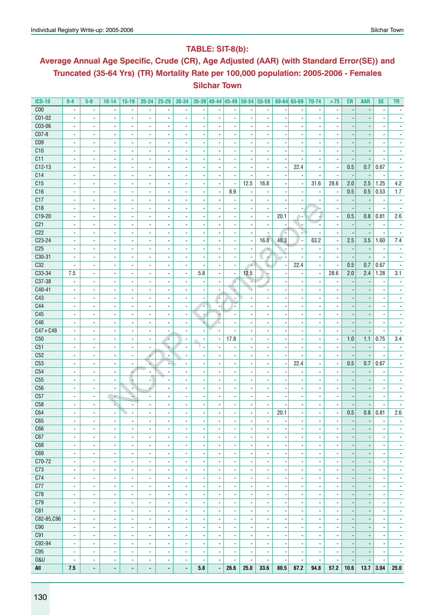### **Table: SIT-8(b):**

# **Average Annual Age Specific, Crude (CR), Age Adjusted (AAR) (with Standard Error(SE)) and Truncated (35-64 Yrs) (TR) Mortality Rate per 100,000 population: 2005-2006 - Females Silchar Town**

| <b>ICD-10</b>   | $0-4$                    | $5-9$                    | $10 - 14$                | $15-19$                  | $20 - 24$                | $25 - 29$                    | $30 - 34$                |                          | $35-39$ 40-44 45-49      |                          | 50-54 55-59              |                          |                          | $60 - 64$ 65-69          | 70-74                    | >75                      | <b>CR</b>                | <b>AAR</b>               | <b>SE</b>                | TR.                      |
|-----------------|--------------------------|--------------------------|--------------------------|--------------------------|--------------------------|------------------------------|--------------------------|--------------------------|--------------------------|--------------------------|--------------------------|--------------------------|--------------------------|--------------------------|--------------------------|--------------------------|--------------------------|--------------------------|--------------------------|--------------------------|
| C <sub>00</sub> | $\overline{\phantom{a}}$ | $\overline{\phantom{a}}$ | $\overline{\phantom{a}}$ | $\overline{\phantom{a}}$ | $\blacksquare$           | $\overline{\phantom{a}}$     | $\overline{\phantom{a}}$ | $\overline{\phantom{a}}$ |                          | $\overline{\phantom{a}}$ | $\blacksquare$           | $\overline{\phantom{a}}$ |                          | $\blacksquare$           | $\blacksquare$           | $\overline{\phantom{a}}$ |                          |                          | $\overline{\phantom{a}}$ |                          |
| $C01 - 02$      | $\blacksquare$           | $\overline{\phantom{a}}$ | $\overline{\phantom{a}}$ | $\overline{\phantom{a}}$ | $\overline{\phantom{a}}$ | $\blacksquare$               | $\overline{\phantom{a}}$ | $\overline{\phantom{a}}$ | $\overline{\phantom{a}}$ | $\overline{\phantom{a}}$ | $\overline{\phantom{a}}$ | $\overline{\phantom{a}}$ |                          | $\blacksquare$           | $\blacksquare$           | $\blacksquare$           |                          |                          |                          |                          |
| C03-06          | $\overline{\phantom{a}}$ | $\blacksquare$           | $\overline{\phantom{a}}$ | $\overline{\phantom{a}}$ | $\overline{\phantom{a}}$ | $\blacksquare$               |                          | $\overline{\phantom{a}}$ |                          | $\overline{\phantom{a}}$ | $\overline{\phantom{a}}$ |                          |                          | $\overline{\phantom{a}}$ | $\overline{\phantom{a}}$ |                          |                          |                          |                          |                          |
| $CO7-8$         | $\overline{\phantom{a}}$ | $\overline{\phantom{a}}$ | ä,                       | $\overline{\phantom{a}}$ | $\overline{\phantom{a}}$ | $\overline{\phantom{a}}$     | $\overline{\phantom{a}}$ | $\overline{\phantom{a}}$ |                          | $\blacksquare$           | $\overline{a}$           | $\blacksquare$           |                          | $\blacksquare$           | $\blacksquare$           | $\overline{\phantom{a}}$ |                          | $\overline{\phantom{a}}$ |                          |                          |
| C <sub>09</sub> | $\overline{\phantom{a}}$ | $\overline{\phantom{a}}$ | $\overline{\phantom{a}}$ | $\overline{\phantom{a}}$ | $\overline{\phantom{a}}$ | $\blacksquare$               | $\overline{\phantom{a}}$ | $\overline{\phantom{a}}$ | $\blacksquare$           | $\overline{\phantom{a}}$ | $\blacksquare$           | $\blacksquare$           |                          | $\blacksquare$           | $\blacksquare$           | $\overline{\phantom{a}}$ |                          | $\overline{\phantom{a}}$ | $\overline{\phantom{a}}$ | ٠                        |
| C10             | $\blacksquare$           | $\blacksquare$           | $\overline{\phantom{a}}$ | $\blacksquare$           | $\blacksquare$           | $\blacksquare$               | $\overline{\phantom{a}}$ |                          | $\blacksquare$           | $\blacksquare$           | $\overline{\phantom{a}}$ | $\blacksquare$           |                          | $\overline{\phantom{a}}$ | $\blacksquare$           | $\overline{\phantom{a}}$ |                          | $\overline{\phantom{a}}$ | $\overline{\phantom{a}}$ | $\blacksquare$           |
|                 |                          |                          |                          |                          |                          |                              |                          | $\overline{\phantom{a}}$ |                          |                          |                          |                          |                          |                          |                          |                          |                          |                          |                          |                          |
| C11             | $\overline{\phantom{a}}$ | $\overline{\phantom{a}}$ | $\overline{\phantom{a}}$ | $\overline{\phantom{a}}$ | $\overline{\phantom{a}}$ | $\qquad \qquad \blacksquare$ | $\overline{\phantom{a}}$ | $\overline{\phantom{m}}$ | $\overline{\phantom{a}}$ | $\overline{\phantom{a}}$ | $\overline{a}$           | $\overline{a}$           |                          | $\overline{\phantom{a}}$ | $\overline{\phantom{a}}$ | $\overline{\phantom{a}}$ |                          |                          |                          |                          |
| $C12-13$        | $\blacksquare$           | $\blacksquare$           | $\overline{\phantom{a}}$ | $\blacksquare$           | $\overline{\phantom{a}}$ | ÷,                           |                          | $\overline{\phantom{a}}$ |                          | $\blacksquare$           |                          | $\blacksquare$           |                          | 22.4                     | $\overline{\phantom{a}}$ | $\overline{\phantom{a}}$ | 0.5                      | 0.7                      | 0.67                     |                          |
| C14             | $\overline{\phantom{a}}$ | $\blacksquare$           | $\blacksquare$           | $\blacksquare$           | $\blacksquare$           | $\overline{\phantom{a}}$     | $\blacksquare$           | $\overline{\phantom{a}}$ | $\overline{\phantom{a}}$ | $\blacksquare$           | $\blacksquare$           | $\blacksquare$           |                          | $\blacksquare$           | $\blacksquare$           | $\overline{\phantom{a}}$ | $\overline{\phantom{a}}$ | $\overline{\phantom{a}}$ | $\overline{\phantom{a}}$ | $\blacksquare$           |
| C15             | $\overline{\phantom{a}}$ | $\overline{\phantom{a}}$ | $\overline{\phantom{a}}$ | $\overline{\phantom{a}}$ | $\overline{\phantom{a}}$ | $\overline{\phantom{a}}$     | $\overline{\phantom{a}}$ | $\overline{\phantom{a}}$ | $\overline{\phantom{a}}$ | $\blacksquare$           | 12.5                     | 16.8                     |                          | $\overline{\phantom{a}}$ | 31.6                     | 28.6                     | 2.0                      | 2.5                      | 1.25                     | 4.2                      |
| C16             | $\overline{\phantom{a}}$ | $\overline{\phantom{a}}$ | $\overline{\phantom{a}}$ | $\overline{\phantom{a}}$ | $\overline{\phantom{a}}$ | $\overline{\phantom{a}}$     | $\overline{\phantom{a}}$ | $\overline{\phantom{a}}$ | $\overline{\phantom{a}}$ | 8.9                      | $\overline{a}$           | $\overline{\phantom{a}}$ |                          | $\overline{\phantom{a}}$ | $\overline{a}$           | $\overline{\phantom{a}}$ | 0.5                      | 0.5                      | 0.53                     | 1.7                      |
| C17             | $\overline{\phantom{a}}$ | $\overline{\phantom{a}}$ | $\overline{\phantom{a}}$ | $\overline{\phantom{a}}$ | $\overline{\phantom{a}}$ | $\overline{\phantom{a}}$     | $\overline{\phantom{a}}$ | $\overline{a}$           | $\overline{\phantom{a}}$ |                          | $\overline{\phantom{a}}$ | $\overline{\phantom{a}}$ |                          | $\blacksquare$           | $\blacksquare$           | $\blacksquare$           |                          |                          | $\blacksquare$           |                          |
| C18             | $\overline{\phantom{a}}$ | $\overline{\phantom{a}}$ | $\overline{\phantom{a}}$ | $\overline{\phantom{a}}$ | $\overline{\phantom{a}}$ | $\overline{\phantom{a}}$     | $\overline{\phantom{a}}$ | $\overline{\phantom{a}}$ | $\overline{\phantom{a}}$ | $\overline{\phantom{a}}$ | $\overline{\phantom{a}}$ | $\overline{\phantom{a}}$ |                          | $\overline{\phantom{a}}$ | ⊢                        | $\overline{\phantom{a}}$ | $\overline{\phantom{a}}$ | $\overline{\phantom{a}}$ | $\overline{\phantom{a}}$ | $\overline{\phantom{a}}$ |
| C19-20          | $\overline{\phantom{a}}$ | $\overline{\phantom{a}}$ | $\overline{\phantom{a}}$ | $\overline{\phantom{a}}$ | $\overline{\phantom{a}}$ | $\blacksquare$               | $\overline{\phantom{a}}$ | $\overline{\phantom{a}}$ | $\overline{\phantom{a}}$ | $\overline{\phantom{a}}$ | $\overline{\phantom{a}}$ | $\overline{\phantom{a}}$ | 20.1                     | $\rightarrow$            | ÷.                       | $\overline{\phantom{a}}$ | 0.5                      | 0.8                      | 0.81                     | 2.6                      |
| C <sub>21</sub> | $\blacksquare$           | $\overline{\phantom{a}}$ | $\blacksquare$           | $\blacksquare$           | $\overline{\phantom{a}}$ | $\overline{a}$               | $\blacksquare$           | $\overline{\phantom{a}}$ | $\overline{\phantom{a}}$ | $\blacksquare$           | $\overline{\phantom{a}}$ | $\overline{\phantom{a}}$ |                          |                          | $\blacksquare$           | $\overline{\phantom{a}}$ |                          | $\overline{\phantom{a}}$ | $\overline{\phantom{a}}$ |                          |
| C22             | $\overline{\phantom{a}}$ | $\blacksquare$           | $\overline{\phantom{a}}$ | $\blacksquare$           | $\blacksquare$           | ٠                            |                          | $\overline{\phantom{a}}$ | $\overline{\phantom{a}}$ | $\blacksquare$           |                          | $\blacksquare$           |                          | N                        |                          | $\overline{\phantom{a}}$ |                          |                          |                          |                          |
| $C23-24$        | $\blacksquare$           | $\overline{\phantom{a}}$ | $\overline{\phantom{a}}$ | $\overline{\phantom{a}}$ | $\blacksquare$           | $\blacksquare$               | $\blacksquare$           | $\overline{\phantom{a}}$ | $\blacksquare$           | $\blacksquare$           | $\overline{\phantom{a}}$ | 16.8                     | 40.3                     | $\blacksquare$           | 63.2                     | $\overline{\phantom{a}}$ | 2.5                      | 3.5                      | 1.60                     | 7.4                      |
| C <sub>25</sub> | $\overline{\phantom{a}}$ | $\blacksquare$           | $\overline{\phantom{a}}$ | $\overline{\phantom{a}}$ | $\overline{\phantom{a}}$ | $\blacksquare$               |                          | $\overline{\phantom{a}}$ | $\overline{\phantom{a}}$ | $\overline{\phantom{a}}$ | $\overline{a}$           | $\overline{\phantom{a}}$ |                          | $\overline{\phantom{a}}$ | $\overline{\phantom{a}}$ | $\overline{\phantom{a}}$ |                          |                          |                          |                          |
| C30-31          | $\overline{\phantom{a}}$ | $\overline{\phantom{a}}$ | $\overline{\phantom{a}}$ | $\overline{\phantom{a}}$ | $\blacksquare$           | $\overline{a}$               | $\overline{\phantom{a}}$ | $\overline{\phantom{a}}$ | $\overline{\phantom{a}}$ | ä,                       | $\overline{\phantom{a}}$ | Á                        |                          | $\overline{a}$           | ä,                       | $\overline{\phantom{a}}$ |                          |                          |                          |                          |
| C32             | $\overline{\phantom{a}}$ | $\overline{\phantom{a}}$ | $\overline{\phantom{a}}$ | $\overline{\phantom{a}}$ | $\overline{\phantom{a}}$ | $\overline{\phantom{a}}$     | $\overline{\phantom{a}}$ | $\overline{\phantom{a}}$ | $\blacksquare$           | $\blacksquare$           | $\overline{\phantom{a}}$ | ÷                        | $\overline{\phantom{a}}$ | 22.4                     | $\overline{\phantom{a}}$ | $\overline{\phantom{a}}$ | 0.5                      | 0.7                      | 0.67                     | $\overline{\phantom{a}}$ |
| C33-34          | 7.5                      | $\blacksquare$           | $\overline{\phantom{a}}$ | $\blacksquare$           | $\blacksquare$           | $\blacksquare$               | $\blacksquare$           | 5.8                      | $\blacksquare$           | $\blacksquare$           | 12.5                     | ×                        |                          | $\blacksquare$           | $\blacksquare$           | 28.6                     | 2.0                      | 2.4                      | 1.28                     | 3.1                      |
| C37-38          | $\overline{\phantom{a}}$ | $\overline{\phantom{a}}$ | $\overline{\phantom{a}}$ | $\overline{\phantom{a}}$ | $\overline{\phantom{a}}$ | $\qquad \qquad \blacksquare$ | $\overline{\phantom{a}}$ | $\overline{\phantom{a}}$ | $\overline{\phantom{a}}$ | F                        | r.                       | ٠                        |                          | $\overline{\phantom{a}}$ | $\overline{\phantom{a}}$ | $\overline{\phantom{m}}$ |                          |                          |                          |                          |
| C40-41          | $\blacksquare$           | $\overline{\phantom{a}}$ | ä,                       | $\overline{\phantom{a}}$ | $\overline{\phantom{a}}$ | ä,                           | $\blacksquare$           | ä,                       | $\overline{\phantom{a}}$ |                          | ı.                       |                          |                          | $\overline{a}$           | ä,                       |                          |                          |                          |                          |                          |
| C43             | $\overline{\phantom{a}}$ | $\blacksquare$           | $\overline{\phantom{a}}$ | $\blacksquare$           | $\blacksquare$           | $\blacksquare$               | $\overline{\phantom{a}}$ | $\overline{\phantom{a}}$ | $\sim$                   |                          | $\overline{\phantom{a}}$ | $\blacksquare$           |                          | $\blacksquare$           | $\blacksquare$           | $\blacksquare$           |                          |                          |                          |                          |
| C44             | $\overline{\phantom{a}}$ | $\overline{\phantom{a}}$ | $\overline{\phantom{a}}$ | $\overline{\phantom{a}}$ | $\overline{\phantom{a}}$ | $\overline{\phantom{a}}$     | $\overline{\phantom{a}}$ | ٠                        | $\overline{\phantom{a}}$ | ٠                        |                          | $\overline{\phantom{a}}$ |                          | $\overline{\phantom{a}}$ | $\blacksquare$           |                          |                          |                          |                          |                          |
| C45             |                          |                          |                          |                          |                          |                              |                          |                          |                          |                          |                          |                          |                          |                          |                          |                          |                          |                          |                          |                          |
|                 | $\overline{\phantom{a}}$ | $\overline{\phantom{a}}$ | $\overline{\phantom{a}}$ | $\overline{\phantom{a}}$ | $\overline{\phantom{a}}$ | $\overline{\phantom{a}}$     | $\overline{\phantom{a}}$ | z                        | ÷                        | $\overline{\phantom{a}}$ | $\overline{\phantom{a}}$ | $\overline{\phantom{a}}$ |                          | $\overline{\phantom{a}}$ | $\overline{\phantom{a}}$ | $\overline{\phantom{a}}$ |                          |                          | $\overline{\phantom{a}}$ |                          |
| C46             | $\overline{\phantom{a}}$ | $\overline{\phantom{a}}$ | $\overline{\phantom{a}}$ | $\overline{\phantom{a}}$ | $\overline{\phantom{a}}$ | $\overline{\phantom{a}}$     |                          | ۷                        | Æ.                       | $\blacksquare$           | $\blacksquare$           | $\overline{\phantom{a}}$ |                          | $\blacksquare$           | $\blacksquare$           | $\overline{\phantom{a}}$ |                          |                          | $\blacksquare$           |                          |
| $C47 + C49$     | $\overline{\phantom{a}}$ | $\overline{\phantom{a}}$ | $\overline{\phantom{a}}$ | $\overline{\phantom{a}}$ | $\overline{\phantom{a}}$ | $\overline{\phantom{a}}$     | $\overline{\phantom{a}}$ | $\overline{\phantom{a}}$ | $\blacksquare$           | $\overline{\phantom{a}}$ | $\overline{\phantom{a}}$ | $\blacksquare$           |                          | $\overline{\phantom{a}}$ | $\blacksquare$           | $\overline{\phantom{a}}$ | $\overline{\phantom{a}}$ | $\overline{\phantom{a}}$ | $\overline{\phantom{a}}$ | $\overline{\phantom{a}}$ |
| C50             | $\overline{\phantom{a}}$ | $\overline{\phantom{a}}$ | $\overline{\phantom{a}}$ | $\overline{\phantom{a}}$ | $\overline{\phantom{a}}$ | ×                            | $\overline{\phantom{a}}$ | $\overline{\phantom{a}}$ | $\overline{\phantom{a}}$ | 17.8                     | $\overline{\phantom{a}}$ | $\overline{\phantom{a}}$ |                          | $\overline{\phantom{a}}$ | $\overline{\phantom{a}}$ | $\overline{\phantom{a}}$ | 1.0                      | 1.1                      | 0.75                     | 3.4                      |
| C51             | $\blacksquare$           | $\overline{\phantom{a}}$ | $\overline{\phantom{a}}$ | $\overline{\phantom{a}}$ | $\overline{\phantom{a}}$ | ٠                            | $\overline{\phantom{a}}$ | υ.                       | $\overline{\phantom{a}}$ | $\overline{\phantom{a}}$ | $\overline{a}$           | $\overline{\phantom{a}}$ |                          | $\overline{\phantom{a}}$ | $\overline{\phantom{a}}$ | $\overline{\phantom{a}}$ |                          | $\overline{\phantom{a}}$ | $\overline{\phantom{a}}$ | $\overline{\phantom{a}}$ |
| C52             | $\overline{\phantom{a}}$ | $\blacksquare$           | $\overline{\phantom{a}}$ | $\overline{\phantom{a}}$ | ÷                        | $\overline{\phantom{a}}$     | $\overline{\phantom{a}}$ | $\overline{\phantom{a}}$ |                          | $\overline{\phantom{a}}$ |                          |                          |                          |                          | $\blacksquare$           | $\overline{\phantom{a}}$ |                          |                          |                          |                          |
| C53             | $\overline{\phantom{a}}$ | $\blacksquare$           | $\blacksquare$           | $\overline{a}$           | ٠                        | s                            | $\blacksquare$           | $\blacksquare$           | $\overline{\phantom{a}}$ | $\blacksquare$           | $\overline{\phantom{a}}$ | $\blacksquare$           |                          | 22.4                     | $\blacksquare$           | $\blacksquare$           | 0.5                      | 0.7                      | 0.67                     |                          |
| C54             | $\overline{\phantom{a}}$ | $\blacksquare$           | $\overline{\phantom{a}}$ | 4                        | $\overline{\phantom{a}}$ | $\overline{\phantom{a}}$     |                          | $\overline{\phantom{a}}$ |                          | $\overline{\phantom{a}}$ | $\blacksquare$           | $\overline{\phantom{a}}$ |                          | $\blacksquare$           | $\blacksquare$           | $\overline{\phantom{a}}$ |                          |                          |                          |                          |
| C55             | ÷,                       | $\blacksquare$           | ÷,                       | Ţ                        | ÷                        |                              | $\overline{\phantom{a}}$ | $\blacksquare$           | $\blacksquare$           | $\blacksquare$           | ä,                       | $\overline{\phantom{a}}$ |                          | $\blacksquare$           | ä,                       | $\overline{\phantom{a}}$ |                          |                          |                          |                          |
| C56             | $\overline{\phantom{a}}$ | $\overline{\phantom{a}}$ | $\overline{\phantom{a}}$ | N,                       | 4                        | $\blacksquare$               | $\overline{\phantom{a}}$ | $\overline{\phantom{a}}$ | $\blacksquare$           | $\blacksquare$           | $\blacksquare$           | $\blacksquare$           |                          | $\overline{\phantom{a}}$ | $\blacksquare$           | $\overline{\phantom{a}}$ |                          | $\overline{\phantom{a}}$ | $\blacksquare$           | $\overline{\phantom{a}}$ |
| C57             | $\blacksquare$           | $\blacksquare$           | $\overline{\phantom{a}}$ | ٠                        | $\overline{\phantom{a}}$ | $\blacksquare$               | $\overline{\phantom{a}}$ | $\overline{\phantom{a}}$ | $\blacksquare$           | $\blacksquare$           | $\overline{\phantom{a}}$ | $\blacksquare$           |                          | $\blacksquare$           | $\blacksquare$           | $\blacksquare$           |                          | $\overline{\phantom{a}}$ | $\overline{\phantom{a}}$ | $\blacksquare$           |
| C58             | $\overline{\phantom{a}}$ | $\overline{\phantom{a}}$ | ÷.                       | ۰                        | ۰                        | $\qquad \qquad \blacksquare$ | $\overline{\phantom{a}}$ | $\overline{\phantom{m}}$ | $\overline{\phantom{a}}$ | $\overline{\phantom{a}}$ |                          | $\overline{\phantom{a}}$ |                          | $\overline{\phantom{a}}$ | $\overline{\phantom{a}}$ | $\overline{\phantom{a}}$ |                          | $\overline{\phantom{a}}$ | $\overline{a}$           |                          |
| C64             | $\overline{\phantom{a}}$ | $\sim$                   | $\overline{\phantom{a}}$ | $\blacksquare$           | $\overline{\phantom{a}}$ | ä,                           | ä,                       | ä,                       | $\overline{a}$           | $\blacksquare$           | $\overline{a}$           | $\overline{\phantom{a}}$ | 20.1                     | $\overline{a}$           | $\overline{\phantom{a}}$ | $\blacksquare$           | 0.5                      | $0.8\,$                  | 0.81                     | 2.6                      |
| C65             | $\blacksquare$           |                          | ٠                        | $\blacksquare$           | ٠                        | $\blacksquare$               |                          | $\blacksquare$           |                          | ۰                        |                          | $\blacksquare$           |                          | $\overline{a}$           | $\blacksquare$           | $\overline{\phantom{a}}$ | $\overline{a}$           | $\overline{\phantom{a}}$ | $\blacksquare$           |                          |
| C66             | $\overline{\phantom{a}}$ | $\overline{\phantom{a}}$ | $\overline{\phantom{a}}$ | $\overline{\phantom{a}}$ | $\overline{\phantom{a}}$ | $\overline{\phantom{a}}$     | $\overline{\phantom{a}}$ | $\overline{\phantom{a}}$ | $\overline{\phantom{a}}$ | $\overline{\phantom{a}}$ | $\overline{\phantom{a}}$ | $\overline{\phantom{a}}$ | $\overline{\phantom{a}}$ | $\overline{\phantom{a}}$ | $\overline{\phantom{a}}$ | $\overline{\phantom{a}}$ | $\overline{\phantom{a}}$ | $\overline{\phantom{a}}$ | $\overline{\phantom{a}}$ | $\overline{\phantom{a}}$ |
| C67             | $\overline{\phantom{a}}$ | $\overline{\phantom{a}}$ | $\overline{\phantom{a}}$ | $\overline{\phantom{a}}$ | $\overline{\phantom{a}}$ | $\overline{\phantom{a}}$     | $\overline{\phantom{a}}$ | $\overline{\phantom{a}}$ | $\overline{\phantom{a}}$ | $\overline{\phantom{a}}$ | $\overline{\phantom{a}}$ | $\overline{\phantom{a}}$ |                          | $\overline{\phantom{a}}$ | $\overline{\phantom{a}}$ | $\overline{\phantom{a}}$ | $\overline{\phantom{a}}$ |                          | $\overline{\phantom{a}}$ | $\overline{\phantom{a}}$ |
| C68             | $\overline{\phantom{a}}$ | $\overline{\phantom{a}}$ | $\overline{\phantom{a}}$ | $\overline{\phantom{a}}$ | $\overline{\phantom{a}}$ | $\blacksquare$               | $\overline{\phantom{a}}$ | $\overline{\phantom{a}}$ | $\overline{\phantom{a}}$ | $\overline{\phantom{a}}$ | $\overline{\phantom{a}}$ | $\overline{\phantom{a}}$ |                          | $\overline{\phantom{a}}$ | $\overline{\phantom{a}}$ | $\overline{\phantom{a}}$ | $\overline{a}$           |                          | $\overline{\phantom{a}}$ | $\overline{\phantom{a}}$ |
| C69             | $\overline{\phantom{a}}$ | $\overline{\phantom{a}}$ | $\overline{\phantom{a}}$ | $\overline{\phantom{a}}$ | $\overline{\phantom{a}}$ | $\overline{\phantom{a}}$     | $\overline{\phantom{a}}$ | $\overline{\phantom{a}}$ | $\overline{\phantom{a}}$ | $\overline{\phantom{a}}$ | $\overline{\phantom{a}}$ | $\blacksquare$           |                          | $\overline{\phantom{a}}$ | $\overline{\phantom{a}}$ | $\overline{\phantom{a}}$ | $\overline{\phantom{a}}$ | $\overline{\phantom{a}}$ | $\overline{\phantom{a}}$ | $\overline{\phantom{a}}$ |
| C70-72          | $\overline{\phantom{a}}$ | $\overline{\phantom{a}}$ | $\overline{\phantom{a}}$ | $\overline{\phantom{a}}$ | $\overline{\phantom{a}}$ | $\overline{\phantom{a}}$     | $\overline{\phantom{a}}$ | $\overline{\phantom{a}}$ | $\overline{\phantom{a}}$ | $\overline{\phantom{a}}$ | $\overline{\phantom{a}}$ | $\overline{\phantom{a}}$ | $\overline{\phantom{a}}$ | $\overline{\phantom{a}}$ | $\overline{\phantom{a}}$ | $\overline{\phantom{a}}$ | $\overline{\phantom{a}}$ | $\overline{\phantom{a}}$ | $\overline{\phantom{a}}$ | $\overline{\phantom{a}}$ |
| C73             | $\overline{\phantom{a}}$ | $\overline{\phantom{a}}$ |                          | $\overline{\phantom{a}}$ | ۰                        | $\overline{\phantom{a}}$     | $\overline{\phantom{a}}$ | $\overline{\phantom{a}}$ | $\overline{\phantom{a}}$ | $\overline{\phantom{a}}$ | $\overline{\phantom{a}}$ | $\overline{\phantom{a}}$ | ×,                       | $\overline{\phantom{a}}$ | ٠                        | $\overline{\phantom{a}}$ | $\overline{\phantom{a}}$ | $\overline{\phantom{a}}$ | $\overline{\phantom{a}}$ | ٠                        |
| C74             | $\overline{\phantom{a}}$ | $\overline{\phantom{a}}$ | $\overline{\phantom{a}}$ | $\blacksquare$           | $\overline{\phantom{a}}$ | $\overline{\phantom{a}}$     | $\overline{\phantom{a}}$ | $\overline{\phantom{a}}$ | $\overline{\phantom{a}}$ | $\blacksquare$           | $\overline{\phantom{a}}$ | $\overline{\phantom{a}}$ |                          | $\overline{\phantom{a}}$ | $\blacksquare$           | $\overline{\phantom{a}}$ |                          | $\overline{\phantom{a}}$ | $\overline{\phantom{a}}$ | $\overline{\phantom{a}}$ |
|                 |                          |                          |                          |                          |                          |                              |                          |                          |                          |                          |                          |                          |                          |                          |                          |                          |                          |                          |                          |                          |
| C77             | $\blacksquare$           | $\overline{\phantom{a}}$ | $\blacksquare$           | $\blacksquare$           | $\blacksquare$           | $\overline{\phantom{a}}$     | $\overline{\phantom{a}}$ | $\overline{\phantom{a}}$ | $\overline{\phantom{a}}$ | $\overline{\phantom{a}}$ | $\blacksquare$           | $\blacksquare$           |                          | $\overline{\phantom{a}}$ | $\blacksquare$           | $\overline{\phantom{a}}$ | $\overline{\phantom{a}}$ | $\blacksquare$           | $\overline{\phantom{a}}$ | $\overline{\phantom{a}}$ |
| C78             | $\overline{\phantom{a}}$ | $\overline{\phantom{a}}$ | $\overline{\phantom{a}}$ | $\overline{\phantom{a}}$ | $\overline{\phantom{a}}$ | $\overline{\phantom{a}}$     | $\overline{\phantom{a}}$ | $\overline{\phantom{a}}$ | $\overline{\phantom{a}}$ | $\overline{\phantom{a}}$ | $\overline{\phantom{a}}$ | $\overline{\phantom{a}}$ |                          | $\overline{\phantom{a}}$ | $\overline{\phantom{a}}$ | $\overline{\phantom{a}}$ | $\overline{\phantom{a}}$ | $\overline{\phantom{a}}$ | $\overline{\phantom{a}}$ | $\overline{\phantom{a}}$ |
| C79             | $\overline{\phantom{a}}$ | $\overline{\phantom{a}}$ | $\overline{\phantom{a}}$ | $\overline{\phantom{a}}$ | $\overline{\phantom{a}}$ | $\overline{\phantom{a}}$     | $\overline{\phantom{a}}$ | $\overline{\phantom{a}}$ | $\overline{\phantom{a}}$ | $\overline{\phantom{a}}$ | $\overline{\phantom{a}}$ | $\overline{\phantom{a}}$ |                          | $\overline{\phantom{a}}$ | $\overline{\phantom{a}}$ | $\overline{\phantom{a}}$ | $\overline{\phantom{a}}$ | $\overline{a}$           | $\overline{\phantom{a}}$ | $\overline{\phantom{a}}$ |
| C81             | $\overline{\phantom{a}}$ | $\overline{\phantom{a}}$ | $\overline{\phantom{a}}$ | $\overline{\phantom{a}}$ | $\blacksquare$           | $\overline{\phantom{a}}$     | $\overline{\phantom{a}}$ | $\overline{\phantom{a}}$ | $\overline{\phantom{a}}$ | $\overline{\phantom{a}}$ | $\overline{\phantom{a}}$ | $\overline{\phantom{a}}$ | ×                        | $\overline{\phantom{a}}$ | $\overline{\phantom{a}}$ | $\overline{\phantom{a}}$ | $\overline{a}$           | $\overline{\phantom{a}}$ | $\overline{\phantom{a}}$ | $\overline{\phantom{a}}$ |
| C82-85, C96     | $\overline{\phantom{a}}$ | $\overline{\phantom{a}}$ | $\overline{\phantom{a}}$ | $\overline{\phantom{a}}$ | $\overline{\phantom{a}}$ | $\overline{\phantom{a}}$     | $\overline{\phantom{a}}$ | $\overline{\phantom{a}}$ | $\overline{\phantom{a}}$ | $\overline{\phantom{a}}$ | $\overline{\phantom{a}}$ | $\overline{\phantom{a}}$ | $\overline{\phantom{a}}$ | $\overline{\phantom{a}}$ | $\overline{\phantom{a}}$ | $\overline{\phantom{a}}$ | ٠                        | $\overline{\phantom{a}}$ | $\overline{\phantom{a}}$ | $\overline{\phantom{a}}$ |
| C90             | $\overline{\phantom{a}}$ | $\overline{\phantom{a}}$ | ۰                        | $\overline{\phantom{a}}$ | $\overline{\phantom{a}}$ | $\overline{\phantom{a}}$     |                          | $\overline{\phantom{a}}$ | $\overline{\phantom{a}}$ | $\overline{\phantom{a}}$ | $\overline{\phantom{a}}$ | $\overline{\phantom{a}}$ | ł,                       | $\overline{\phantom{a}}$ | $\overline{\phantom{a}}$ | $\overline{\phantom{a}}$ | $\overline{\phantom{a}}$ | $\overline{\phantom{a}}$ | $\overline{\phantom{a}}$ | $\overline{\phantom{a}}$ |
| C91             | $\blacksquare$           | $\overline{\phantom{a}}$ | $\overline{\phantom{a}}$ | $\overline{\phantom{a}}$ | $\overline{\phantom{a}}$ | $\overline{\phantom{a}}$     | $\blacksquare$           | $\overline{\phantom{a}}$ | $\overline{\phantom{a}}$ | $\blacksquare$           | $\overline{a}$           | $\blacksquare$           |                          | $\blacksquare$           | $\overline{\phantom{a}}$ | $\overline{\phantom{a}}$ |                          | $\overline{\phantom{a}}$ | $\overline{\phantom{a}}$ | $\overline{\phantom{a}}$ |
| C92-94          | $\overline{\phantom{a}}$ | $\overline{\phantom{a}}$ | $\overline{\phantom{a}}$ | $\blacksquare$           | $\overline{\phantom{a}}$ | $\overline{\phantom{a}}$     | $\overline{\phantom{a}}$ | $\overline{\phantom{a}}$ | $\overline{\phantom{a}}$ | $\overline{\phantom{a}}$ | $\overline{\phantom{a}}$ | $\overline{\phantom{a}}$ |                          | $\overline{\phantom{a}}$ | $\overline{\phantom{a}}$ | $\overline{\phantom{a}}$ | $\overline{a}$           | $\overline{\phantom{a}}$ | $\overline{\phantom{a}}$ | $\overline{\phantom{a}}$ |
| C95             | $\blacksquare$           | $\blacksquare$           | $\overline{\phantom{a}}$ | $\blacksquare$           | $\blacksquare$           | $\blacksquare$               | $\overline{\phantom{a}}$ | $\blacksquare$           | $\overline{\phantom{a}}$ | $\overline{\phantom{a}}$ | $\overline{\phantom{a}}$ | $\blacksquare$           |                          | $\blacksquare$           | $\blacksquare$           | $\blacksquare$           | $\overline{\phantom{a}}$ | $\overline{\phantom{a}}$ | $\overline{\phantom{a}}$ | $\overline{\phantom{a}}$ |
| 0&U             | $\overline{\phantom{a}}$ | $\overline{\phantom{a}}$ | $\overline{\phantom{a}}$ | $\overline{\phantom{a}}$ | $\overline{\phantom{a}}$ | $\overline{\phantom{a}}$     | $\overline{\phantom{a}}$ | $\overline{\phantom{a}}$ | $\overline{\phantom{a}}$ |                          | $\overline{\phantom{a}}$ | $\overline{\phantom{a}}$ |                          | $\overline{\phantom{a}}$ | $\overline{\phantom{a}}$ | $\overline{\phantom{a}}$ |                          |                          |                          | $\overline{\phantom{a}}$ |
| All             | 7.5                      | $\blacksquare$           | ٠                        | ٠                        | ٠                        | ٠                            | ۰                        | 5.8                      |                          | 26.6                     | 25.0                     | 33.6                     | 80.5                     | 67.2                     | 94.8                     | 57.2                     | 10.6                     | 13.7                     | 3.04                     | 25.0                     |
|                 |                          |                          |                          |                          |                          |                              |                          |                          |                          |                          |                          |                          |                          |                          |                          |                          |                          |                          |                          |                          |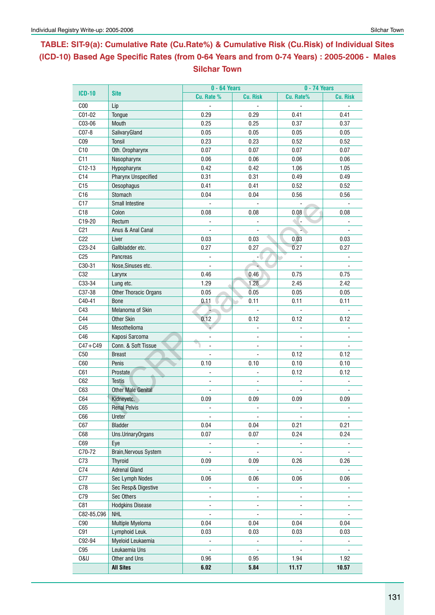# **Table: SIT-9(a): Cumulative Rate (Cu.Rate%) & Cumulative Risk (Cu.Risk) of Individual Sites (ICD-10) Based Age Specific Rates (from 0-64 Years and from 0-74 Years) : 2005-2006 - Males Silchar Town**

|                 |                            | 0 - 64 Years           |                        | 0 - 74 Years   |                 |  |  |  |
|-----------------|----------------------------|------------------------|------------------------|----------------|-----------------|--|--|--|
| <b>ICD-10</b>   | <b>Site</b>                | Cu. Rate %             | <b>Cu. Risk</b>        | Cu. Rate%      | <b>Cu. Risk</b> |  |  |  |
| C <sub>00</sub> | Lip                        |                        |                        |                |                 |  |  |  |
| C01-02          | Tongue                     | 0.29                   | 0.29                   | 0.41           | 0.41            |  |  |  |
| C03-06          | Mouth                      | 0.25                   | 0.25                   | 0.37           | 0.37            |  |  |  |
| $C07-8$         | SalivaryGland              | 0.05                   | 0.05                   | 0.05           | 0.05            |  |  |  |
| CO <sub>9</sub> | Tonsil                     | 0.23                   | 0.23                   | 0.52           | 0.52            |  |  |  |
| C10             | Oth. Oropharynx            | 0.07                   | 0.07                   | 0.07           | 0.07            |  |  |  |
| C11             | Nasopharynx                | 0.06                   | 0.06                   | 0.06           | 0.06            |  |  |  |
| $C12-13$        | Hypopharynx                | 0.42                   | 0.42                   | 1.06           | 1.05            |  |  |  |
| C14             | <b>Pharynx Unspecified</b> | 0.31                   | 0.31                   | 0.49           | 0.49            |  |  |  |
| C15             | Oesophagus                 | 0.41                   | 0.41                   | 0.52           | 0.52            |  |  |  |
| C16             | Stomach                    | 0.04                   | 0.04                   | 0.56           | 0.56            |  |  |  |
| C17             | <b>Small Intestine</b>     |                        |                        |                |                 |  |  |  |
| C18             | Colon                      | 0.08                   | 0.08                   | 0.08           | 0.08            |  |  |  |
| C19-20          | Rectum                     |                        |                        | $\blacksquare$ |                 |  |  |  |
| C <sub>21</sub> | Anus & Anal Canal          |                        |                        |                |                 |  |  |  |
| C22             | Liver                      | 0.03                   | 0.03                   | 0.03           | 0.03            |  |  |  |
| C23-24          | Gallbladder etc.           | 0.27                   | 0.27                   | 0.27           | 0.27            |  |  |  |
| C <sub>25</sub> | Pancreas                   | $\blacksquare$         | $\blacksquare$         | $\blacksquare$ |                 |  |  |  |
| C30-31          | Nose, Sinuses etc.         |                        |                        |                |                 |  |  |  |
| C32             | Larynx                     | 0.46                   | 0.46                   | 0.75           | 0.75            |  |  |  |
| C33-34          | Lung etc.                  | 1.29                   | 1.28                   | 2.45           | 2.42            |  |  |  |
| C37-38          | Other Thoracic Organs      | 0.05                   | 0.05                   | 0.05           | 0.05            |  |  |  |
| C40-41          | <b>Bone</b>                | 0.11                   | 0.11                   | 0.11           | 0.11            |  |  |  |
| C43             | Melanoma of Skin           |                        |                        |                |                 |  |  |  |
| C44             | <b>Other Skin</b>          | 0.12                   | 0.12                   | 0.12           | 0.12            |  |  |  |
| C45             | Mesothelioma               |                        |                        | $\overline{a}$ |                 |  |  |  |
| C46             | Kaposi Sarcoma             |                        |                        |                |                 |  |  |  |
| $C47 + C49$     | Conn. & Soft Tissue        |                        |                        |                | $\mathbf{r}$    |  |  |  |
| C50             | <b>Breast</b>              |                        |                        | 0.12           | 0.12            |  |  |  |
| C60             | Penis                      | 0.10                   | 0.10                   | 0.10           | 0.10            |  |  |  |
| C61             | Prostate                   |                        |                        | 0.12           | 0.12            |  |  |  |
| C62             | <b>Testis</b>              | $\overline{a}$         |                        | $\blacksquare$ |                 |  |  |  |
| C63             | <b>Other Male Genital</b>  |                        |                        |                |                 |  |  |  |
| C64             | Kidneyetc.                 | 0.09                   | 0.09                   | 0.09           | 0.09            |  |  |  |
| C65             | <b>Renal Pelvis</b>        |                        |                        |                |                 |  |  |  |
| C66             | Ureter                     |                        |                        |                |                 |  |  |  |
| C67             | Bladder                    | 0.04                   | 0.04                   | 0.21           | 0.21            |  |  |  |
| C68             | Uns.UrinaryOrgans          | 0.07                   | 0.07                   | 0.24           | 0.24            |  |  |  |
| C69             | Eye                        |                        |                        |                |                 |  |  |  |
| C70-72          | Brain, Nervous System      | L.                     |                        |                |                 |  |  |  |
| C73             | Thyroid                    | 0.09                   | 0.09                   | 0.26           | 0.26            |  |  |  |
| C74             | <b>Adrenal Gland</b>       |                        |                        |                |                 |  |  |  |
| C77             | Sec Lymph Nodes            | 0.06                   | 0.06                   | 0.06           | 0.06            |  |  |  |
| C78             | Sec Resp& Digestive        |                        | $\sim$                 |                |                 |  |  |  |
| C79             | Sec Others                 | L.                     | ÷.                     | $\overline{a}$ | $\blacksquare$  |  |  |  |
| C81             | <b>Hodgkins Disease</b>    | ä,                     |                        |                |                 |  |  |  |
| C82-85, C96     | <b>NHL</b>                 | ä,                     |                        |                |                 |  |  |  |
| C90             | Multiple Myeloma           | 0.04                   | 0.04                   | 0.04           | 0.04            |  |  |  |
|                 |                            |                        |                        |                |                 |  |  |  |
| C91             | Lymphoid Leuk.             | 0.03                   | 0.03                   | 0.03           | 0.03            |  |  |  |
| C92-94          | Myeloid Leukaemia          |                        |                        |                |                 |  |  |  |
| C95             | Leukaemia Uns              | $\blacksquare$<br>0.96 | $\blacksquare$<br>0.95 |                | $\blacksquare$  |  |  |  |
| 0&U             | Other and Uns              |                        |                        | 1.94           | 1.92            |  |  |  |
|                 | <b>All Sites</b>           | 6.02                   | 5.84                   | 11.17          | 10.57           |  |  |  |